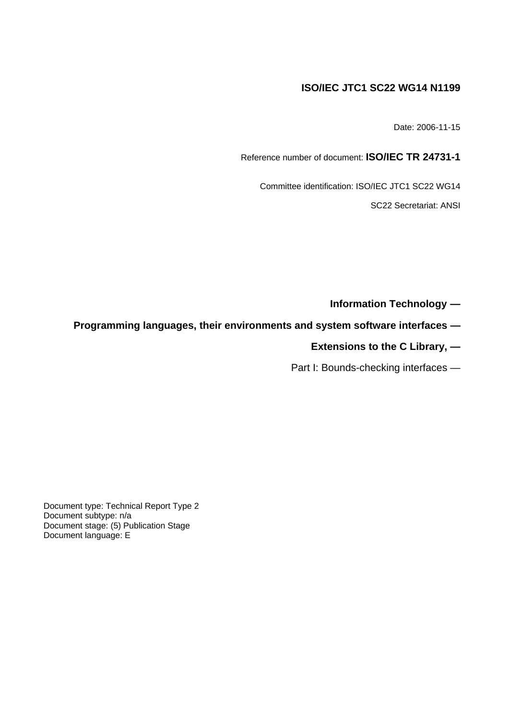# **ISO/IEC JTC1 SC22 WG14 N1199**

Date: 2006-11-15

Reference number of document: **ISO/IEC TR 24731-1** 

Committee identification: ISO/IEC JTC1 SC22 WG14

SC22 Secretariat: ANSI

**Information Technology —**

# **Programming languages, their environments and system software interfaces —**

- **Extensions to the C Library, —**
- Part I: Bounds-checking interfaces —

Document type: Technical Report Type 2 Document subtype: n/a Document stage: (5) Publication Stage Document language: E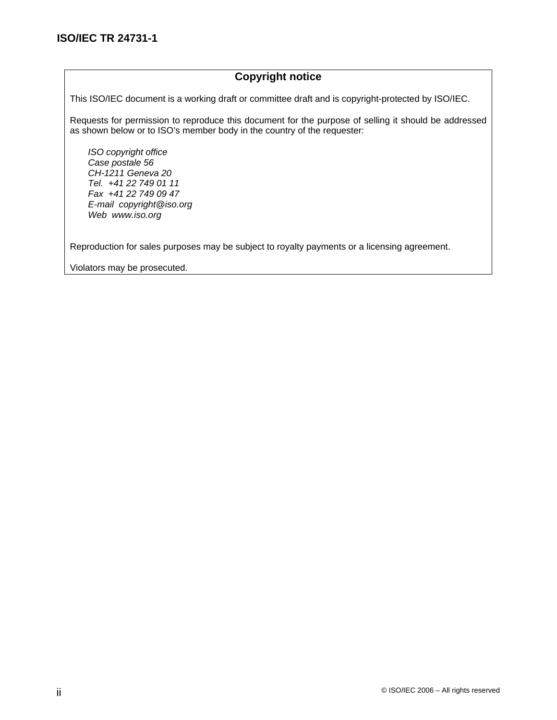# **Copyright notice**

This ISO/IEC document is a working draft or committee draft and is copyright-protected by ISO/IEC.

Requests for permission to reproduce this document for the purpose of selling it should be addressed as shown below or to ISO's member body in the country of the requester:

*ISO copyright office Case postale 56 CH-1211 Geneva 20 Tel. +41 22 749 01 11 Fax +41 22 749 09 47 E-mail copyright@iso.org Web www.iso.org* 

Reproduction for sales purposes may be subject to royalty payments or a licensing agreement.

Violators may be prosecuted.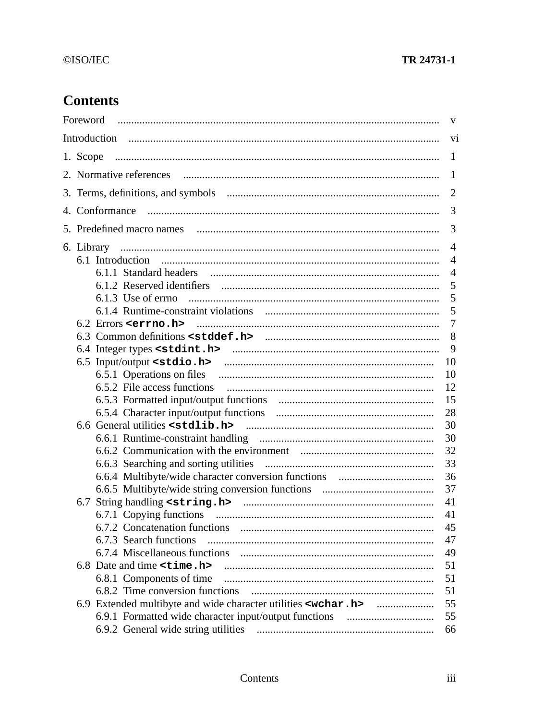# $\mathbb{O}$ ISO/IEC

# TR 24731-1

# **Contents**

|  |                  |                                     | $\mathbf{V}$   |  |  |  |
|--|------------------|-------------------------------------|----------------|--|--|--|
|  |                  |                                     | vi             |  |  |  |
|  |                  |                                     |                |  |  |  |
|  | $\mathbf{1}$     |                                     |                |  |  |  |
|  | $\overline{2}$   |                                     |                |  |  |  |
|  | $\overline{3}$   |                                     |                |  |  |  |
|  | 3                |                                     |                |  |  |  |
|  |                  |                                     | $\overline{4}$ |  |  |  |
|  | 6.1 Introduction |                                     | $\overline{4}$ |  |  |  |
|  |                  |                                     | $\overline{4}$ |  |  |  |
|  |                  |                                     | 5              |  |  |  |
|  |                  |                                     | 5              |  |  |  |
|  |                  |                                     | 5              |  |  |  |
|  |                  |                                     | $\overline{7}$ |  |  |  |
|  |                  |                                     | 8              |  |  |  |
|  |                  |                                     | 9              |  |  |  |
|  |                  |                                     | 10             |  |  |  |
|  |                  |                                     | 10             |  |  |  |
|  |                  |                                     | 12             |  |  |  |
|  |                  |                                     | 15             |  |  |  |
|  |                  |                                     | 28             |  |  |  |
|  |                  |                                     | 30             |  |  |  |
|  |                  |                                     | 30             |  |  |  |
|  |                  |                                     | 32             |  |  |  |
|  |                  |                                     | 33             |  |  |  |
|  |                  |                                     | 36             |  |  |  |
|  |                  |                                     | 37             |  |  |  |
|  |                  |                                     | 41             |  |  |  |
|  |                  |                                     | 41             |  |  |  |
|  |                  |                                     | 45             |  |  |  |
|  |                  | 6.7.3 Search functions              | 47             |  |  |  |
|  |                  |                                     | 49             |  |  |  |
|  |                  | 6.8 Date and time <time.h></time.h> |                |  |  |  |
|  |                  |                                     | 51             |  |  |  |
|  |                  |                                     | 51             |  |  |  |
|  |                  | 6.8.2 Time conversion functions     | 51             |  |  |  |
|  |                  |                                     | 55             |  |  |  |
|  |                  |                                     | 55             |  |  |  |
|  |                  |                                     | 66             |  |  |  |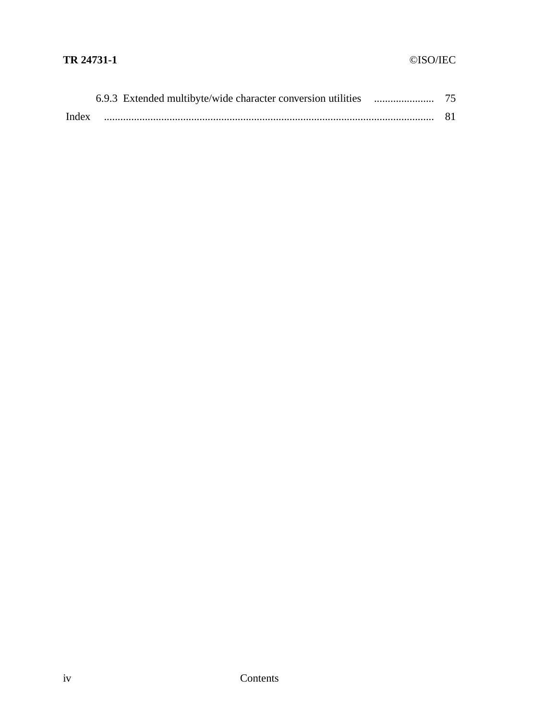| Index |  |
|-------|--|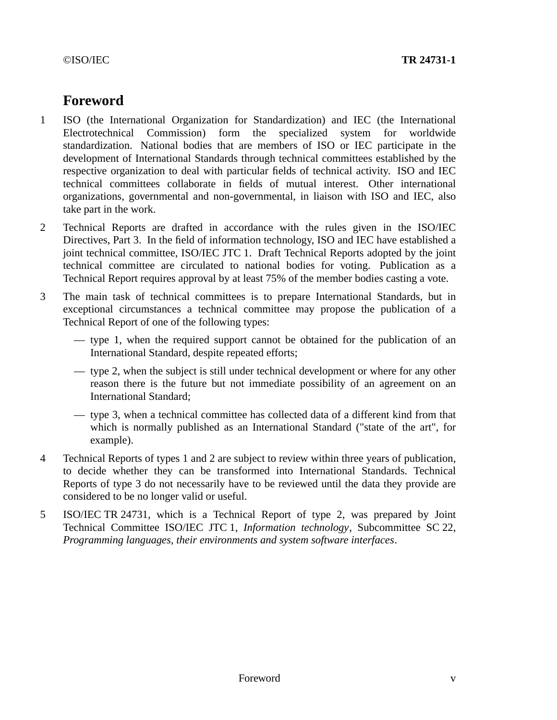# **Foreword**

- 1 ISO (the International Organization for Standardization) and IEC (the International Electrotechnical Commission) form the specialized system for worldwide standardization. National bodies that are members of ISO or IEC participate in the development of International Standards through technical committees established by the respective organization to deal with particular fields of technical activity. ISO and IEC technical committees collaborate in fields of mutual interest. Other international organizations, governmental and non-governmental, in liaison with ISO and IEC, also take part in the work.
- 2 Technical Reports are drafted in accordance with the rules given in the ISO/IEC Directives, Part 3. In the field of information technology, ISO and IEC have established a joint technical committee, ISO/IEC JTC 1. Draft Technical Reports adopted by the joint technical committee are circulated to national bodies for voting. Publication as a Technical Report requires approval by at least 75% of the member bodies casting a vote.
- 3 The main task of technical committees is to prepare International Standards, but in exceptional circumstances a technical committee may propose the publication of a Technical Report of one of the following types:
	- type 1, when the required support cannot be obtained for the publication of an International Standard, despite repeated efforts;
	- type 2, when the subject is still under technical development or where for any other reason there is the future but not immediate possibility of an agreement on an International Standard;
	- type 3, when a technical committee has collected data of a different kind from that which is normally published as an International Standard ("state of the art", for example).
- 4 Technical Reports of types 1 and 2 are subject to review within three years of publication, to decide whether they can be transformed into International Standards. Technical Reports of type 3 do not necessarily have to be reviewed until the data they provide are considered to be no longer valid or useful.
- 5 ISO/IEC TR 24731, which is a Technical Report of type 2, was prepared by Joint Technical Committee ISO/IEC JTC 1, *Information technology*, Subcommittee SC 22, *Programming languages, their environments and system software interfaces*.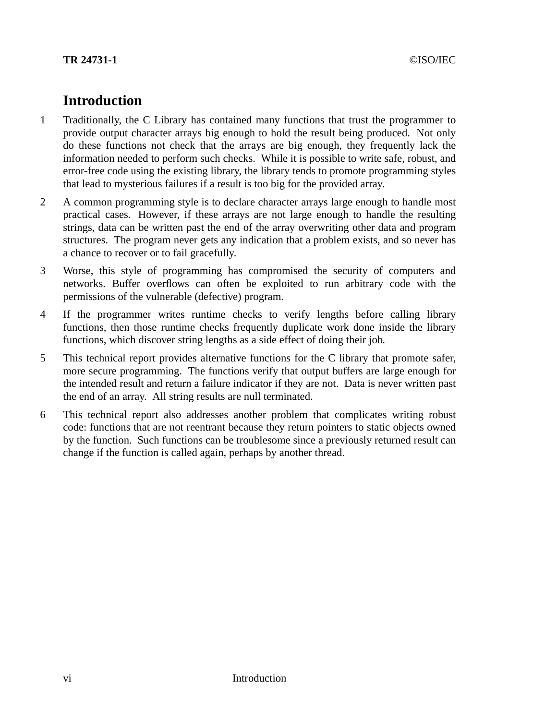# **Introduction**

- 1 Traditionally, the C Library has contained many functions that trust the programmer to provide output character arrays big enough to hold the result being produced. Not only do these functions not check that the arrays are big enough, they frequently lack the information needed to perform such checks. While it is possible to write safe, robust, and error-free code using the existing library, the library tends to promote programming styles that lead to mysterious failures if a result is too big for the provided array.
- 2 A common programming style is to declare character arrays large enough to handle most practical cases. However, if these arrays are not large enough to handle the resulting strings, data can be written past the end of the array overwriting other data and program structures. The program never gets any indication that a problem exists, and so never has a chance to recover or to fail gracefully.
- 3 Worse, this style of programming has compromised the security of computers and networks. Buffer overflows can often be exploited to run arbitrary code with the permissions of the vulnerable (defective) program.
- 4 If the programmer writes runtime checks to verify lengths before calling library functions, then those runtime checks frequently duplicate work done inside the library functions, which discover string lengths as a side effect of doing their job.
- 5 This technical report provides alternative functions for the C library that promote safer, more secure programming. The functions verify that output buffers are large enough for the intended result and return a failure indicator if they are not. Data is never written past the end of an array. All string results are null terminated.
- 6 This technical report also addresses another problem that complicates writing robust code: functions that are not reentrant because they return pointers to static objects owned by the function. Such functions can be troublesome since a previously returned result can change if the function is called again, perhaps by another thread.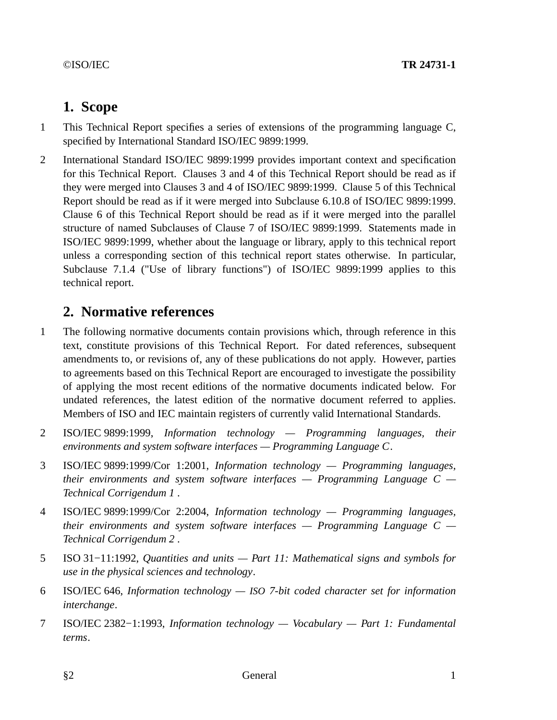# **1. Scope**

- 1 This Technical Report specifies a series of extensions of the programming language C, specified by International Standard ISO/IEC 9899:1999.
- 2 International Standard ISO/IEC 9899:1999 provides important context and specification for this Technical Report. Clauses 3 and 4 of this Technical Report should be read as if they were merged into Clauses 3 and 4 of ISO/IEC 9899:1999. Clause 5 of this Technical Report should be read as if it were merged into Subclause 6.10.8 of ISO/IEC 9899:1999. Clause 6 of this Technical Report should be read as if it were merged into the parallel structure of named Subclauses of Clause 7 of ISO/IEC 9899:1999. Statements made in ISO/IEC 9899:1999, whether about the language or library, apply to this technical report unless a corresponding section of this technical report states otherwise. In particular, Subclause 7.1.4 ("Use of library functions") of ISO/IEC 9899:1999 applies to this technical report.

# **2. Normative references**

- 1 The following normative documents contain provisions which, through reference in this text, constitute provisions of this Technical Report. For dated references, subsequent amendments to, or revisions of, any of these publications do not apply. However, parties to agreements based on this Technical Report are encouraged to investigate the possibility of applying the most recent editions of the normative documents indicated below. For undated references, the latest edition of the normative document referred to applies. Members of ISO and IEC maintain registers of currently valid International Standards.
- 2 ISO/IEC 9899:1999, *Information technology Programming languages, their environments and system software interfaces — Programming Language C*.
- 3 ISO/IEC 9899:1999/Cor 1:2001, *Information technology Programming languages, their environments and system software interfaces — Programming Language C — Technical Corrigendum 1* .
- 4 ISO/IEC 9899:1999/Cor 2:2004, *Information technology Programming languages, their environments and system software interfaces — Programming Language C — Technical Corrigendum 2* .
- 5 ISO 31−11:1992, *Quantities and units Part 11: Mathematical signs and symbols for use in the physical sciences and technology*.
- 6 ISO/IEC 646, *Information technology — ISO 7-bit coded character set for information interchange*.
- 7 ISO/IEC 2382−1:1993, *Information technology Vocabulary Part 1: Fundamental terms*.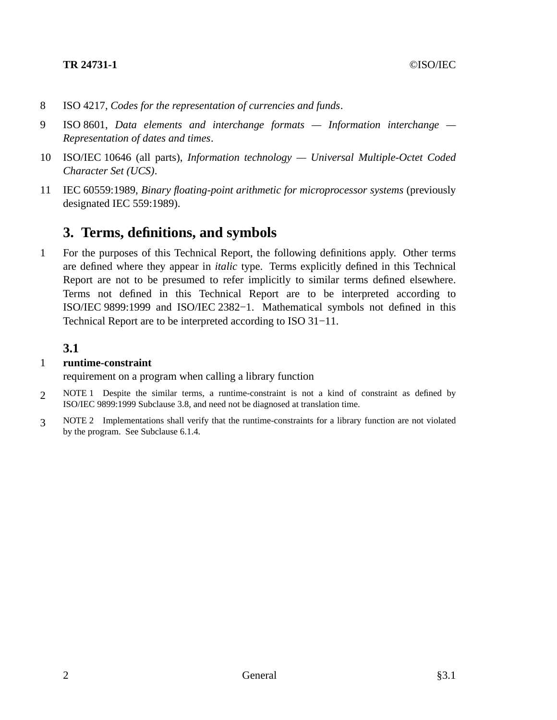- 8 ISO 4217, *Codes for the representation of currencies and funds*.
- 9 ISO 8601, *Data elements and interchange formats Information interchange — Representation of dates and times*.
- 10 ISO/IEC 10646 (all parts), *Information technology Universal Multiple-Octet Coded Character Set (UCS)*.
- 11 IEC 60559:1989, *Binary floating-point arithmetic for microprocessor systems* (previously designated IEC 559:1989).

# **3. Terms, definitions, and symbols**

1 For the purposes of this Technical Report, the following definitions apply. Other terms are defined where they appear in *italic* type. Terms explicitly defined in this Technical Report are not to be presumed to refer implicitly to similar terms defined elsewhere. Terms not defined in this Technical Report are to be interpreted according to ISO/IEC 9899:1999 and ISO/IEC 2382−1. Mathematical symbols not defined in this Technical Report are to be interpreted according to ISO 31−11.

# **3.1**

#### 1 **runtime-constraint**

requirement on a program when calling a library function

- 2 NOTE 1 Despite the similar terms, a runtime-constraint is not a kind of constraint as defined by ISO/IEC 9899:1999 Subclause 3.8, and need not be diagnosed at translation time.
- 3 NOTE 2 Implementations shall verify that the runtime-constraints for a library function are not violated by the program. See Subclause 6.1.4.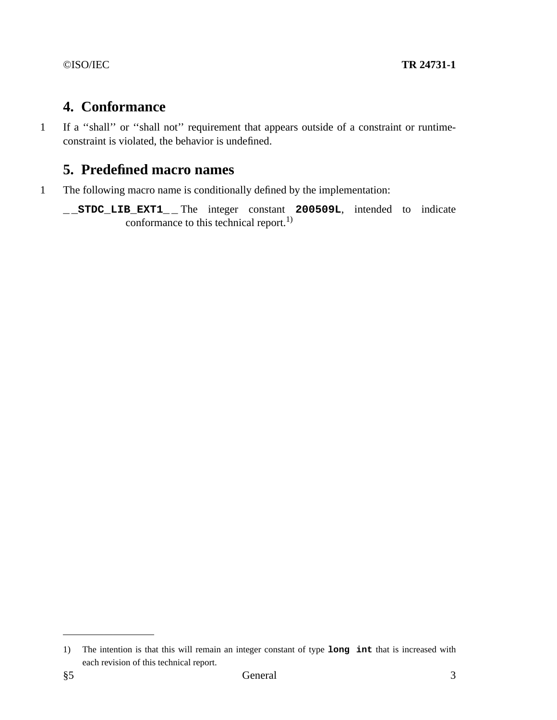# **4. Conformance**

1 If a ''shall'' or ''shall not'' requirement that appears outside of a constraint or runtimeconstraint is violated, the behavior is undefined.

# **5. Predefined macro names**

1 The following macro name is conditionally defined by the implementation:

**\_ \_STDC\_LIB\_EXT1\_ \_** The integer constant **200509L**, intended to indicate conformance to this technical report.<sup>1)</sup>

<sup>1)</sup> The intention is that this will remain an integer constant of type **long int** that is increased with each revision of this technical report.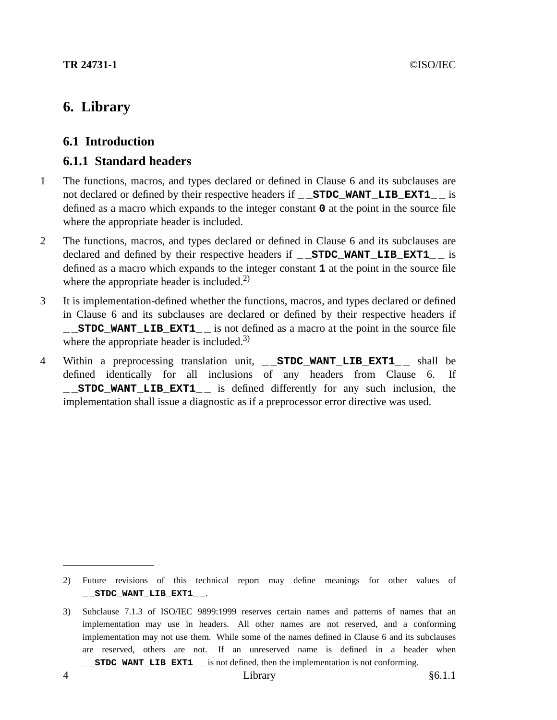# **6. Library**

# **6.1 Introduction**

# **6.1.1 Standard headers**

- 1 The functions, macros, and types declared or defined in Clause 6 and its subclauses are not declared or defined by their respective headers if **\_ \_STDC\_WANT\_LIB\_EXT1\_ \_** is defined as a macro which expands to the integer constant **0** at the point in the source file where the appropriate header is included.
- 2 The functions, macros, and types declared or defined in Clause 6 and its subclauses are declared and defined by their respective headers if **\_ \_STDC\_WANT\_LIB\_EXT1\_ \_** is defined as a macro which expands to the integer constant **1** at the point in the source file where the appropriate header is included.<sup>2)</sup>
- 3 It is implementation-defined whether the functions, macros, and types declared or defined in Clause 6 and its subclauses are declared or defined by their respective headers if **\_ \_STDC\_WANT\_LIB\_EXT1\_ \_** is not defined as a macro at the point in the source file where the appropriate header is included.<sup>3)</sup>
- 4 Within a preprocessing translation unit, **\_ \_STDC\_WANT\_LIB\_EXT1\_ \_** shall be defined identically for all inclusions of any headers from Clause 6. If **\_ \_STDC\_WANT\_LIB\_EXT1\_ \_** is defined differently for any such inclusion, the implementation shall issue a diagnostic as if a preprocessor error directive was used.

<sup>2)</sup> Future revisions of this technical report may define meanings for other values of **\_ \_STDC\_WANT\_LIB\_EXT1\_ \_**.

<sup>3)</sup> Subclause 7.1.3 of ISO/IEC 9899:1999 reserves certain names and patterns of names that an implementation may use in headers. All other names are not reserved, and a conforming implementation may not use them. While some of the names defined in Clause 6 and its subclauses are reserved, others are not. If an unreserved name is defined in a header when **\_ \_STDC\_WANT\_LIB\_EXT1\_ \_** is not defined, then the implementation is not conforming.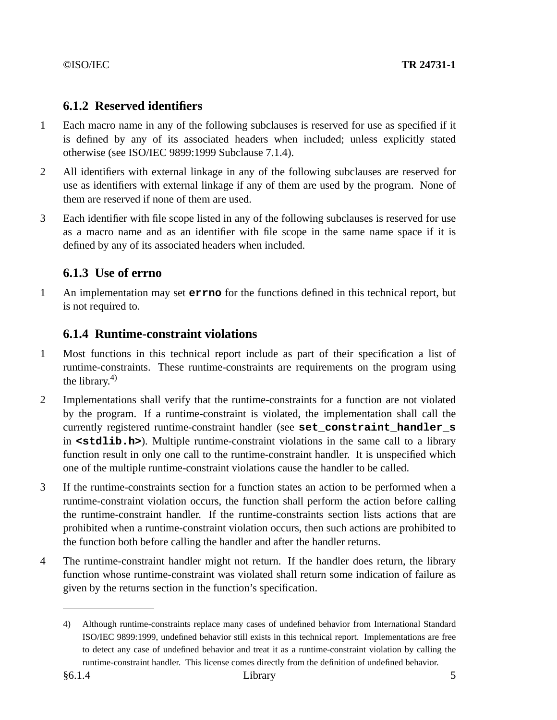# **6.1.2 Reserved identifiers**

- 1 Each macro name in any of the following subclauses is reserved for use as specified if it is defined by any of its associated headers when included; unless explicitly stated otherwise (see ISO/IEC 9899:1999 Subclause 7.1.4).
- 2 All identifiers with external linkage in any of the following subclauses are reserved for use as identifiers with external linkage if any of them are used by the program. None of them are reserved if none of them are used.
- 3 Each identifier with file scope listed in any of the following subclauses is reserved for use as a macro name and as an identifier with file scope in the same name space if it is defined by any of its associated headers when included.

# **6.1.3 Use of errno**

1 An implementation may set **errno** for the functions defined in this technical report, but is not required to.

# **6.1.4 Runtime-constraint violations**

- 1 Most functions in this technical report include as part of their specification a list of runtime-constraints. These runtime-constraints are requirements on the program using the library. 4)
- 2 Implementations shall verify that the runtime-constraints for a function are not violated by the program. If a runtime-constraint is violated, the implementation shall call the currently registered runtime-constraint handler (see **set\_constraint\_handler\_s** in **<stdlib.h>**). Multiple runtime-constraint violations in the same call to a library function result in only one call to the runtime-constraint handler. It is unspecified which one of the multiple runtime-constraint violations cause the handler to be called.
- 3 If the runtime-constraints section for a function states an action to be performed when a runtime-constraint violation occurs, the function shall perform the action before calling the runtime-constraint handler. If the runtime-constraints section lists actions that are prohibited when a runtime-constraint violation occurs, then such actions are prohibited to the function both before calling the handler and after the handler returns.
- 4 The runtime-constraint handler might not return. If the handler does return, the library function whose runtime-constraint was violated shall return some indication of failure as given by the returns section in the function's specification.

<sup>4)</sup> Although runtime-constraints replace many cases of undefined behavior from International Standard ISO/IEC 9899:1999, undefined behavior still exists in this technical report. Implementations are free to detect any case of undefined behavior and treat it as a runtime-constraint violation by calling the runtime-constraint handler. This license comes directly from the definition of undefined behavior.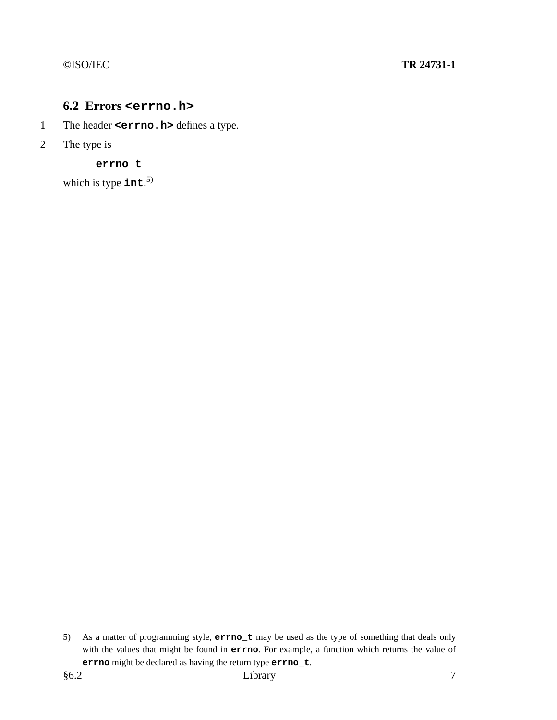#### ©ISO/IEC **TR 24731-1**

# **6.2 Errors <errno.h>**

- 1 The header **<errno.h>** defines a type.
- 2 The type is

**errno\_t**

which is type **int**. 5)

<sup>5)</sup> As a matter of programming style, **errno\_t** may be used as the type of something that deals only with the values that might be found in **errno**. For example, a function which returns the value of **errno** might be declared as having the return type **errno\_t**.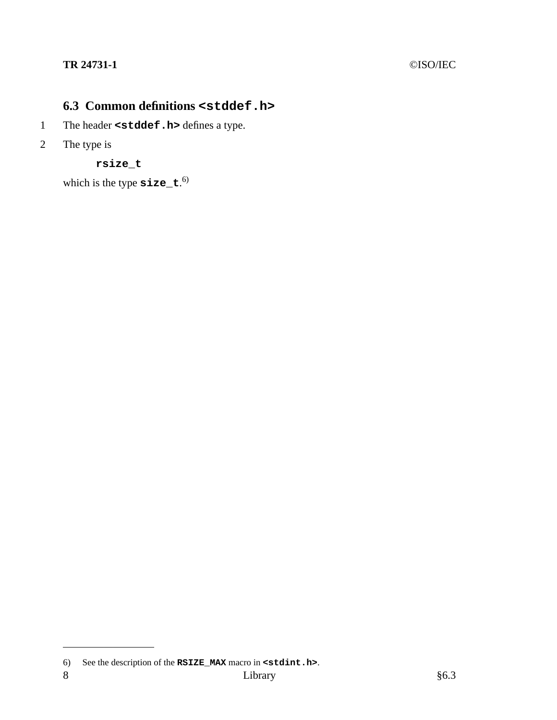# **6.3 Common definitions <stddef.h>**

- 1 The header **<stddef.h>** defines a type.
- 2 The type is

# **rsize\_t**

which is the type **size\_t**. 6)

<sup>6)</sup> See the description of the **RSIZE\_MAX** macro in **<stdint.h>**.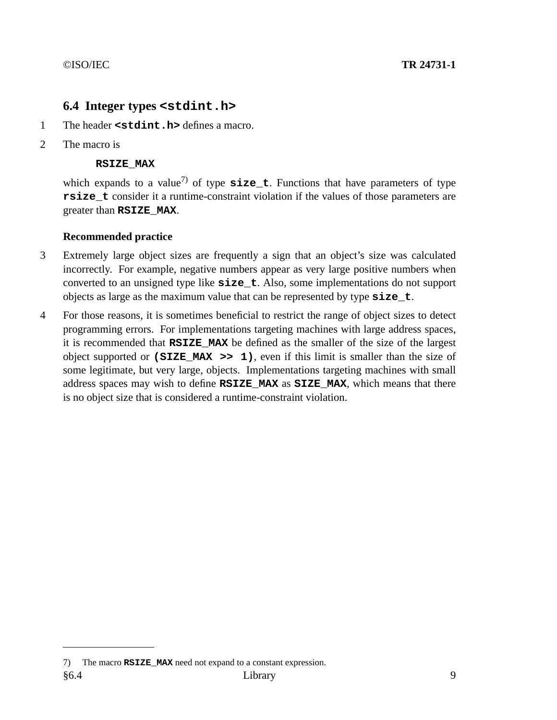# **6.4 Integer types <stdint.h>**

- 1 The header **<stdint.h>** defines a macro.
- 2 The macro is

#### **RSIZE\_MAX**

which expands to a value<sup>7)</sup> of type  $size t$ . Functions that have parameters of type **rsize** t consider it a runtime-constraint violation if the values of those parameters are greater than **RSIZE\_MAX**.

#### **Recommended practice**

- 3 Extremely large object sizes are frequently a sign that an object's size was calculated incorrectly. For example, negative numbers appear as very large positive numbers when converted to an unsigned type like **size\_t**. Also, some implementations do not support objects as large as the maximum value that can be represented by type **size\_t**.
- 4 For those reasons, it is sometimes beneficial to restrict the range of object sizes to detect programming errors. For implementations targeting machines with large address spaces, it is recommended that **RSIZE** MAX be defined as the smaller of the size of the largest object supported or  $(SIZE MAX > 1)$ , even if this limit is smaller than the size of some legitimate, but very large, objects. Implementations targeting machines with small address spaces may wish to define **RSIZE\_MAX** as **SIZE\_MAX**, which means that there is no object size that is considered a runtime-constraint violation.

<sup>7)</sup> The macro **RSIZE\_MAX** need not expand to a constant expression.  $§6.4$  Library 9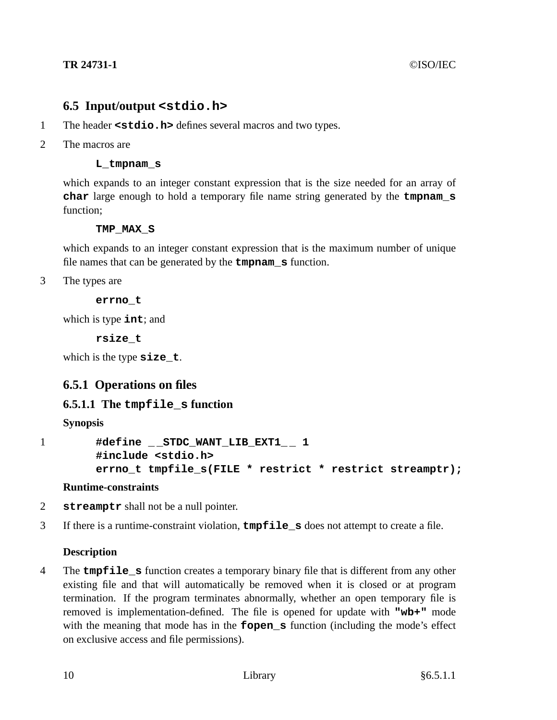# **6.5 Input/output <stdio.h>**

- 1 The header **<stdio.h>** defines several macros and two types.
- 2 The macros are

## **L\_tmpnam\_s**

which expands to an integer constant expression that is the size needed for an array of **char** large enough to hold a temporary file name string generated by the **tmpnam\_s** function;

# **TMP\_MAX\_S**

which expands to an integer constant expression that is the maximum number of unique file names that can be generated by the **tmpnam\_s** function.

3 The types are

**errno\_t**

which is type **int**; and

**rsize\_t**

which is the type **size\_t**.

# **6.5.1 Operations on files**

# **6.5.1.1 The tmpfile\_s function**

**Synopsis**

```
1 #define _ _STDC_WANT_LIB_EXT1_ _ 1
        #include <stdio.h>
        errno_t tmpfile_s(FILE * restrict * restrict streamptr);
```
## **Runtime-constraints**

- 2 **streamptr** shall not be a null pointer.
- 3 If there is a runtime-constraint violation, **tmpfile\_s** does not attempt to create a file.

# **Description**

4 The **tmpfile\_s** function creates a temporary binary file that is different from any other existing file and that will automatically be removed when it is closed or at program termination. If the program terminates abnormally, whether an open temporary file is removed is implementation-defined. The file is opened for update with **"wb+"** mode with the meaning that mode has in the **fopen\_s** function (including the mode's effect on exclusive access and file permissions).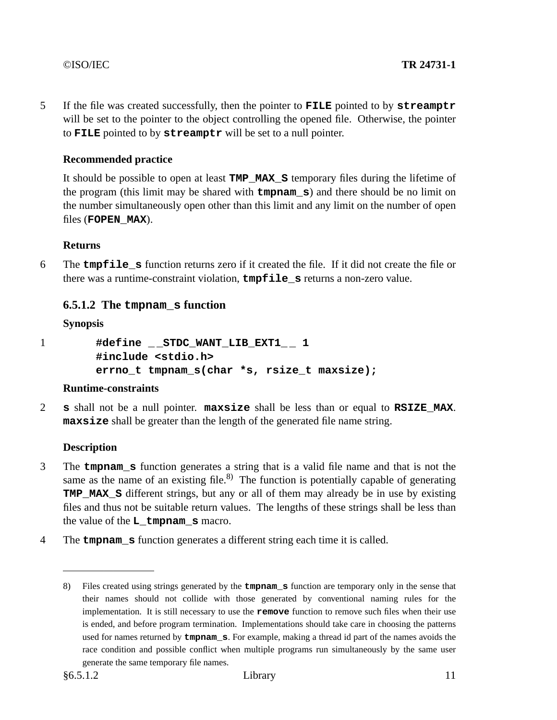5 If the file was created successfully, then the pointer to **FILE** pointed to by **streamptr** will be set to the pointer to the object controlling the opened file. Otherwise, the pointer to **FILE** pointed to by **streamptr** will be set to a null pointer.

#### **Recommended practice**

It should be possible to open at least **TMP\_MAX\_S** temporary files during the lifetime of the program (this limit may be shared with **tmpnam\_s**) and there should be no limit on the number simultaneously open other than this limit and any limit on the number of open files (**FOPEN\_MAX**).

#### **Returns**

6 The **tmpfile\_s** function returns zero if it created the file. If it did not create the file or there was a runtime-constraint violation, **tmpfile\_s** returns a non-zero value.

# **6.5.1.2 The tmpnam\_s function**

#### **Synopsis**

1 **#define \_ \_STDC\_WANT\_LIB\_EXT1\_ \_ 1 #include <stdio.h> errno\_t tmpnam\_s(char \*s, rsize\_t maxsize);**

#### **Runtime-constraints**

2 **s** shall not be a null pointer. **maxsize** shall be less than or equal to **RSIZE\_MAX**. **maxsize** shall be greater than the length of the generated file name string.

## **Description**

- 3 The **tmpnam\_s** function generates a string that is a valid file name and that is not the same as the name of an existing file.<sup>8)</sup> The function is potentially capable of generating **TMP\_MAX\_S** different strings, but any or all of them may already be in use by existing files and thus not be suitable return values. The lengths of these strings shall be less than the value of the **L\_tmpnam\_s** macro.
- 4 The **tmpnam\_s** function generates a different string each time it is called.

<sup>8)</sup> Files created using strings generated by the **tmpnam\_s** function are temporary only in the sense that their names should not collide with those generated by conventional naming rules for the implementation. It is still necessary to use the **remove** function to remove such files when their use is ended, and before program termination. Implementations should take care in choosing the patterns used for names returned by **tmpnam\_s**. For example, making a thread id part of the names avoids the race condition and possible conflict when multiple programs run simultaneously by the same user generate the same temporary file names.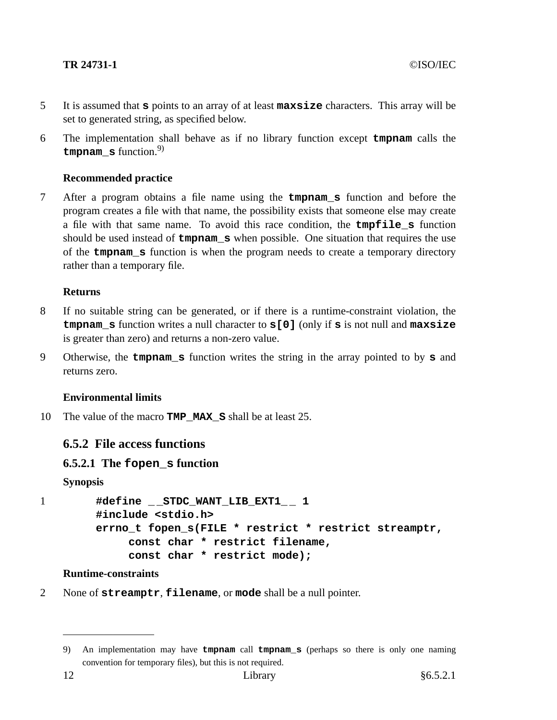- 5 It is assumed that **s** points to an array of at least **maxsize** characters. This array will be set to generated string, as specified below.
- 6 The implementation shall behave as if no library function except **tmpnam** calls the **tmpnam\_s** function.9)

#### **Recommended practice**

7 After a program obtains a file name using the **tmpnam\_s** function and before the program creates a file with that name, the possibility exists that someone else may create a file with that same name. To avoid this race condition, the **tmpfile\_s** function should be used instead of **tmpnam\_s** when possible. One situation that requires the use of the **tmpnam\_s** function is when the program needs to create a temporary directory rather than a temporary file.

#### **Returns**

- 8 If no suitable string can be generated, or if there is a runtime-constraint violation, the **tmpnam\_s** function writes a null character to **s[0]** (only if **s** is not null and **maxsize** is greater than zero) and returns a non-zero value.
- 9 Otherwise, the **tmpnam\_s** function writes the string in the array pointed to by **s** and returns zero.

## **Environmental limits**

10 The value of the macro **TMP\_MAX\_S** shall be at least 25.

# **6.5.2 File access functions**

## **6.5.2.1 The fopen\_s function**

**Synopsis**

```
1 #define _ _STDC_WANT_LIB_EXT1_ _ 1
        #include <stdio.h>
        errno_t fopen_s(FILE * restrict * restrict streamptr,
             const char * restrict filename,
             const char * restrict mode);
```
#### **Runtime-constraints**

2 None of **streamptr**, **filename**, or **mode** shall be a null pointer.

<sup>9)</sup> An implementation may have **tmpnam** call **tmpnam\_s** (perhaps so there is only one naming convention for temporary files), but this is not required.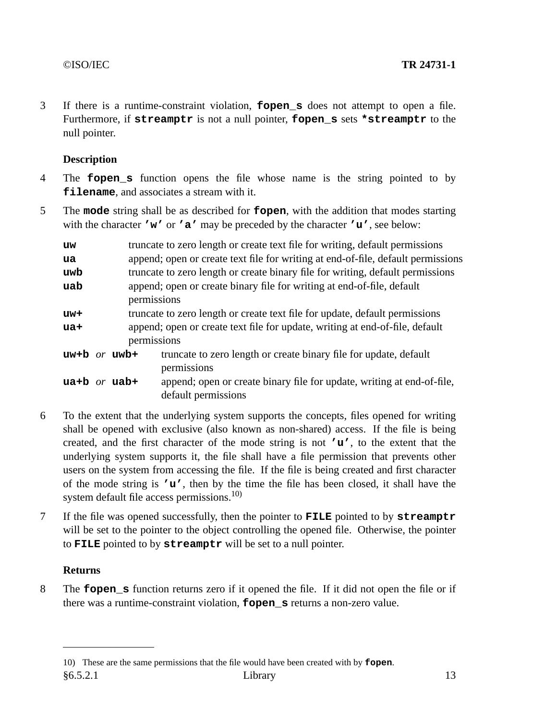3 If there is a runtime-constraint violation, **fopen\_s** does not attempt to open a file. Furthermore, if **streamptr** is not a null pointer, **fopen\_s** sets **\*streamptr** to the null pointer.

#### **Description**

- 4 The **fopen\_s** function opens the file whose name is the string pointed to by **filename**, and associates a stream with it.
- 5 The **mode** string shall be as described for **fopen**, with the addition that modes starting with the character **'w'** or **'a'** may be preceded by the character **'u'**, see below:

| uw                   | truncate to zero length or create text file for writing, default permissions                  |
|----------------------|-----------------------------------------------------------------------------------------------|
| ua                   | append; open or create text file for writing at end-of-file, default permissions              |
| uwb                  | truncate to zero length or create binary file for writing, default permissions                |
| uab                  | append; open or create binary file for writing at end-of-file, default<br>permissions         |
| uw+                  | truncate to zero length or create text file for update, default permissions                   |
| ua+                  | append; open or create text file for update, writing at end-of-file, default<br>permissions   |
| $uw + b$ or $uw + b$ | truncate to zero length or create binary file for update, default<br>permissions              |
| ua+b $or$ uab+       | append; open or create binary file for update, writing at end-of-file,<br>default permissions |

- 6 To the extent that the underlying system supports the concepts, files opened for writing shall be opened with exclusive (also known as non-shared) access. If the file is being created, and the first character of the mode string is not **'u'**, to the extent that the underlying system supports it, the file shall have a file permission that prevents other users on the system from accessing the file. If the file is being created and first character of the mode string is **'u'**, then by the time the file has been closed, it shall have the system default file access permissions.<sup>10)</sup>
- 7 If the file was opened successfully, then the pointer to **FILE** pointed to by **streamptr** will be set to the pointer to the object controlling the opened file. Otherwise, the pointer to **FILE** pointed to by **streamptr** will be set to a null pointer.

#### **Returns**

8 The **fopen\_s** function returns zero if it opened the file. If it did not open the file or if there was a runtime-constraint violation, **fopen\_s** returns a non-zero value.

<sup>10)</sup> These are the same permissions that the file would have been created with by **fopen**.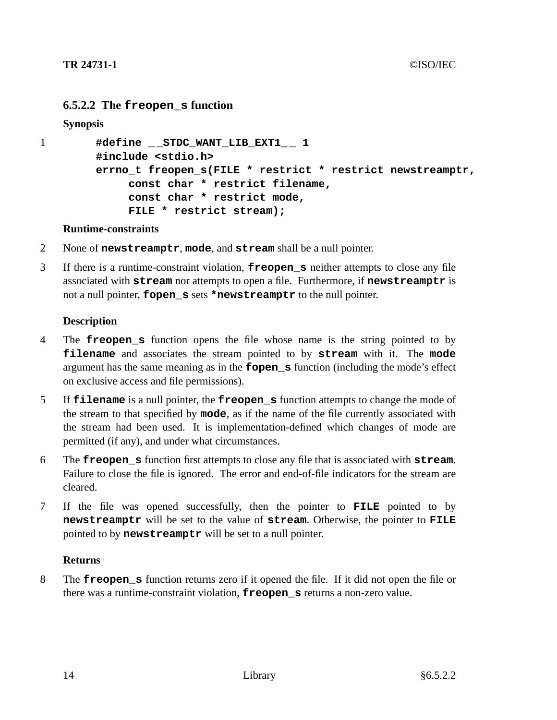# **6.5.2.2 The freopen\_s function**

**Synopsis**

```
1 #define _ _STDC_WANT_LIB_EXT1_ _ 1
        #include <stdio.h>
        errno_t freopen_s(FILE * restrict * restrict newstreamptr,
             const char * restrict filename,
             const char * restrict mode,
             FILE * restrict stream);
```
#### **Runtime-constraints**

- 2 None of **newstreamptr**, **mode**, and **stream** shall be a null pointer.
- 3 If there is a runtime-constraint violation, **freopen\_s** neither attempts to close any file associated with **stream** nor attempts to open a file. Furthermore, if **newstreamptr** is not a null pointer, **fopen\_s** sets **\*newstreamptr** to the null pointer.

## **Description**

- 4 The **freopen\_s** function opens the file whose name is the string pointed to by **filename** and associates the stream pointed to by **stream** with it. The **mode** argument has the same meaning as in the **fopen\_s** function (including the mode's effect on exclusive access and file permissions).
- 5 If **filename** is a null pointer, the **freopen\_s** function attempts to change the mode of the stream to that specified by **mode**, as if the name of the file currently associated with the stream had been used. It is implementation-defined which changes of mode are permitted (if any), and under what circumstances.
- 6 The **freopen\_s** function first attempts to close any file that is associated with **stream**. Failure to close the file is ignored. The error and end-of-file indicators for the stream are cleared.
- 7 If the file was opened successfully, then the pointer to **FILE** pointed to by **newstreamptr** will be set to the value of **stream**. Otherwise, the pointer to **FILE** pointed to by **newstreamptr** will be set to a null pointer.

## **Returns**

8 The **freopen\_s** function returns zero if it opened the file. If it did not open the file or there was a runtime-constraint violation, **freopen\_s** returns a non-zero value.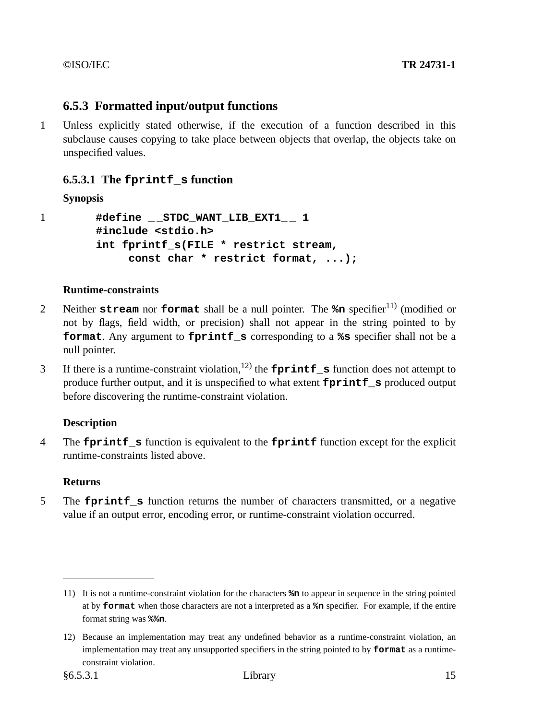# **6.5.3 Formatted input/output functions**

1 Unless explicitly stated otherwise, if the execution of a function described in this subclause causes copying to take place between objects that overlap, the objects take on unspecified values.

# **6.5.3.1 The fprintf\_s function**

## **Synopsis**

```
1 #define _ _STDC_WANT_LIB_EXT1_ _ 1
        #include <stdio.h>
        int fprintf_s(FILE * restrict stream,
             const char * restrict format, ...);
```
#### **Runtime-constraints**

- 2 Neither **stream** nor **format** shall be a null pointer. The  $*$ n specifier<sup>11)</sup> (modified or not by flags, field width, or precision) shall not appear in the string pointed to by **format**. Any argument to **fprintf\_s** corresponding to a **%s** specifier shall not be a null pointer.
- 3 If there is a runtime-constraint violation,<sup>12)</sup> the  $\text{fprint}$ <sub>s</sub> function does not attempt to produce further output, and it is unspecified to what extent **fprintf\_s** produced output before discovering the runtime-constraint violation.

## **Description**

4 The **fprintf\_s** function is equivalent to the **fprintf** function except for the explicit runtime-constraints listed above.

#### **Returns**

5 The **finitial s** function returns the number of characters transmitted, or a negative value if an output error, encoding error, or runtime-constraint violation occurred.

<sup>11)</sup> It is not a runtime-constraint violation for the characters **%n** to appear in sequence in the string pointed at by **format** when those characters are not a interpreted as a **%n** specifier. For example, if the entire format string was **%%n**.

<sup>12)</sup> Because an implementation may treat any undefined behavior as a runtime-constraint violation, an implementation may treat any unsupported specifiers in the string pointed to by **format** as a runtimeconstraint violation.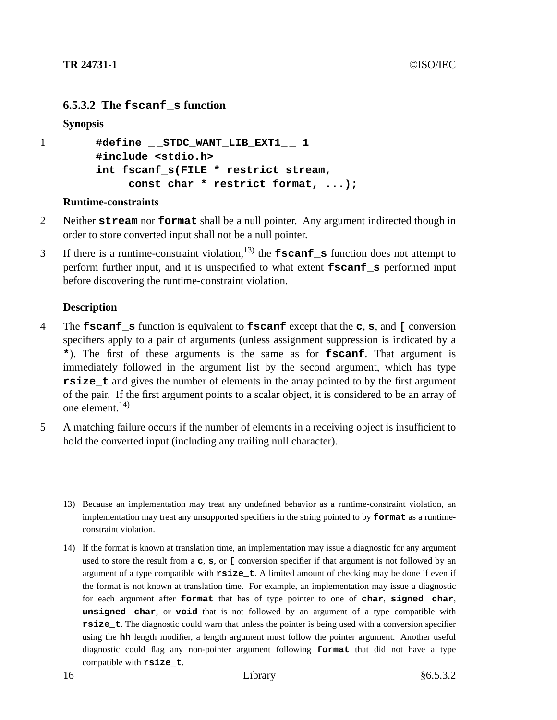# **6.5.3.2 The fscanf\_s function**

#### **Synopsis**

```
1 #define _ _STDC_WANT_LIB_EXT1_ _ 1
        #include <stdio.h>
        int fscanf_s(FILE * restrict stream,
             const char * restrict format, ...);
```
#### **Runtime-constraints**

- 2 Neither **stream** nor **format** shall be a null pointer. Any argument indirected though in order to store converted input shall not be a null pointer.
- 3 If there is a runtime-constraint violation,<sup>13)</sup> the  $\epsilon$  **function** does not attempt to perform further input, and it is unspecified to what extent **fscanf\_s** performed input before discovering the runtime-constraint violation.

#### **Description**

- 4 The **fscanf\_s** function is equivalent to **fscanf** except that the **c**, **s**, and **[** conversion specifiers apply to a pair of arguments (unless assignment suppression is indicated by a **\***). The first of these arguments is the same as for **fscanf**. That argument is immediately followed in the argument list by the second argument, which has type **rsize** t and gives the number of elements in the array pointed to by the first argument of the pair. If the first argument points to a scalar object, it is considered to be an array of one element. $^{14)}$
- 5 A matching failure occurs if the number of elements in a receiving object is insufficient to hold the converted input (including any trailing null character).

<sup>13)</sup> Because an implementation may treat any undefined behavior as a runtime-constraint violation, an implementation may treat any unsupported specifiers in the string pointed to by **format** as a runtimeconstraint violation.

<sup>14)</sup> If the format is known at translation time, an implementation may issue a diagnostic for any argument used to store the result from a **c**, **s**, or **[** conversion specifier if that argument is not followed by an argument of a type compatible with **rsize\_t**.Alimited amount of checking may be done if even if the format is not known at translation time. For example, an implementation may issue a diagnostic for each argument after **format** that has of type pointer to one of **char**, **signed char**, **unsigned char**, or **void** that is not followed by an argument of a type compatible with **rsize\_t**. The diagnostic could warn that unless the pointer is being used with a conversion specifier using the **hh** length modifier, a length argument must follow the pointer argument. Another useful diagnostic could flag any non-pointer argument following **format** that did not have a type compatible with **rsize\_t**.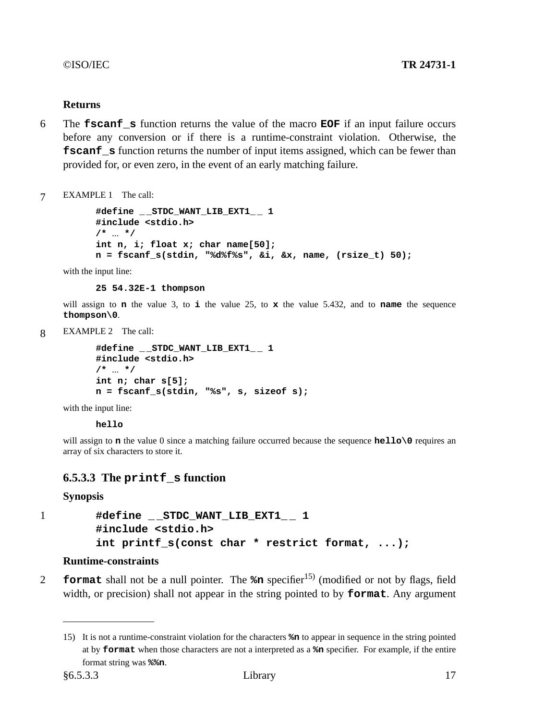#### **Returns**

6 The **fscanf\_s** function returns the value of the macro **EOF** if an input failure occurs before any conversion or if there is a runtime-constraint violation. Otherwise, the **fiscant** s function returns the number of input items assigned, which can be fewer than provided for, or even zero, in the event of an early matching failure.

```
7 EXAMPLE 1 The call:
```

```
#define _ _STDC_WANT_LIB_EXT1_ _ 1
#include <stdio.h>
/* ... */
int n, i; float x; char name[50];
n=fscanf_s(stdin, "%d%f%s", &i, &x, name, (rsize_t) 50);
```
with the input line:

**25 54.32E-1 thompson**

will assign to **n** the value 3, to **i** the value 25, to **x** the value 5.432, and to **name** the sequence **thompson\0**.

```
8 EXAMPLE 2 The call:
```

```
#define _ _STDC_WANT_LIB_EXT1_ _ 1
#include <stdio.h>
/* ... */
int n; char s[5];
n=fscanf_s(stdin, "%s", s, sizeof s);
```
with the input line:

#### **hello**

will assign to **n** the value 0 since a matching failure occurred because the sequence **hello** 0 requires an array of six characters to store it.

## **6.5.3.3 The printf\_s function**

#### **Synopsis**

1 **#define \_ \_STDC\_WANT\_LIB\_EXT1\_ \_ 1 #include <stdio.h> int printf\_s(const char \* restrict format, ...);**

#### **Runtime-constraints**

2 **format** shall not be a null pointer. The  $\text{Rn}$  specifier<sup>15)</sup> (modified or not by flags, field width, or precision) shall not appear in the string pointed to by **format**. Any argument

<sup>15)</sup> It is not a runtime-constraint violation for the characters **%n** to appear in sequence in the string pointed at by **format** when those characters are not a interpreted as a **%n** specifier. For example, if the entire format string was **%%n**.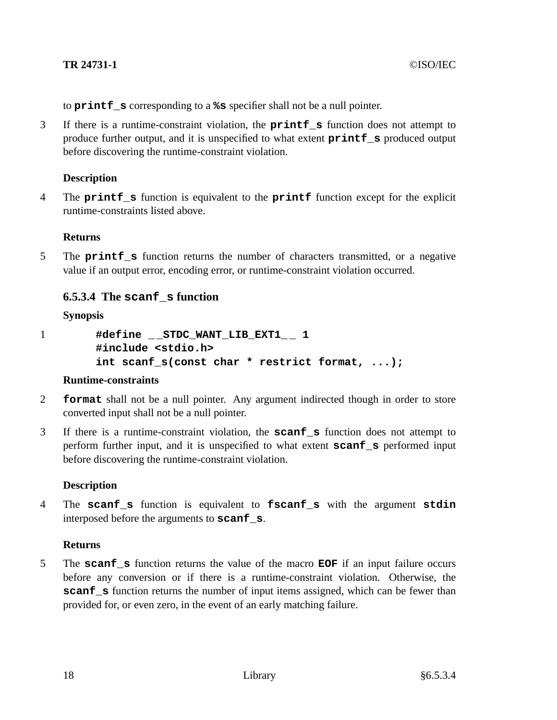to **printf\_s** corresponding to a **%s** specifier shall not be a null pointer.

3 If there is a runtime-constraint violation, the **printf\_s** function does not attempt to produce further output, and it is unspecified to what extent **printf\_s** produced output before discovering the runtime-constraint violation.

#### **Description**

4 The **printf\_s** function is equivalent to the **printf** function except for the explicit runtime-constraints listed above.

#### **Returns**

5 The **printf\_s** function returns the number of characters transmitted, or a negative value if an output error, encoding error, or runtime-constraint violation occurred.

# **6.5.3.4 The scanf\_s function**

#### **Synopsis**

```
1 #define _ _STDC_WANT_LIB_EXT1_ _ 1
        #include <stdio.h>
        int scanf_s(const char * restrict format, ...);
```
## **Runtime-constraints**

- 2 **format** shall not be a null pointer. Any argument indirected though in order to store converted input shall not be a null pointer.
- 3 If there is a runtime-constraint violation, the **scanf\_s** function does not attempt to perform further input, and it is unspecified to what extent **scanf\_s** performed input before discovering the runtime-constraint violation.

## **Description**

4 The **scanf\_s** function is equivalent to **fscanf\_s** with the argument **stdin** interposed before the arguments to **scanf\_s**.

## **Returns**

5 The **scanf\_s** function returns the value of the macro **EOF** if an input failure occurs before any conversion or if there is a runtime-constraint violation. Otherwise, the **scanf s** function returns the number of input items assigned, which can be fewer than provided for, or even zero, in the event of an early matching failure.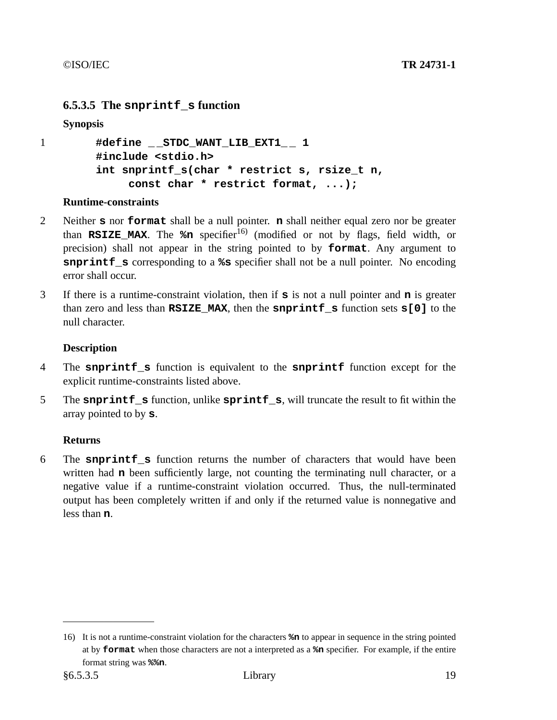# **6.5.3.5 The snprintf\_s function**

#### **Synopsis**

```
1 #define _ _STDC_WANT_LIB_EXT1_ _ 1
        #include <stdio.h>
        int snprintf_s(char * restrict s, rsize_t n,
             const char * restrict format, ...);
```
#### **Runtime-constraints**

- 2 Neither **s** nor **format** shall be a null pointer. **n** shall neither equal zero nor be greater than **RSIZE\_MAX**. The  $\text{sn}$  specifier<sup>16)</sup> (modified or not by flags, field width, or precision) shall not appear in the string pointed to by **format**. Any argument to **snprintf\_s** corresponding to a **%s** specifier shall not be a null pointer. No encoding error shall occur.
- 3 If there is a runtime-constraint violation, then if **s** is not a null pointer and **n** is greater than zero and less than **RSIZE\_MAX**, then the **snprintf\_s** function sets **s[0]** to the null character.

## **Description**

- 4 The **snprintf\_s** function is equivalent to the **snprintf** function except for the explicit runtime-constraints listed above.
- 5 The **snprintf\_s** function, unlike **sprintf\_s**, will truncate the result to fit within the array pointed to by **s**.

## **Returns**

6 The **snprintf\_s** function returns the number of characters that would have been written had **n** been sufficiently large, not counting the terminating null character, or a negative value if a runtime-constraint violation occurred. Thus, the null-terminated output has been completely written if and only if the returned value is nonnegative and less than **n**.

<sup>16)</sup> It is not a runtime-constraint violation for the characters **%n** to appear in sequence in the string pointed at by **format** when those characters are not a interpreted as a **%n** specifier. For example, if the entire format string was **%%n**.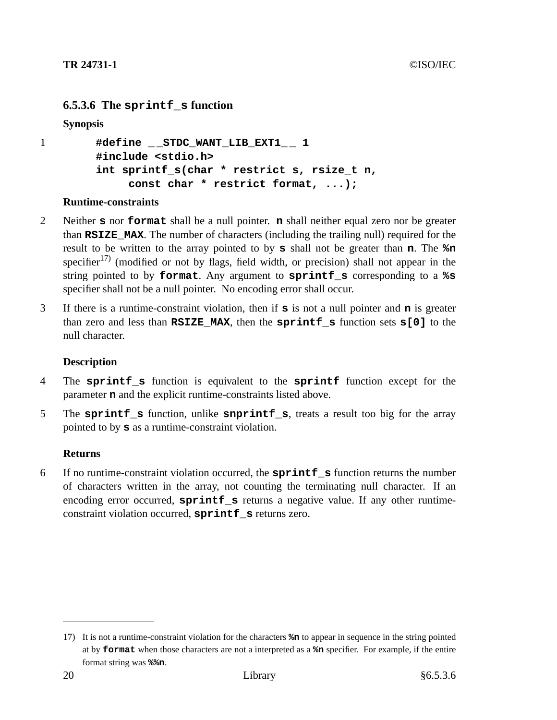# **6.5.3.6 The sprintf\_s function**

# **Synopsis**

```
1 #define _ _STDC_WANT_LIB_EXT1_ _ 1
        #include <stdio.h>
        int sprintf_s(char * restrict s, rsize_t n,
             const char * restrict format, ...);
```
## **Runtime-constraints**

- 2 Neither **s** nor **format** shall be a null pointer. **n** shall neither equal zero nor be greater than **RSIZE\_MAX**. The number of characters (including the trailing null) required for the result to be written to the array pointed to by **s** shall not be greater than **n**. The **%n** specifier<sup>17)</sup> (modified or not by flags, field width, or precision) shall not appear in the string pointed to by **format**. Any argument to **sprintf\_s** corresponding to a **%s** specifier shall not be a null pointer. No encoding error shall occur.
- 3 If there is a runtime-constraint violation, then if **s** is not a null pointer and **n** is greater than zero and less than **RSIZE\_MAX**, then the **sprintf\_s** function sets **s[0]** to the null character.

#### **Description**

- 4 The **sprintf\_s** function is equivalent to the **sprintf** function except for the parameter **n** and the explicit runtime-constraints listed above.
- 5 The **sprintf\_s** function, unlike **snprintf\_s**, treats a result too big for the array pointed to by **s** as a runtime-constraint violation.

## **Returns**

6 If no runtime-constraint violation occurred, the **sprintf\_s** function returns the number of characters written in the array, not counting the terminating null character. If an encoding error occurred, **sprintf\_s** returns a negative value. If any other runtimeconstraint violation occurred, **sprintf\_s** returns zero.

<sup>17)</sup> It is not a runtime-constraint violation for the characters **%n** to appear in sequence in the string pointed at by **format** when those characters are not a interpreted as a **%n** specifier. For example, if the entire format string was **%%n**.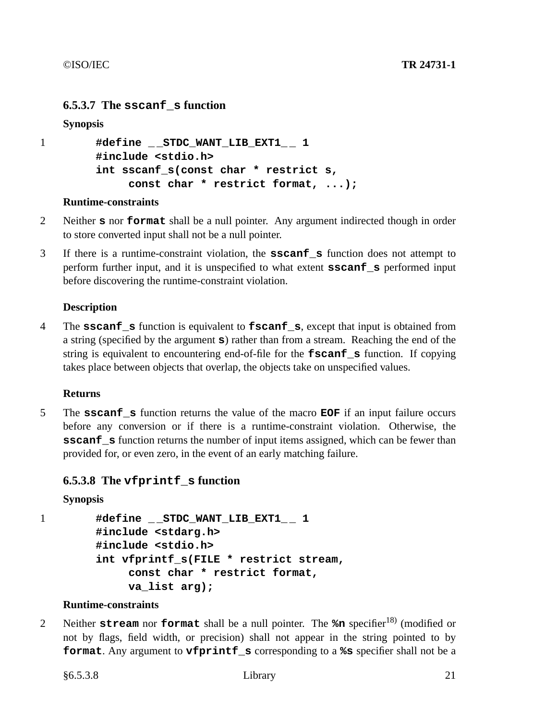# **6.5.3.7 The sscanf\_s function**

#### **Synopsis**

```
1 #define _ _STDC_WANT_LIB_EXT1_ _ 1
        #include <stdio.h>
        int sscanf_s(const char * restrict s,
             const char * restrict format, ...);
```
#### **Runtime-constraints**

- 2 Neither **s** nor **format** shall be a null pointer. Any argument indirected though in order to store converted input shall not be a null pointer.
- 3 If there is a runtime-constraint violation, the **sscanf\_s** function does not attempt to perform further input, and it is unspecified to what extent **sscanf\_s** performed input before discovering the runtime-constraint violation.

#### **Description**

4 The **sscanf\_s** function is equivalent to **fscanf\_s**, except that input is obtained from a string (specified by the argument **s**) rather than from a stream. Reaching the end of the string is equivalent to encountering end-of-file for the **fscanf\_s** function. If copying takes place between objects that overlap, the objects take on unspecified values.

#### **Returns**

5 The **sscanf\_s** function returns the value of the macro **EOF** if an input failure occurs before any conversion or if there is a runtime-constraint violation. Otherwise, the **sscanf\_s** function returns the number of input items assigned, which can be fewer than provided for, or even zero, in the event of an early matching failure.

## **6.5.3.8 The vfprintf\_s function**

#### **Synopsis**

```
1 #define _ _STDC_WANT_LIB_EXT1_ _ 1
        #include <stdarg.h>
        #include <stdio.h>
        int vfprintf_s(FILE * restrict stream,
             const char * restrict format,
             va_list arg);
```
#### **Runtime-constraints**

2 Neither **stream** nor **format** shall be a null pointer. The  $\text{\$n$}$  specifier<sup>18)</sup> (modified or not by flags, field width, or precision) shall not appear in the string pointed to by **format**. Any argument to **vfprintf** s corresponding to a  $\&$  s specifier shall not be a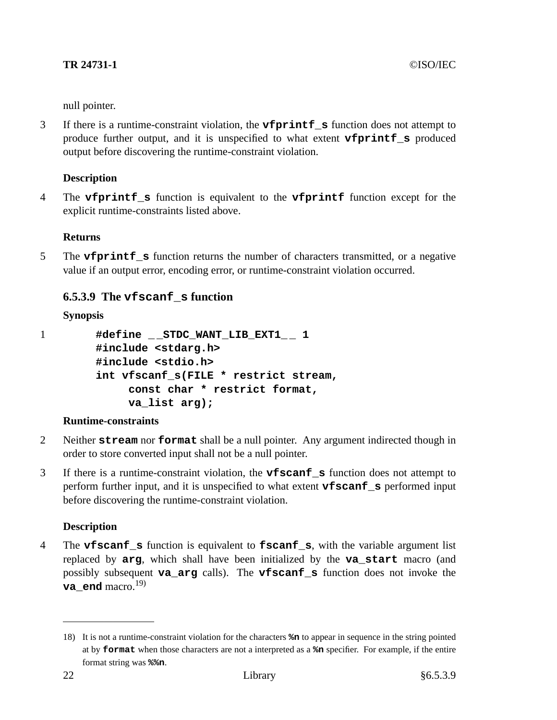null pointer.

3 If there is a runtime-constraint violation, the **vfprintf\_s** function does not attempt to produce further output, and it is unspecified to what extent **vfprintf\_s** produced output before discovering the runtime-constraint violation.

## **Description**

4 The **vfprintf\_s** function is equivalent to the **vfprintf** function except for the explicit runtime-constraints listed above.

#### **Returns**

5 The **vfprintf** s function returns the number of characters transmitted, or a negative value if an output error, encoding error, or runtime-constraint violation occurred.

# **6.5.3.9 The vfscanf\_s function**

#### **Synopsis**

1 **#define \_ \_STDC\_WANT\_LIB\_EXT1\_ \_ 1 #include <stdarg.h> #include <stdio.h> int vfscanf\_s(FILE \* restrict stream, const char \* restrict format, va\_list arg);**

#### **Runtime-constraints**

- 2 Neither **stream** nor **format** shall be a null pointer. Any argument indirected though in order to store converted input shall not be a null pointer.
- 3 If there is a runtime-constraint violation, the **vfscanf\_s** function does not attempt to perform further input, and it is unspecified to what extent **vfscanf\_s** performed input before discovering the runtime-constraint violation.

## **Description**

4 The **vfscanf\_s** function is equivalent to **fscanf\_s**, with the variable argument list replaced by **arg**, which shall have been initialized by the **va\_start** macro (and possibly subsequent **va\_arg** calls). The **vfscanf\_s** function does not invoke the **va** end macro.<sup>19)</sup>

<sup>18)</sup> It is not a runtime-constraint violation for the characters **%n** to appear in sequence in the string pointed at by **format** when those characters are not a interpreted as a **%n** specifier. For example, if the entire format string was **%%n**.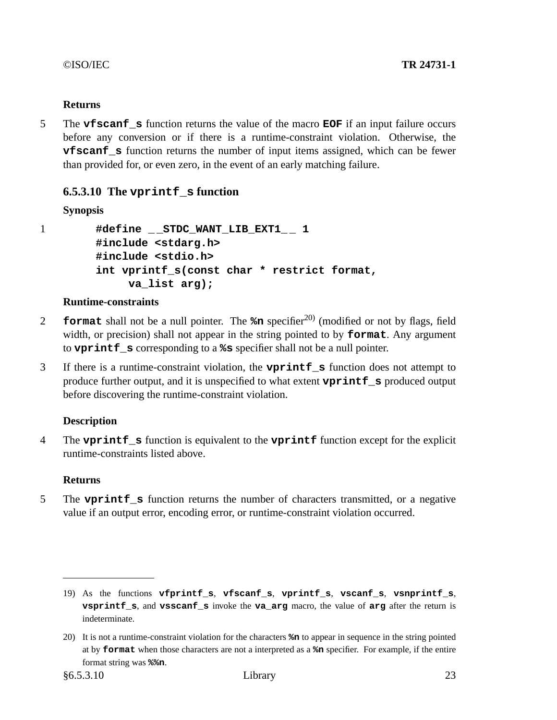#### **Returns**

5 The **vfscanf\_s** function returns the value of the macro **EOF** if an input failure occurs before any conversion or if there is a runtime-constraint violation. Otherwise, the **vfscanf\_s** function returns the number of input items assigned, which can be fewer than provided for, or even zero, in the event of an early matching failure.

# **6.5.3.10 The vprintf\_s function**

#### **Synopsis**

1 **#define \_ \_STDC\_WANT\_LIB\_EXT1\_ \_ 1 #include <stdarg.h> #include <stdio.h> int vprintf\_s(const char \* restrict format, va\_list arg);**

#### **Runtime-constraints**

- 2 **format** shall not be a null pointer. The  $\text{Rn}$  specifier<sup>20)</sup> (modified or not by flags, field width, or precision) shall not appear in the string pointed to by **format**. Any argument to **vprintf\_s** corresponding to a **%s** specifier shall not be a null pointer.
- 3 If there is a runtime-constraint violation, the **vprintf\_s** function does not attempt to produce further output, and it is unspecified to what extent **vprintf\_s** produced output before discovering the runtime-constraint violation.

## **Description**

4 The **vprintf\_s** function is equivalent to the **vprintf** function except for the explicit runtime-constraints listed above.

#### **Returns**

5 The **vprintf\_s** function returns the number of characters transmitted, or a negative value if an output error, encoding error, or runtime-constraint violation occurred.

<sup>19)</sup> As the functions **vfprintf\_s**, **vfscanf\_s**, **vprintf\_s**, **vscanf\_s**, **vsnprintf\_s**, **vsprintf** s, and **vsscanf** s invoke the **va** arg macro, the value of arg after the return is indeterminate.

<sup>20)</sup> It is not a runtime-constraint violation for the characters **%n** to appear in sequence in the string pointed at by **format** when those characters are not a interpreted as a **%n** specifier. For example, if the entire format string was **%%n**.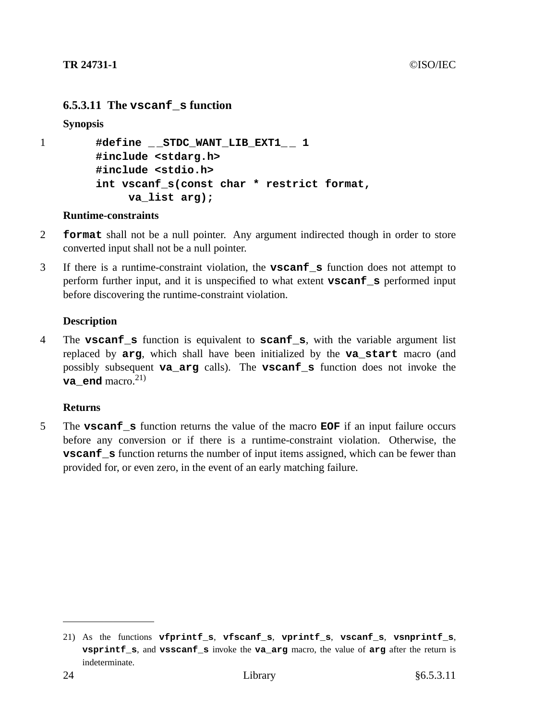# **6.5.3.11 The vscanf\_s function**

# **Synopsis**

```
1 #define _ _STDC_WANT_LIB_EXT1_ _ 1
        #include <stdarg.h>
        #include <stdio.h>
        int vscanf_s(const char * restrict format,
             va_list arg);
```
## **Runtime-constraints**

- 2 **format** shall not be a null pointer. Any argument indirected though in order to store converted input shall not be a null pointer.
- 3 If there is a runtime-constraint violation, the **vscanf\_s** function does not attempt to perform further input, and it is unspecified to what extent **vscanf\_s** performed input before discovering the runtime-constraint violation.

# **Description**

4 The **vscanf\_s** function is equivalent to **scanf\_s**, with the variable argument list replaced by **arg**, which shall have been initialized by the **va\_start** macro (and possibly subsequent **va\_arg** calls). The **vscanf\_s** function does not invoke the **va** end macro.<sup>21)</sup>

## **Returns**

5 The **vscanf\_s** function returns the value of the macro **EOF** if an input failure occurs before any conversion or if there is a runtime-constraint violation. Otherwise, the **vscanf\_s** function returns the number of input items assigned, which can be fewer than provided for, or even zero, in the event of an early matching failure.

<sup>21)</sup> As the functions **vfprintf\_s**, **vfscanf\_s**, **vprintf\_s**, **vscanf\_s**, **vsnprintf\_s**, **vsprintf\_s**, and **vsscanf\_s** invoke the **va\_arg** macro, the value of **arg** after the return is indeterminate.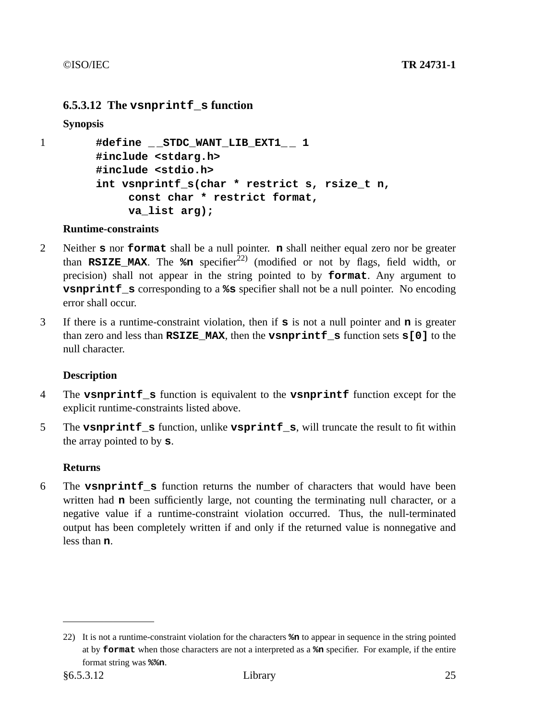# **6.5.3.12 The vsnprintf\_s function**

**Synopsis**

```
1 #define _ _STDC_WANT_LIB_EXT1_ _ 1
        #include <stdarg.h>
        #include <stdio.h>
        int vsnprintf_s(char * restrict s, rsize_t n,
             const char * restrict format,
             va_list arg);
```
#### **Runtime-constraints**

- 2 Neither **s** nor **format** shall be a null pointer. **n** shall neither equal zero nor be greater than **RSIZE MAX**. The  $\text{sn}$  specifier<sup>22)</sup> (modified or not by flags, field width, or precision) shall not appear in the string pointed to by **format**. Any argument to **vsnprintf\_s** corresponding to a **%s** specifier shall not be a null pointer. No encoding error shall occur.
- 3 If there is a runtime-constraint violation, then if **s** is not a null pointer and **n** is greater than zero and less than **RSIZE\_MAX**, then the **vsnprintf\_s** function sets **s[0]** to the null character.

#### **Description**

- 4 The **vsnprintf\_s** function is equivalent to the **vsnprintf** function except for the explicit runtime-constraints listed above.
- 5 The **vsnprintf\_s** function, unlike **vsprintf\_s**, will truncate the result to fit within the array pointed to by **s**.

## **Returns**

6 The **vsnprintf\_s** function returns the number of characters that would have been written had **n** been sufficiently large, not counting the terminating null character, or a negative value if a runtime-constraint violation occurred. Thus, the null-terminated output has been completely written if and only if the returned value is nonnegative and less than **n**.

<sup>22)</sup> It is not a runtime-constraint violation for the characters **%n** to appear in sequence in the string pointed at by **format** when those characters are not a interpreted as a **%n** specifier. For example, if the entire format string was **%%n**.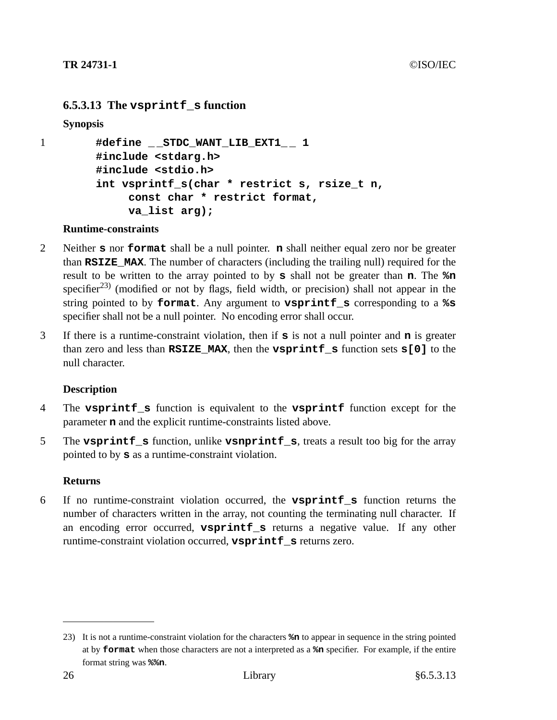# **6.5.3.13 The vsprintf\_s function**

**Synopsis**

```
1 #define _ _STDC_WANT_LIB_EXT1_ _ 1
        #include <stdarg.h>
        #include <stdio.h>
        int vsprintf_s(char * restrict s, rsize_t n,
             const char * restrict format,
             va_list arg);
```
#### **Runtime-constraints**

- 2 Neither **s** nor **format** shall be a null pointer. **n** shall neither equal zero nor be greater than **RSIZE** MAX. The number of characters (including the trailing null) required for the result to be written to the array pointed to by **s** shall not be greater than **n**. The **%n** specifier<sup>23)</sup> (modified or not by flags, field width, or precision) shall not appear in the string pointed to by **format**. Any argument to **vsprintf\_s** corresponding to a **%s** specifier shall not be a null pointer. No encoding error shall occur.
- 3 If there is a runtime-constraint violation, then if **s** is not a null pointer and **n** is greater than zero and less than **RSIZE\_MAX**, then the **vsprintf\_s** function sets **s[0]** to the null character.

## **Description**

- 4 The **vsprintf\_s** function is equivalent to the **vsprintf** function except for the parameter **n** and the explicit runtime-constraints listed above.
- 5 The **vsprintf\_s** function, unlike **vsnprintf\_s**, treats a result too big for the array pointed to by **s** as a runtime-constraint violation.

## **Returns**

6 If no runtime-constraint violation occurred, the **vsprintf\_s** function returns the number of characters written in the array, not counting the terminating null character. If an encoding error occurred, **vsprintf\_s** returns a negative value. If any other runtime-constraint violation occurred, **vsprintf\_s** returns zero.

<sup>23)</sup> It is not a runtime-constraint violation for the characters **%n** to appear in sequence in the string pointed at by **format** when those characters are not a interpreted as a **%n** specifier. For example, if the entire format string was **%%n**.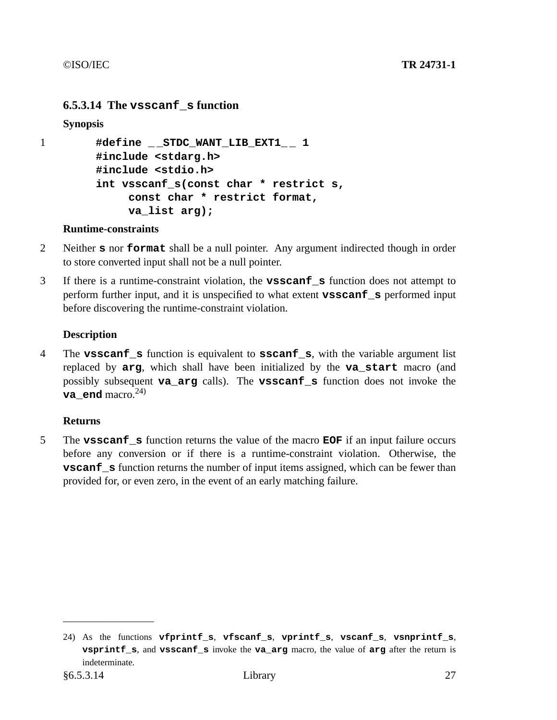# **6.5.3.14 The vsscanf\_s function**

**Synopsis**

```
1 #define _ _STDC_WANT_LIB_EXT1_ _ 1
        #include <stdarg.h>
        #include <stdio.h>
        int vsscanf_s(const char * restrict s,
             const char * restrict format,
             va_list arg);
```
#### **Runtime-constraints**

- 2 Neither **s** nor **format** shall be a null pointer. Any argument indirected though in order to store converted input shall not be a null pointer.
- 3 If there is a runtime-constraint violation, the **vsscanf\_s** function does not attempt to perform further input, and it is unspecified to what extent **vsscanf\_s** performed input before discovering the runtime-constraint violation.

#### **Description**

4 The **vsscanf\_s** function is equivalent to **sscanf\_s**, with the variable argument list replaced by **arg**, which shall have been initialized by the **va\_start** macro (and possibly subsequent **va\_arg** calls). The **vsscanf\_s** function does not invoke the **va** end macro.<sup>24)</sup>

#### **Returns**

5 The **vsscanf\_s** function returns the value of the macro **EOF** if an input failure occurs before any conversion or if there is a runtime-constraint violation. Otherwise, the **vscanf** s function returns the number of input items assigned, which can be fewer than provided for, or even zero, in the event of an early matching failure.

<sup>24)</sup> As the functions **vfprintf\_s**, **vfscanf\_s**, **vprintf\_s**, **vscanf\_s**, **vsnprintf\_s**, **vsprintf\_s**, and **vsscanf\_s** invoke the **va\_arg** macro, the value of **arg** after the return is indeterminate.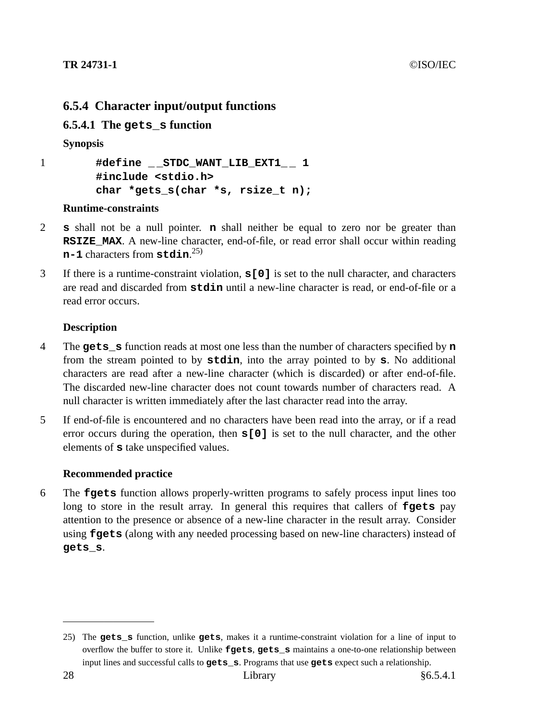# **6.5.4 Character input/output functions**

**6.5.4.1 The gets\_s function**

# **Synopsis**

```
1 #define _ _STDC_WANT_LIB_EXT1_ _ 1
        #include <stdio.h>
        char *gets_s(char *s, rsize_t n);
```
## **Runtime-constraints**

- 2 **s** shall not be a null pointer. **n** shall neither be equal to zero nor be greater than **RSIZE\_MAX.** A new-line character, end-of-file, or read error shall occur within reading **n-1** characters from **stdin**. 25)
- 3 If there is a runtime-constraint violation, **s[0]** is set to the null character, and characters are read and discarded from **stdin** until a new-line character is read, or end-of-file or a read error occurs.

# **Description**

- 4 The **gets\_s** function reads at most one less than the number of characters specified by **n** from the stream pointed to by **stdin**, into the array pointed to by **s**. No additional characters are read after a new-line character (which is discarded) or after end-of-file. The discarded new-line character does not count towards number of characters read. A null character is written immediately after the last character read into the array.
- 5 If end-of-file is encountered and no characters have been read into the array, or if a read error occurs during the operation, then **s[0]** is set to the null character, and the other elements of **s** take unspecified values.

## **Recommended practice**

6 The **fgets** function allows properly-written programs to safely process input lines too long to store in the result array. In general this requires that callers of **fgets** pay attention to the presence or absence of a new-line character in the result array. Consider using **fgets** (along with any needed processing based on new-line characters) instead of **gets\_s**.

<sup>25)</sup> The **gets\_s** function, unlike **gets**, makes it a runtime-constraint violation for a line of input to overflow the buffer to store it. Unlike **fgets**, **gets\_s** maintains a one-to-one relationship between input lines and successful calls to **gets\_s**. Programs that use **gets** expect such a relationship.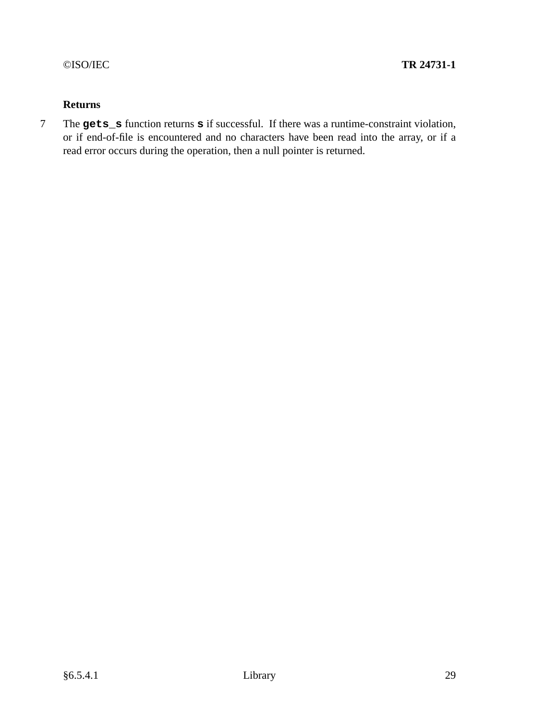#### **Returns**

7 The **gets\_s** function returns **s** if successful. If there was a runtime-constraint violation, or if end-of-file is encountered and no characters have been read into the array, or if a read error occurs during the operation, then a null pointer is returned.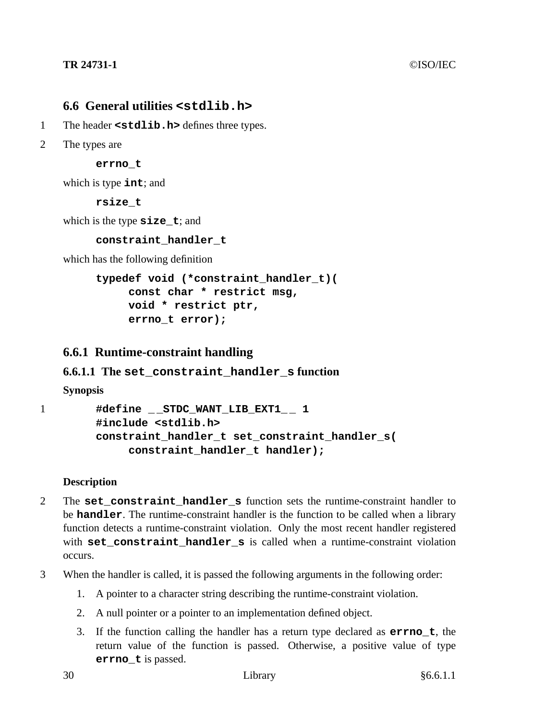# **6.6 General utilities <stdlib.h>**

- 1 The header **<stdlib.h>** defines three types.
- 2 The types are

**errno\_t**

which is type **int**; and

**rsize\_t**

which is the type **size t**; and

**constraint\_handler\_t**

which has the following definition

```
typedef void (*constraint_handler_t)(
     const char * restrict msg,
     void * restrict ptr,
     errno_t error);
```
# **6.6.1 Runtime-constraint handling**

```
6.6.1.1 The set_constraint_handler_s function
```
**Synopsis**

```
1 #define _ _STDC_WANT_LIB_EXT1_ _ 1
        #include <stdlib.h>
        constraint_handler_t set_constraint_handler_s(
             constraint_handler_t handler);
```
## **Description**

- 2 The **set constraint handler s** function sets the runtime-constraint handler to be **handler**. The runtime-constraint handler is the function to be called when a library function detects a runtime-constraint violation. Only the most recent handler registered with set constraint handler s is called when a runtime-constraint violation occurs.
- 3 When the handler is called, it is passed the following arguments in the following order:
	- 1. A pointer to a character string describing the runtime-constraint violation.
	- 2. A null pointer or a pointer to an implementation defined object.
	- 3. If the function calling the handler has a return type declared as **errno\_t**, the return value of the function is passed. Otherwise, a positive value of type **errno\_t** is passed.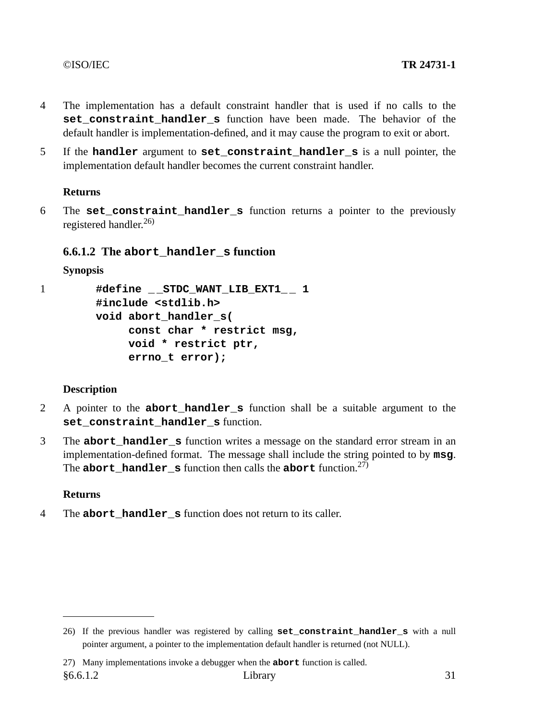- 4 The implementation has a default constraint handler that is used if no calls to the set constraint handler s function have been made. The behavior of the default handler is implementation-defined, and it may cause the program to exit or abort.
- 5 If the **handler** argument to **set\_constraint\_handler\_s** is a null pointer, the implementation default handler becomes the current constraint handler.

6 The **set\_constraint\_handler\_s** function returns a pointer to the previously registered handler. 26)

# **6.6.1.2 The abort\_handler\_s function**

#### **Synopsis**

```
1 #define _ _STDC_WANT_LIB_EXT1_ _ 1
        #include <stdlib.h>
        void abort_handler_s(
             const char * restrict msg,
             void * restrict ptr,
             errno_t error);
```
#### **Description**

- 2 A pointer to the **abort\_handler\_s** function shall be a suitable argument to the set constraint handler s function.
- 3 The **abort\_handler\_s** function writes a message on the standard error stream in an implementation-defined format. The message shall include the string pointed to by **msg**. The **abort** handler s function then calls the **abort** function.<sup>27)</sup>

#### **Returns**

4 The **abort\_handler\_s** function does not return to its caller.

<sup>26)</sup> If the previous handler was registered by calling **set\_constraint\_handler\_s** with a null pointer argument, a pointer to the implementation default handler is returned (not NULL).

<sup>27)</sup> Many implementations invoke a debugger when the **abort** function is called.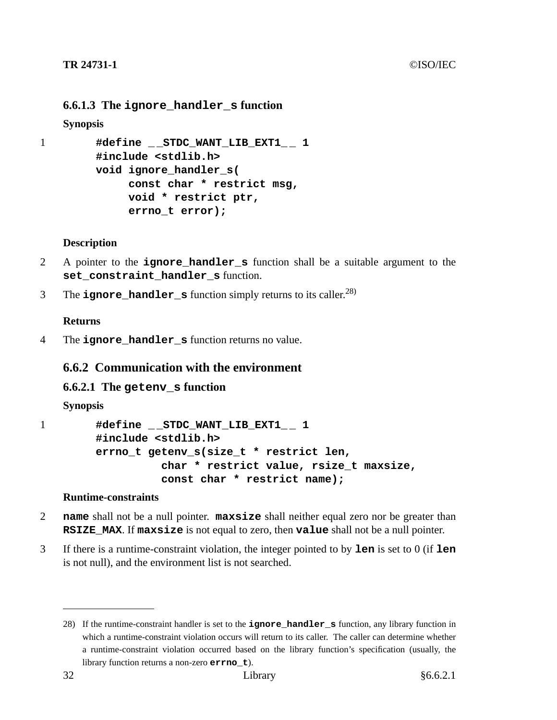# **6.6.1.3 The ignore\_handler\_s function**

**Synopsis**

```
1 #define _ _STDC_WANT_LIB_EXT1_ _ 1
        #include <stdlib.h>
        void ignore_handler_s(
             const char * restrict msg,
             void * restrict ptr,
             errno_t error);
```
## **Description**

- 2 A pointer to the **ignore\_handler\_s** function shall be a suitable argument to the set constraint handler s function.
- 3 The **ignore\_handler\_s** function simply returns to its caller. 28)

## **Returns**

4 The **ignore\_handler\_s** function returns no value.

# **6.6.2 Communication with the environment**

# **6.6.2.1 The getenv\_s function**

**Synopsis**

1 **#define \_ \_STDC\_WANT\_LIB\_EXT1\_ \_ 1 #include <stdlib.h> errno\_t getenv\_s(size\_t \* restrict len, char \* restrict value, rsize\_t maxsize, const char \* restrict name);**

# **Runtime-constraints**

- 2 **name** shall not be a null pointer. **maxsize** shall neither equal zero nor be greater than **RSIZE\_MAX**. If **maxsize** is not equal to zero, then **value** shall not be a null pointer.
- 3 If there is a runtime-constraint violation, the integer pointed to by **len** is set to 0 (if **len** is not null), and the environment list is not searched.

<sup>28)</sup> If the runtime-constraint handler is set to the **ignore\_handler\_s** function, any library function in which a runtime-constraint violation occurs will return to its caller. The caller can determine whether a runtime-constraint violation occurred based on the library function's specification (usually, the library function returns a non-zero **errno\_t**).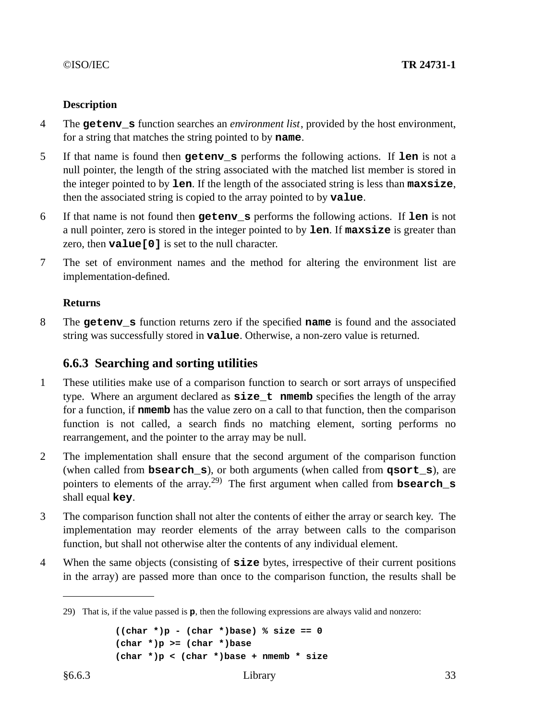## **Description**

- 4 The **getenv\_s** function searches an *environment list*, provided by the host environment, for a string that matches the string pointed to by **name**.
- 5 If that name is found then **getenv\_s** performs the following actions. If **len** is not a null pointer, the length of the string associated with the matched list member is stored in the integer pointed to by **len**. If the length of the associated string is less than **maxsize**, then the associated string is copied to the array pointed to by **value**.
- 6 If that name is not found then **getenv\_s** performs the following actions. If **len** is not a null pointer, zero is stored in the integer pointed to by **len**. If **maxsize** is greater than zero, then **value[0]** is set to the null character.
- 7 The set of environment names and the method for altering the environment list are implementation-defined.

#### **Returns**

8 The **getenv\_s** function returns zero if the specified **name** is found and the associated string was successfully stored in **value**. Otherwise, a non-zero value is returned.

# **6.6.3 Searching and sorting utilities**

- 1 These utilities make use of a comparison function to search or sort arrays of unspecified type. Where an argument declared as **size\_t nmemb** specifies the length of the array for a function, if **nmemb** has the value zero on a call to that function, then the comparison function is not called, a search finds no matching element, sorting performs no rearrangement, and the pointer to the array may be null.
- 2 The implementation shall ensure that the second argument of the comparison function (when called from **bsearch\_s**), or both arguments (when called from **qsort\_s**), are pointers to elements of the array. 29) The first argument when called from **bsearch\_s** shall equal **key**.
- 3 The comparison function shall not alter the contents of either the array or search key. The implementation may reorder elements of the array between calls to the comparison function, but shall not otherwise alter the contents of any individual element.
- 4 When the same objects (consisting of **size** bytes, irrespective of their current positions in the array) are passed more than once to the comparison function, the results shall be

```
((char * )p - (char * )base) % size == 0(char *)p >= (char *)base
(char *)p < (char *)base + nmemb * size
```
<sup>29)</sup> That is, if the value passed is **p**, then the following expressions are always valid and nonzero: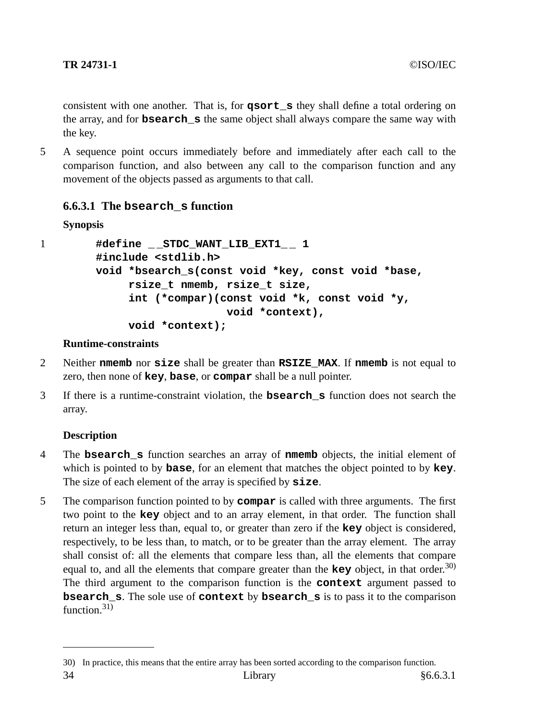consistent with one another. That is, for **qsort** s they shall define a total ordering on the array, and for **bsearch\_s** the same object shall always compare the same way with the key.

5 A sequence point occurs immediately before and immediately after each call to the comparison function, and also between any call to the comparison function and any movement of the objects passed as arguments to that call.

# **6.6.3.1 The bsearch\_s function**

#### **Synopsis**

```
1 #define _ _STDC_WANT_LIB_EXT1_ _ 1
        #include <stdlib.h>
        void *bsearch_s(const void *key, const void *base,
             rsize_t nmemb, rsize_t size,
             int (*compar)(const void *k, const void *y,
                            void *context),
             void *context);
```
#### **Runtime-constraints**

- 2 Neither **nmemb** nor **size** shall be greater than **RSIZE\_MAX**. If **nmemb** is not equal to zero, then none of **key**, **base**, or **compar** shall be a null pointer.
- 3 If there is a runtime-constraint violation, the **bsearch\_s** function does not search the array.

# **Description**

- 4 The **bsearch\_s** function searches an array of **nmemb** objects, the initial element of which is pointed to by **base**, for an element that matches the object pointed to by **key**. The size of each element of the array is specified by **size**.
- 5 The comparison function pointed to by **compar** is called with three arguments. The first two point to the **key** object and to an array element, in that order. The function shall return an integer less than, equal to, or greater than zero if the **key** object is considered, respectively, to be less than, to match, or to be greater than the array element. The array shall consist of: all the elements that compare less than, all the elements that compare equal to, and all the elements that compare greater than the **key** object, in that order. 30) The third argument to the comparison function is the **context** argument passed to **bsearch** s. The sole use of **context** by **bsearch** s is to pass it to the comparison function.  $31$ )

<sup>30)</sup> In practice, this means that the entire array has been sorted according to the comparison function.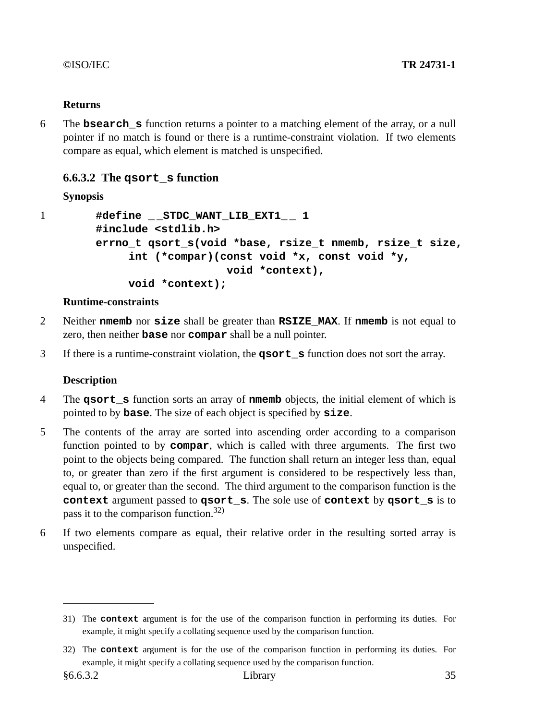6 The **bsearch\_s** function returns a pointer to a matching element of the array, oranull pointer if no match is found or there is a runtime-constraint violation. If two elements compare as equal, which element is matched is unspecified.

# **6.6.3.2 The qsort\_s function**

## **Synopsis**

```
1 #define _ _STDC_WANT_LIB_EXT1_ _ 1
        #include <stdlib.h>
        errno_t qsort_s(void *base, rsize_t nmemb, rsize_t size,
             int (*compar)(const void *x, const void *y,
                            void *context),
             void *context);
```
#### **Runtime-constraints**

- 2 Neither **nmemb** nor **size** shall be greater than **RSIZE\_MAX**. If **nmemb** is not equal to zero, then neither **base** nor **compar** shall be a null pointer.
- 3 If there is a runtime-constraint violation, the **qsort\_s** function does not sort the array.

#### **Description**

- 4 The **qsort\_s** function sorts an array of **nmemb** objects, the initial element of which is pointed to by **base**. The size of each object is specified by **size**.
- 5 The contents of the array are sorted into ascending order according to a comparison function pointed to by **compar**, which is called with three arguments. The first two point to the objects being compared. The function shall return an integer less than, equal to, or greater than zero if the first argument is considered to be respectively less than, equal to, or greater than the second. The third argument to the comparison function is the **context** argument passed to **qsort\_s**. The sole use of **context** by **qsort\_s** is to pass it to the comparison function.<sup>32)</sup>
- 6 If two elements compare as equal, their relative order in the resulting sorted array is unspecified.

<sup>31)</sup> The **context** argument is for the use of the comparison function in performing its duties. For example, it might specify a collating sequence used by the comparison function.

<sup>32)</sup> The **context** argument is for the use of the comparison function in performing its duties. For example, it might specify a collating sequence used by the comparison function.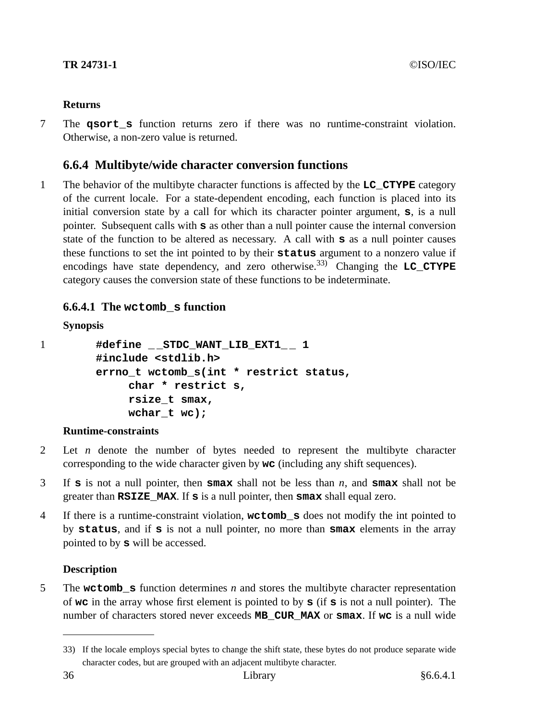7 The **qsort\_s** function returns zero if there was no runtime-constraint violation. Otherwise, a non-zero value is returned.

# **6.6.4 Multibyte/wide character conversion functions**

1 The behavior of the multibyte character functions is affected by the **LC\_CTYPE** category of the current locale. Forastate-dependent encoding, each function is placed into its initial conversion state by a call for which its character pointer argument,  $\bf{s}$ , is a null pointer. Subsequent calls with **s** as other than a null pointer cause the internal conversion state of the function to be altered as necessary. A call with **s** as a null pointer causes these functions to set the int pointed to by their **status** argument to a nonzero value if encodings have state dependency, and zero otherwise.<sup>33)</sup> Changing the **LC CTYPE** category causes the conversion state of these functions to be indeterminate.

# **6.6.4.1 The wctomb\_s function**

# **Synopsis**

1 **#define \_ \_STDC\_WANT\_LIB\_EXT1\_ \_ 1 #include <stdlib.h> errno\_t wctomb\_s(int \* restrict status, char \* restrict s, rsize\_t smax, wchar\_t wc);**

# **Runtime-constraints**

- 2 Let *n* denote the number of bytes needed to represent the multibyte character corresponding to the wide character given by **wc** (including any shift sequences).
- 3 If **s** is not a null pointer, then **smax** shall not be less than *n*, and **smax** shall not be greater than **RSIZE\_MAX**. If **s** is a null pointer, then **smax** shall equal zero.
- 4 If there is a runtime-constraint violation, **wctomb\_s** does not modify the int pointed to by **status**, and if **s** is not a null pointer, no more than **smax** elements in the array pointed to by **s** will be accessed.

# **Description**

5 The **wctomb\_s** function determines *n* and stores the multibyte character representation of **wc** in the array whose first element is pointed to by **s** (if **s** is not a null pointer). The number of characters stored never exceeds **MB\_CUR\_MAX** or **smax**. If **wc** is a null wide

<sup>33)</sup> If the locale employs special bytes to change the shift state, these bytes do not produce separate wide character codes, but are grouped with an adjacent multibyte character.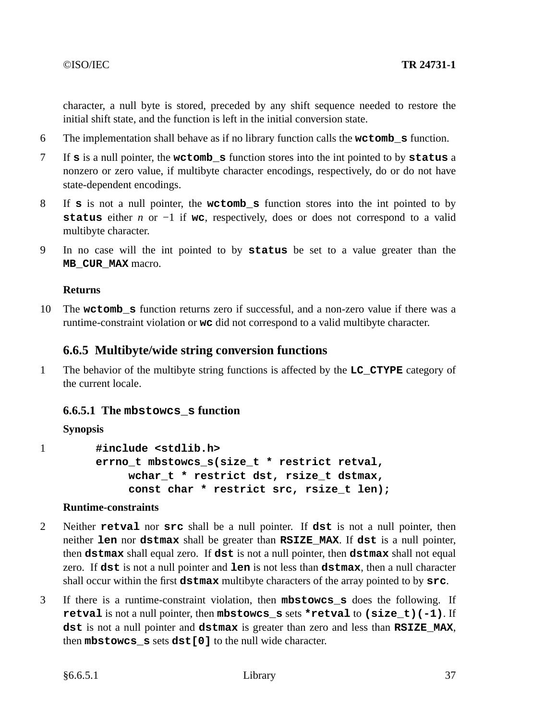character,anull byte is stored, preceded by any shift sequence needed to restore the initial shift state, and the function is left in the initial conversion state.

- 6 The implementation shall behave as if no library function calls the **wctomb\_s** function.
- 7 If **s** is a null pointer, the **wctomb\_s** function stores into the int pointed to by **status** a nonzero or zero value, if multibyte character encodings, respectively, do or do not have state-dependent encodings.
- 8 If **s** is not a null pointer, the **wctomb\_s** function stores into the int pointed to by **status** either *n* or −1 if **wc**, respectively, does or does not correspond to a valid multibyte character.
- 9 In no case will the int pointed to by **status** be set to a value greater than the **MB\_CUR\_MAX** macro.

#### **Returns**

10 The **wctomb\_s** function returns zero if successful, and a non-zero value if there was a runtime-constraint violation or **wc** did not correspond to a valid multibyte character.

# **6.6.5 Multibyte/wide string conversion functions**

1 The behavior of the multibyte string functions is affected by the **LC\_CTYPE** category of the current locale.

#### **6.6.5.1 The mbstowcs\_s function**

#### **Synopsis**

1 **#include <stdlib.h> errno\_t mbstowcs\_s(size\_t \* restrict retval, wchar\_t \* restrict dst, rsize\_t dstmax, const char \* restrict src, rsize\_t len);**

#### **Runtime-constraints**

- 2 Neither **retval** nor **src** shall be a null pointer. If **dst** is not a null pointer, then neither **len** nor **dstmax** shall be greater than **RSIZE\_MAX**. If **dst** is a null pointer, then **dstmax** shall equal zero. If **dst** is not a null pointer, then **dstmax** shall not equal zero. If **dst** is not a null pointer and **len** is not less than **dstmax**, then a null character shall occur within the first **dstmax** multibyte characters of the array pointed to by **src**.
- 3 If there is a runtime-constraint violation, then **mbstowcs\_s** does the following. If **retval** is not a null pointer, then **mbstowcs\_s** sets **\*retval** to **(size\_t)(-1)**. If **dst** is not a null pointer and **dstmax** is greater than zero and less than **RSIZE\_MAX**, then **mbstowcs\_s** sets **dst[0]** to the null wide character.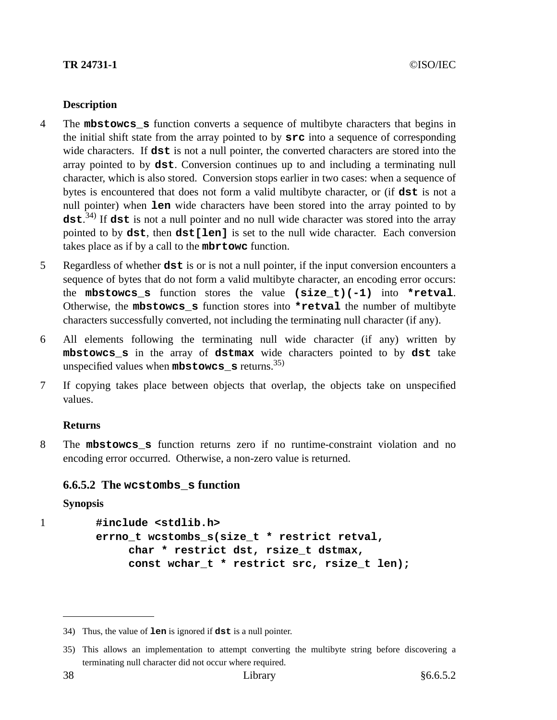## **Description**

- 4 The **mbstowcs\_s** function converts a sequence of multibyte characters that begins in the initial shift state from the array pointed to by **src** into a sequence of corresponding wide characters. If **dst** is not a null pointer, the converted characters are stored into the array pointed to by **dst**. Conversion continues up to and including a terminating null character, which is also stored. Conversion stops earlier in two cases: when a sequence of bytes is encountered that does not form a valid multibyte character, or (if **dst** is not a null pointer) when **len** wide characters have been stored into the array pointed to by **dst**. 34) If **dst** is not a null pointer and no null wide character was stored into the array pointed to by **dst**, then **dst[len]** is set to the null wide character. Each conversion takes place as if by a call to the **mbrtowc** function.
- 5 Regardless of whether **dst** is or is not a null pointer, if the input conversion encounters a sequence of bytes that do not form a valid multibyte character, an encoding error occurs: the **mbstowcs\_s** function stores the value **(size\_t)(-1)** into **\*retval**. Otherwise, the **mbstowcs\_s** function stores into **\*retval** the number of multibyte characters successfully converted, not including the terminating null character (if any).
- 6 All elements following the terminating null wide character (if any) written by **mbstowcs\_s** in the array of **dstmax** wide characters pointed to by **dst** take unspecified values when  $mbstowcs$  s returns.<sup>35)</sup>
- 7 If copying takes place between objects that overlap, the objects take on unspecified values.

#### **Returns**

8 The **mbstowcs\_s** function returns zero if no runtime-constraint violation and no encoding error occurred. Otherwise, a non-zero value is returned.

#### **6.6.5.2 The wcstombs\_s function**

#### **Synopsis**

```
1 #include <stdlib.h>
        errno_t wcstombs_s(size_t * restrict retval,
             char * restrict dst, rsize_t dstmax,
             const wchar_t * restrict src, rsize_t len);
```
<sup>34)</sup> Thus, the value of **len** is ignored if **dst** is a null pointer.

<sup>35)</sup> This allows an implementation to attempt converting the multibyte string before discovering a terminating null character did not occur where required.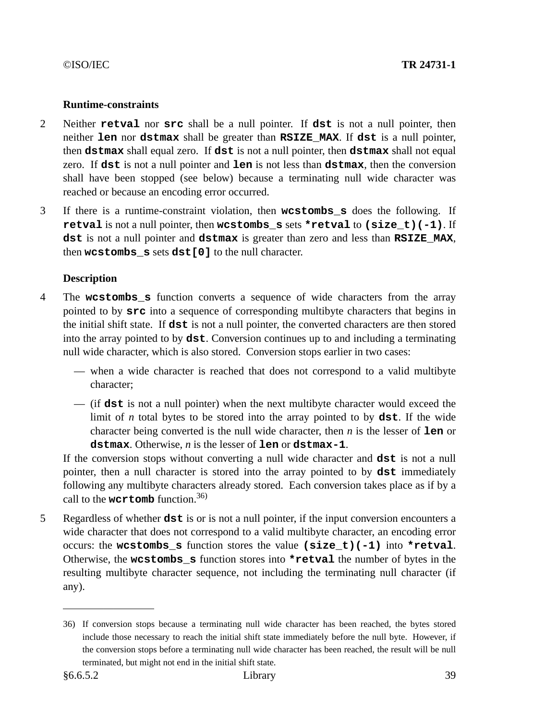## **Runtime-constraints**

- 2 Neither **retval** nor **src** shall be a null pointer. If **dst** is not a null pointer, then neither **len** nor **dstmax** shall be greater than **RSIZE\_MAX**. If **dst** is a null pointer, then **dstmax** shall equal zero. If **dst** is not a null pointer, then **dstmax** shall not equal zero. If **dst** is not a null pointer and **len** is not less than **dstmax**, then the conversion shall have been stopped (see below) because a terminating null wide character was reached or because an encoding error occurred.
- 3 If there is a runtime-constraint violation, then **wcstombs\_s** does the following. If **retval** is not a null pointer, then **wcstombs\_s** sets **\*retval** to **(size\_t)(-1)**. If **dst** is not a null pointer and **dstmax** is greater than zero and less than **RSIZE\_MAX**, then **wcstombs\_s** sets **dst[0]** to the null character.

## **Description**

- 4 The **wcstombs\_s** function converts a sequence of wide characters from the array pointed to by **src** into a sequence of corresponding multibyte characters that begins in the initial shift state. If **dst** is not a null pointer, the converted characters are then stored into the array pointed to by **dst**. Conversion continues up to and including a terminating null wide character, which is also stored. Conversion stops earlier in two cases:
	- when a wide character is reached that does not correspond to a valid multibyte character;
	- (if **dst** is not a null pointer) when the next multibyte character would exceed the limit of *n* total bytes to be stored into the array pointed to by **dst**. If the wide character being converted is the null wide character, then *n* is the lesser of **len** or **dstmax**. Otherwise, *n* is the lesser of **len** or **dstmax-1**.

If the conversion stops without converting a null wide character and **dst** is not a null pointer, then a null character is stored into the array pointed to by **dst** immediately following any multibyte characters already stored. Each conversion takes place as if by a call to the **wcrtomb** function.<sup>36)</sup>

5 Regardless of whether **dst** is or is not a null pointer, if the input conversion encounters a wide character that does not correspond to a valid multibyte character, an encoding error occurs: the **wcstombs\_s** function stores the value **(size\_t)(-1)** into **\*retval**. Otherwise, the **wcstombs\_s** function stores into **\*retval** the number of bytes in the resulting multibyte character sequence, not including the terminating null character (if any).

<sup>36)</sup> If conversion stops because a terminating null wide character has been reached, the bytes stored include those necessary to reach the initial shift state immediately before the null byte. However, if the conversion stops before a terminating null wide character has been reached, the result will be null terminated, but might not end in the initial shift state.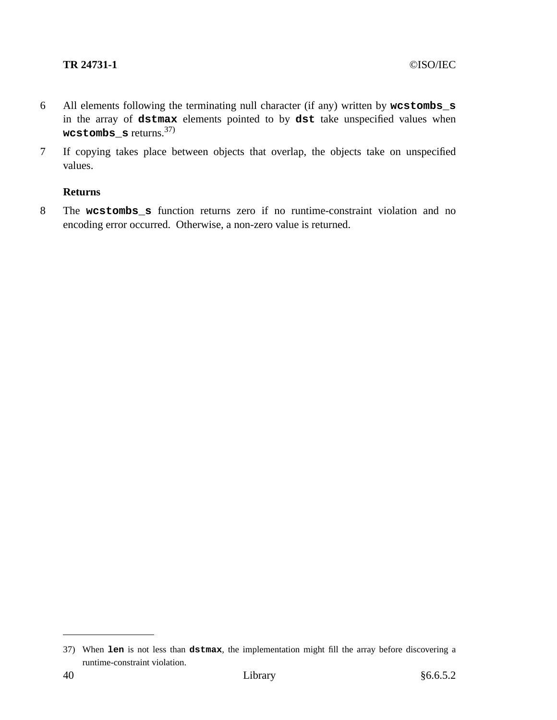- 6 All elements following the terminating null character (if any) written by **wcstombs\_s** in the array of **dstmax** elements pointed to by **dst** take unspecified values when **wcstombs\_s** returns.37)
- 7 If copying takes place between objects that overlap, the objects take on unspecified values.

#### **Returns**

8 The **wcstombs\_s** function returns zero if no runtime-constraint violation and no encoding error occurred. Otherwise, a non-zero value is returned.

<sup>37)</sup> When **len** is not less than **dstmax**, the implementation might fill the array before discovering a runtime-constraint violation.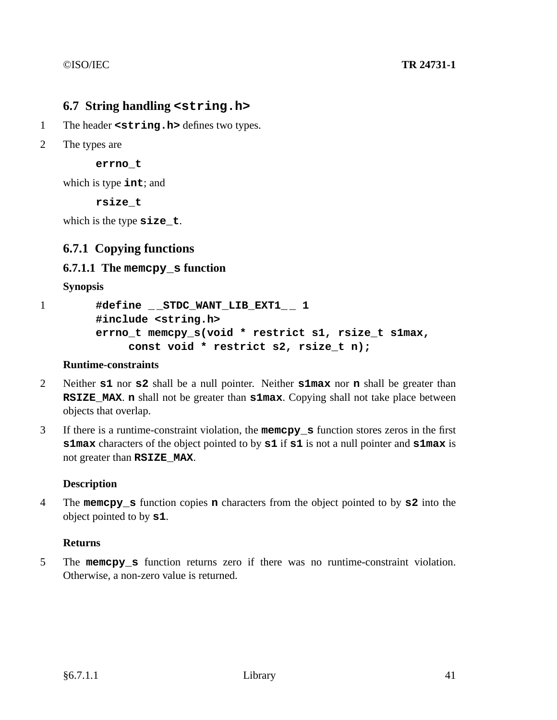# **6.7 String handling <string.h>**

- 1 The header **<string.h>** defines two types.
- 2 The types are

**errno\_t**

which is type **int**; and

**rsize\_t**

which is the type **size t**.

# **6.7.1 Copying functions**

## **6.7.1.1 The memcpy\_s function**

**Synopsis**

1 **#define \_ \_STDC\_WANT\_LIB\_EXT1\_ \_ 1 #include <string.h> errno\_t memcpy\_s(void \* restrict s1, rsize\_t s1max, const void \* restrict s2, rsize\_t n);**

#### **Runtime-constraints**

- 2 Neither **s1** nor **s2** shall be a null pointer. Neither **s1max** nor **n** shall be greater than **RSIZE\_MAX**. **n** shall not be greater than **s1max**. Copying shall not take place between objects that overlap.
- 3 If there is a runtime-constraint violation, the **memcpy\_s** function stores zeros in the first **s1max** characters of the object pointed to by **s1** if **s1** is not a null pointer and **s1max** is not greater than **RSIZE\_MAX**.

#### **Description**

4 The **memcpy\_s** function copies **n** characters from the object pointed to by **s2** into the object pointed to by **s1**.

#### **Returns**

5 The **memcpy\_s** function returns zero if there was no runtime-constraint violation. Otherwise, a non-zero value is returned.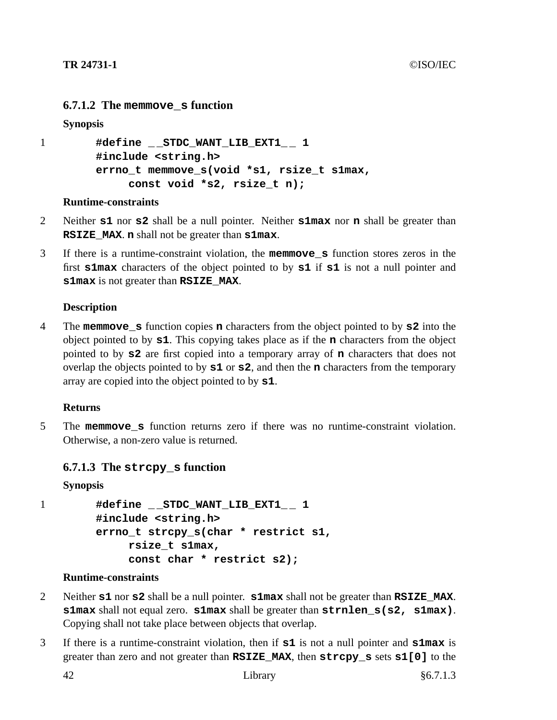# **6.7.1.2 The memmove\_s function**

**Synopsis**

```
1 #define _ _STDC_WANT_LIB_EXT1_ _ 1
        #include <string.h>
        errno_t memmove_s(void *s1, rsize_t s1max,
             const void *s2, rsize_t n);
```
## **Runtime-constraints**

- 2 Neither **s1** nor **s2** shall be a null pointer. Neither **s1max** nor **n** shall be greater than **RSIZE\_MAX**. **n** shall not be greater than **s1max**.
- 3 If there is a runtime-constraint violation, the **memmove\_s** function stores zeros in the first **s1max** characters of the object pointed to by **s1** if **s1** is not a null pointer and **s1max** is not greater than **RSIZE\_MAX**.

# **Description**

4 The **memmove\_s** function copies **n** characters from the object pointed to by **s2** into the object pointed to by **s1**. This copying takes place as if the **n** characters from the object pointed to by **s2** are first copied into a temporary array of **n** characters that does not overlap the objects pointed to by **s1** or **s2**, and then the **n** characters from the temporary array are copied into the object pointed to by **s1**.

# **Returns**

5 The **memmove\_s** function returns zero if there was no runtime-constraint violation. Otherwise, a non-zero value is returned.

# **6.7.1.3 The strcpy\_s function**

**Synopsis**

```
1 #define _ _STDC_WANT_LIB_EXT1_ _ 1
        #include <string.h>
        errno_t strcpy_s(char * restrict s1,
             rsize_t s1max,
             const char * restrict s2);
```
# **Runtime-constraints**

- 2 Neither **s1** nor **s2** shall be a null pointer. **s1max** shall not be greater than **RSIZE\_MAX**. **s1max** shall not equal zero. **s1max** shall be greater than **strnlen\_s(s2, s1max)**. Copying shall not take place between objects that overlap.
- 3 If there is a runtime-constraint violation, then if **s1** is not a null pointer and **s1max** is greater than zero and not greater than **RSIZE\_MAX**, then **strcpy\_s** sets **s1[0]** to the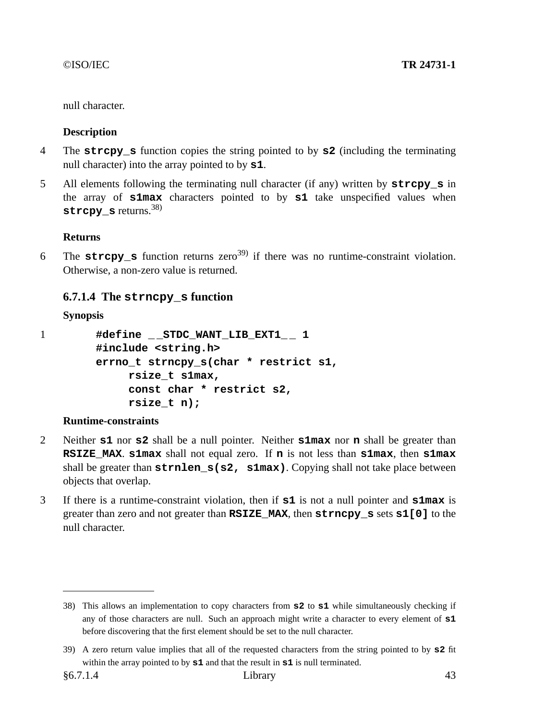null character.

## **Description**

- 4 The **strcpy\_s** function copies the string pointed to by **s2** (including the terminating null character) into the array pointed to by **s1**.
- 5 All elements following the terminating null character (if any) written by **strcpy\_s** in the array of **s1max** characters pointed to by **s1** take unspecified values when strcpy s returns.<sup>38)</sup>

#### **Returns**

6 The **strcpy s** function returns zero<sup>39)</sup> if there was no runtime-constraint violation. Otherwise, a non-zero value is returned.

# **6.7.1.4 The strncpy\_s function**

## **Synopsis**

1 **#define \_ \_STDC\_WANT\_LIB\_EXT1\_ \_ 1 #include <string.h> errno\_t strncpy\_s(char \* restrict s1, rsize\_t s1max, const char \* restrict s2, rsize\_t n);**

#### **Runtime-constraints**

- 2 Neither **s1** nor **s2** shall be a null pointer. Neither **s1max** nor **n** shall be greater than **RSIZE\_MAX**. **s1max** shall not equal zero. If **n** is not less than **s1max**, then **s1max** shall be greater than **strnlen\_s(s2, s1max)**. Copying shall not take place between objects that overlap.
- 3 If there is a runtime-constraint violation, then if **s1** is not a null pointer and **s1max** is greater than zero and not greater than **RSIZE\_MAX**, then **strncpy\_s** sets **s1[0]** to the null character.

<sup>38)</sup> This allows an implementation to copy characters from **s2** to **s1** while simultaneously checking if any of those characters are null. Such an approach might write a character to every element of **s1** before discovering that the first element should be set to the null character.

<sup>39)</sup> A zero return value implies that all of the requested characters from the string pointed to by **s2** fit within the array pointed to by **s1** and that the result in **s1** is null terminated.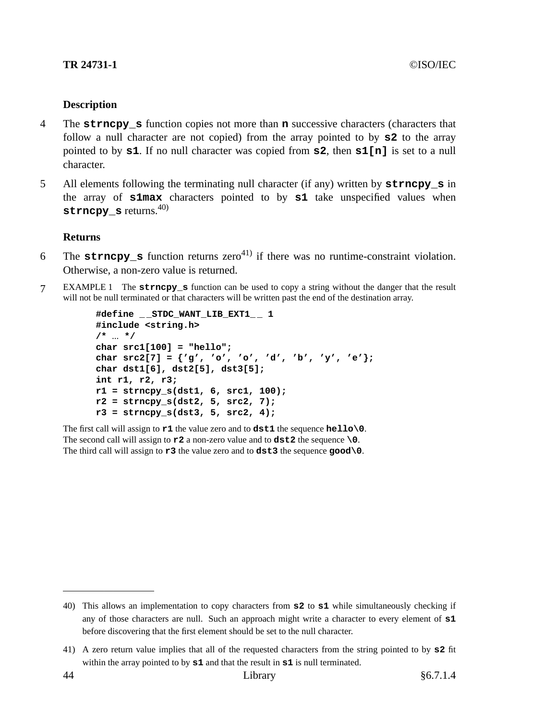## **Description**

- 4 The **strncpy\_s** function copies not more than **n** successive characters (characters that followanull character are not copied) from the array pointed to by **s2** to the array pointed to by **s1**. If no null character was copied from **s2**, then **s1[n]** is set to a null character.
- 5 All elements following the terminating null character (if any) written by **strncpy\_s** in the array of **s1max** characters pointed to by **s1** take unspecified values when **strncpy s** returns.<sup>40)</sup>

#### **Returns**

- 6 The  $\text{strongy}_s$  function returns zero<sup>41)</sup> if there was no runtime-constraint violation. Otherwise, a non-zero value is returned.
- 7 EXAMPLE 1 The **strncpy\_s** function can be used to copyastring without the danger that the result will not be null terminated or that characters will be written past the end of the destination array.

```
#define _ _STDC_WANT_LIB_EXT1_ _ 1
#include <string.h>
/* ... */
char src1[100] = "hello";
char src2[7] = {'g', 'o', 'o', 'd', 'b', 'y', 'e'};
char dst1[6], dst2[5], dst3[5];
int r1, r2, r3;
r1 = strncpy_s(dst1, 6, src1, 100);
r2 = strncpy_s(dst2, 5, src2, 7);
r3 = strncpy_s(dst3, 5, src2, 4);
```
The first call will assign to **r1** the value zero and to **dst1** the sequence **hello\0**. The second call will assign to **r2** a non-zero value and to **dst2** the sequence **\0**. The third call will assign to **r3** the value zero and to **dst3** the sequence **good\0**.

<sup>40)</sup> This allows an implementation to copy characters from **s2** to **s1** while simultaneously checking if any of those characters are null. Such an approach might write a character to every element of **s1** before discovering that the first element should be set to the null character.

<sup>41)</sup> A zero return value implies that all of the requested characters from the string pointed to by **s2** fit within the array pointed to by **s1** and that the result in **s1** is null terminated.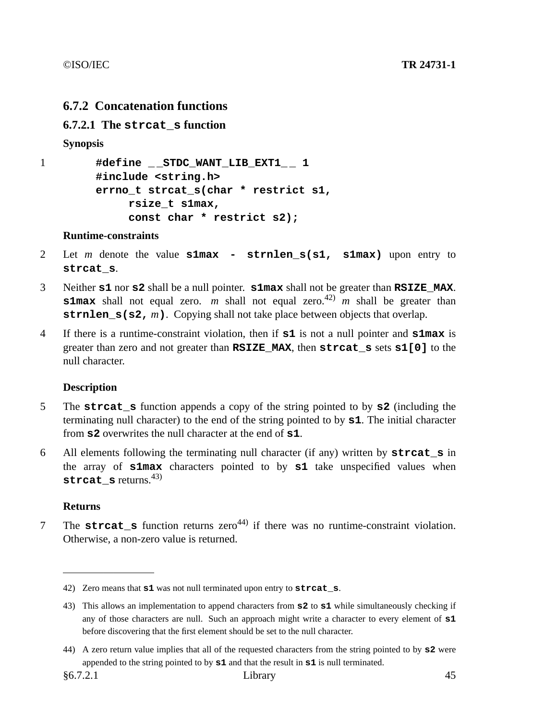# **6.7.2 Concatenation functions**

# **6.7.2.1 The strcat\_s function**

**Synopsis**

```
1 #define _ _STDC_WANT_LIB_EXT1_ _ 1
        #include <string.h>
        errno_t strcat_s(char * restrict s1,
             rsize_t s1max,
             const char * restrict s2);
```
## **Runtime-constraints**

- 2 Let *m* denote the value **s1max strnlen\_s(s1, s1max)** upon entry to **strcat\_s**.
- 3 Neither **s1** nor **s2** shall be a null pointer. **s1max** shall not be greater than **RSIZE\_MAX**. **s1max** shall not equal zero. *m* shall not equal zero.<sup>42)</sup> *m* shall be greater than **strnlen\_s(s2,** *m***)**. Copying shall not take place between objects that overlap.
- 4 If there is a runtime-constraint violation, then if **s1** is not a null pointer and **s1max** is greater than zero and not greater than **RSIZE\_MAX**, then **strcat\_s** sets **s1[0]** to the null character.

# **Description**

- 5 The **strcat\_s** function appends a copy of the string pointed to by **s2** (including the terminating null character) to the end of the string pointed to by **s1**. The initial character from **s2** overwrites the null character at the end of **s1**.
- 6 All elements following the terminating null character (if any) written by **strcat\_s** in the array of **s1max** characters pointed to by **s1** take unspecified values when **strcat s** returns.<sup>43)</sup>

# **Returns**

7 The **strcat\_s** function returns zero<sup>44)</sup> if there was no runtime-constraint violation. Otherwise, a non-zero value is returned.

<sup>42)</sup> Zero means that **s1** was not null terminated upon entry to **strcat\_s**.

<sup>43)</sup> This allows an implementation to append characters from **s2** to **s1** while simultaneously checking if any of those characters are null. Such an approach might write a character to every element of **s1** before discovering that the first element should be set to the null character.

<sup>44)</sup> A zero return value implies that all of the requested characters from the string pointed to by **s2** were appended to the string pointed to by **s1** and that the result in **s1** is null terminated.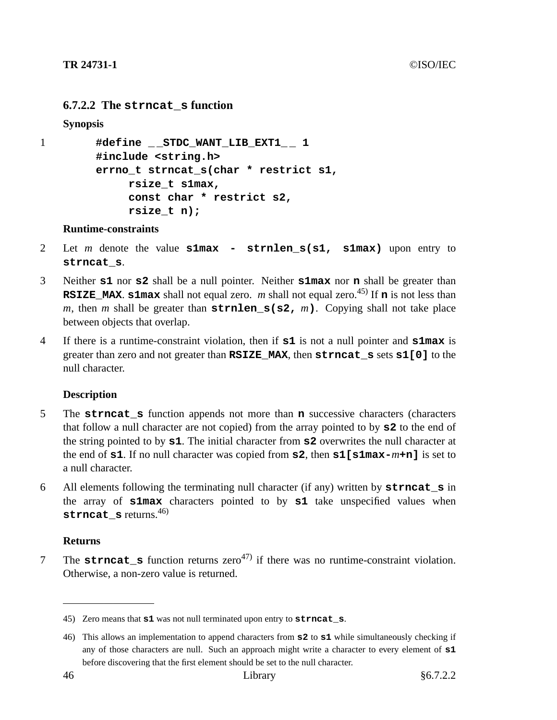# **6.7.2.2 The strncat\_s function**

**Synopsis**

```
1 #define _ _STDC_WANT_LIB_EXT1_ _ 1
        #include <string.h>
        errno_t strncat_s(char * restrict s1,
             rsize_t s1max,
             const char * restrict s2,
             rsize_t n);
```
## **Runtime-constraints**

- 2 Let *m* denote the value **s1max strnlen\_s(s1, s1max)** upon entry to **strncat\_s**.
- 3 Neither **s1** nor **s2** shall be a null pointer. Neither **s1max** nor **n** shall be greater than **RSIZE** MAX. **s1max** shall not equal zero. *m* shall not equal zero.<sup>45)</sup> If **n** is not less than *m*, then *m* shall be greater than  $strnlen_s(s2, m)$ . Copying shall not take place between objects that overlap.
- 4 If there is a runtime-constraint violation, then if **s1** is not a null pointer and **s1max** is greater than zero and not greater than **RSIZE\_MAX**, then **strncat\_s** sets **s1[0]** to the null character.

# **Description**

- 5 The **strncat\_s** function appends not more than **n** successive characters (characters that follow a null character are not copied) from the array pointed to by **s2** to the end of the string pointed to by **s1**. The initial character from **s2** overwrites the null character at the end of **s1**. If no null character was copied from **s2**, then **s1[s1max-***m***+n]** is set to a null character.
- 6 All elements following the terminating null character (if any) written by **strncat\_s** in the array of **s1max** characters pointed to by **s1** take unspecified values when **strncat s** returns.<sup>46)</sup>

# **Returns**

7 The **strncat s** function returns zero<sup>47)</sup> if there was no runtime-constraint violation. Otherwise, a non-zero value is returned.

<sup>45)</sup> Zero means that **s1** was not null terminated upon entry to **strncat\_s**.

<sup>46)</sup> This allows an implementation to append characters from **s2** to **s1** while simultaneously checking if any of those characters are null. Such an approach might write a character to every element of **s1** before discovering that the first element should be set to the null character.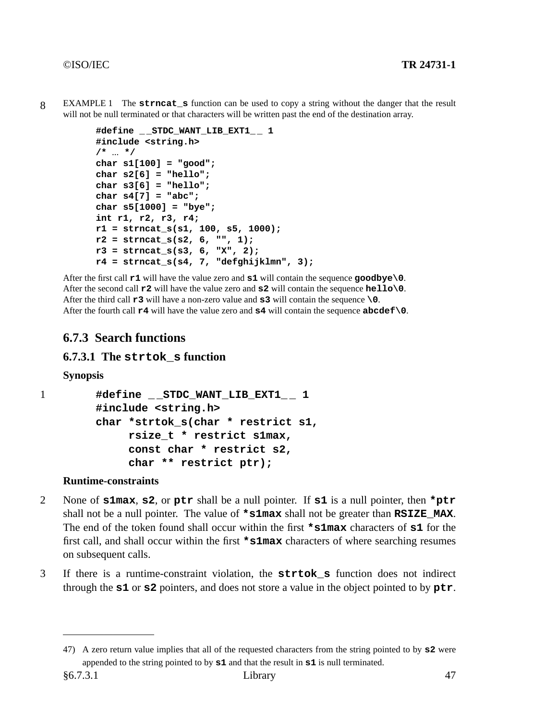8 EXAMPLE 1 The **strncat\_s** function can be used to copyastring without the danger that the result will not be null terminated or that characters will be written past the end of the destination array.

```
#define _ _STDC_WANT_LIB_EXT1_ _ 1
#include <string.h>
/* ... */
char s1[100] = "good";
char s2[6] = "hello";
char s3[6] = "hello";
char s4[7] = "abc";
char s5[1000] = "bye";
int r1, r2, r3, r4;
r1 = strncat_s(s1, 100, s5, 1000);
r2 = strncat_s(s2, 6, "", 1);
r3 = strncat_s(s3, 6, "X", 2);
r4 = strncat_s(s4, 7, "defghijklmn", 3);
```
After the first call **r1** will have the value zero and **s1** will contain the sequence **goodbye\0**. After the second call **r2** will have the value zero and **s2** will contain the sequence **hello\0**. After the third call **r3** will have a non-zero value and **s3** will contain the sequence **\0**. After the fourth call **r4** will have the value zero and **s4** will contain the sequence **abcdef\0**.

## **6.7.3 Search functions**

#### **6.7.3.1 The strtok\_s function**

#### **Synopsis**

```
1 #define _ _STDC_WANT_LIB_EXT1_ _ 1
        #include <string.h>
        char *strtok_s(char * restrict s1,
             rsize_t * restrict s1max,
             const char * restrict s2,
             char ** restrict ptr);
```
#### **Runtime-constraints**

- 2 None of **s1max**, **s2**, or **ptr** shall be a null pointer. If **s1** is a null pointer, then **\*ptr** shall not be a null pointer. The value of **\*s1max** shall not be greater than **RSIZE\_MAX**. The end of the token found shall occur within the first **\*s1max** characters of **s1** for the first call, and shall occur within the first **\*s1max** characters of where searching resumes on subsequent calls.
- 3 If there is a runtime-constraint violation, the **strtok\_s** function does not indirect through the **s1** or **s2** pointers, and does not store a value in the object pointed to by **ptr**.

<sup>47)</sup> A zero return value implies that all of the requested characters from the string pointed to by **s2** were appended to the string pointed to by **s1** and that the result in **s1** is null terminated.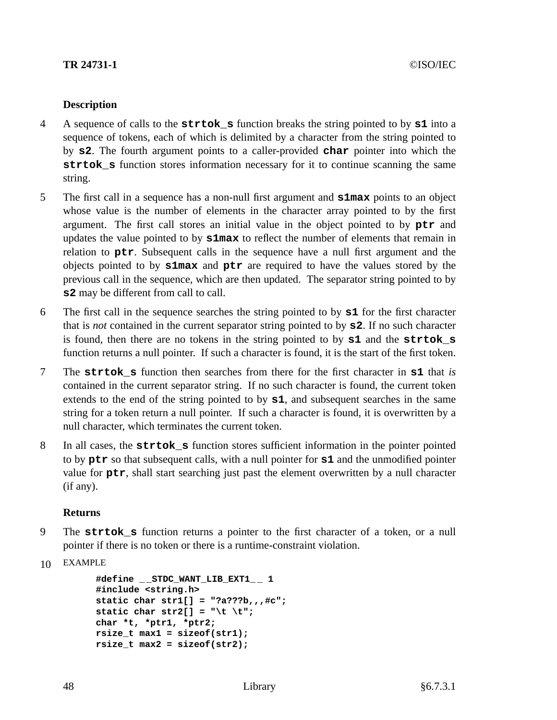## **Description**

- 4 A sequence of calls to the **strtok\_s** function breaks the string pointed to by **s1** into a sequence of tokens, each of which is delimited by a character from the string pointed to by **s2**. The fourth argument points to a caller-provided **char** pointer into which the **strtok\_s** function stores information necessary for it to continue scanning the same string.
- 5 The first call in a sequence has a non-null first argument and **s1max** points to an object whose value is the number of elements in the character array pointed to by the first argument. The first call stores an initial value in the object pointed to by **ptr** and updates the value pointed to by **s1max** to reflect the number of elements that remain in relation to **ptr**. Subsequent calls in the sequence have a null first argument and the objects pointed to by **s1max** and **ptr** are required to have the values stored by the previous call in the sequence, which are then updated. The separator string pointed to by **s2** may be different from call to call.
- 6 The first call in the sequence searches the string pointed to by **s1** for the first character that is *not* contained in the current separator string pointed to by **s2**. If no such character is found, then there are no tokens in the string pointed to by **s1** and the **strtok\_s** function returns a null pointer. If such a character is found, it is the start of the first token.
- 7 The **strtok\_s** function then searches from there for the first character in **s1** that *is* contained in the current separator string. If no such character is found, the current token extends to the end of the string pointed to by **s1**, and subsequent searches in the same string for a token return a null pointer. If such a character is found, it is overwritten by a null character, which terminates the current token.
- 8 In all cases, the **strtok\_s** function stores sufficient information in the pointer pointed to by **ptr** so that subsequent calls, with a null pointer for **s1** and the unmodified pointer value for **ptr**, shall start searching just past the element overwritten by a null character (if any).

#### **Returns**

- 9 The **strtok\_s** function returns a pointer to the first character of a token, or a null pointer if there is no token or there is a runtime-constraint violation.
- 10 EXAMPLE

```
#define _ _STDC_WANT_LIB_EXT1_ _ 1
#include <string.h>
static char str1[] = "?a???b,,,#c";
static char str2[] = "\t \t";
char *t, *ptr1, *ptr2;
rsize_t max1 = sizeof(str1);
rsize_t max2 = sizeof(str2);
```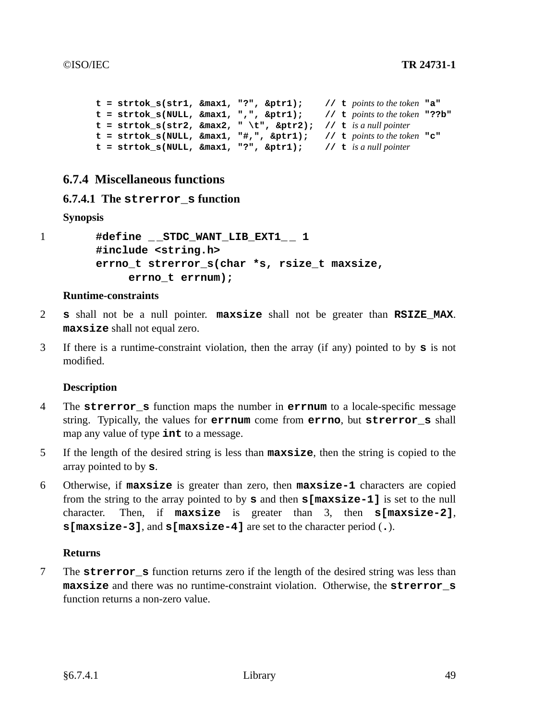```
t=strtok_s(str1, &max1, "?", &ptr1); // t points to the token "a"
t=strtok_s(NULL, &max1, ",", &ptr1); // t points to the token "??b"
t=strtok_s(str2, &max2, " \t", &ptr2); // t is a null pointer
t = strtok s(NULL, \&max1, "#,", &ptr1); // t points to the token "c"t=strtok_s(NULL, &max1, "?", &ptr1); // t is a null pointer
```
# **6.7.4 Miscellaneous functions**

```
6.7.4.1 The strerror_s function
```
#### **Synopsis**

```
1 #define _ _STDC_WANT_LIB_EXT1_ _ 1
        #include <string.h>
        errno_t strerror_s(char *s, rsize_t maxsize,
             errno_t errnum);
```
#### **Runtime-constraints**

- 2 **s** shall not be a null pointer. **maxsize** shall not be greater than **RSIZE\_MAX**. **maxsize** shall not equal zero.
- 3 If there is a runtime-constraint violation, then the array (if any) pointed to by **s** is not modified.

#### **Description**

- 4 The **strerror\_s** function maps the number in **errnum** to a locale-specific message string. Typically, the values for **errnum** come from **errno**, but **strerror\_s** shall map any value of type **int** to a message.
- 5 If the length of the desired string is less than **maxsize**, then the string is copied to the array pointed to by **s**.
- 6 Otherwise, if **maxsize** is greater than zero, then **maxsize-1** characters are copied from the string to the array pointed to by **s** and then **s[maxsize-1]** is set to the null character. Then, if **maxsize** is greater than 3, then **s[maxsize-2]**, **s[maxsize-3]**, and **s[maxsize-4]** are set to the character period (**.**).

#### **Returns**

7 The **strerror\_s** function returns zero if the length of the desired string was less than **maxsize** and there was no runtime-constraint violation. Otherwise, the **strerror\_s** function returns a non-zero value.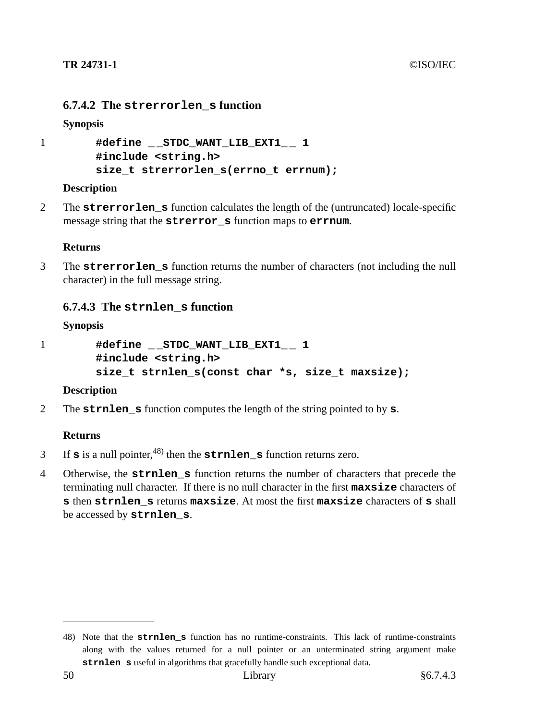# **6.7.4.2 The strerrorlen\_s function**

# **Synopsis**

1 **#define \_ \_STDC\_WANT\_LIB\_EXT1\_ \_ 1 #include <string.h> size\_t strerrorlen\_s(errno\_t errnum);**

# **Description**

2 The **strerrorlen\_s** function calculates the length of the (untruncated) locale-specific message string that the **strerror\_s** function maps to **errnum**.

# **Returns**

3 The **strerrorlen\_s** function returns the number of characters (not including the null character) in the full message string.

# **6.7.4.3 The strnlen\_s function**

# **Synopsis**

```
1 #define _ _STDC_WANT_LIB_EXT1_ _ 1
        #include <string.h>
        size_t strnlen_s(const char *s, size_t maxsize);
```
# **Description**

2 The **strnlen\_s** function computes the length of the string pointed to by **s**.

# **Returns**

- 3 If **s** is a null pointer, 48) then the **strnlen\_s** function returns zero.
- 4 Otherwise, the **strnlen\_s** function returns the number of characters that precede the terminating null character. If there is no null character in the first **maxsize** characters of **s** then **strnlen\_s** returns **maxsize**. At most the first **maxsize** characters of **s** shall be accessed by **strnlen\_s**.

<sup>48)</sup> Note that the **strnlen\_s** function has no runtime-constraints. This lack of runtime-constraints along with the values returned for a null pointer or an unterminated string argument make **strnlen** s useful in algorithms that gracefully handle such exceptional data.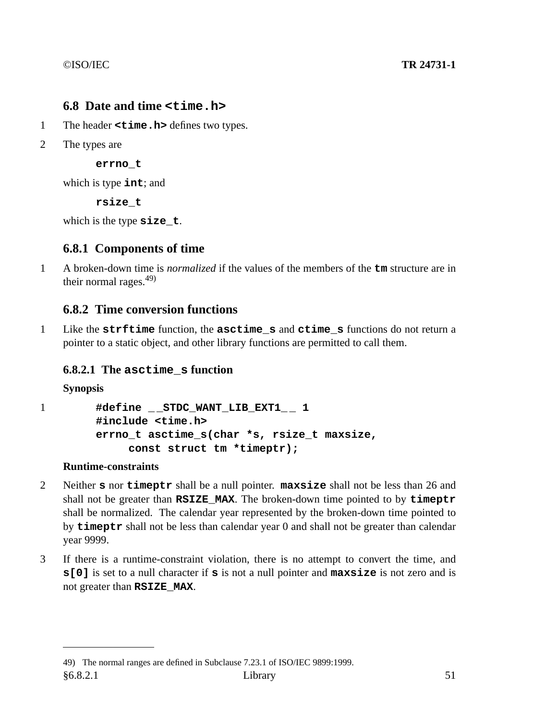# **6.8 Date and time <time.h>**

- 1 The header **<time.h>** defines two types.
- 2 The types are

**errno\_t**

which is type **int**; and

**rsize\_t**

which is the type **size\_t**.

# **6.8.1 Components of time**

1 A broken-down time is *normalized* if the values of the members of the **tm** structure are in their normal rages. $49$ 

# **6.8.2 Time conversion functions**

1 Like the **strftime** function, the **asctime\_s** and **ctime\_s** functions do not return a pointer to a static object, and other library functions are permitted to call them.

# **6.8.2.1 The asctime\_s function**

**Synopsis**

```
1 #define _ _STDC_WANT_LIB_EXT1_ _ 1
        #include <time.h>
        errno_t asctime_s(char *s, rsize_t maxsize,
             const struct tm *timeptr);
```
# **Runtime-constraints**

- 2 Neither **s** nor **timeptr** shall be a null pointer. **maxsize** shall not be less than 26 and shall not be greater than **RSIZE\_MAX**. The broken-down time pointed to by **timeptr** shall be normalized. The calendar year represented by the broken-down time pointed to by **timeptr** shall not be less than calendar year 0 and shall not be greater than calendar year 9999.
- 3 If there is a runtime-constraint violation, there is no attempt to convert the time, and **s[0]** is set to a null character if **s** is not a null pointer and **maxsize** is not zero and is not greater than **RSIZE\_MAX**.

<sup>49)</sup> The normal ranges are defined in Subclause 7.23.1 of ISO/IEC 9899:1999. §6.8.2.1 Library 51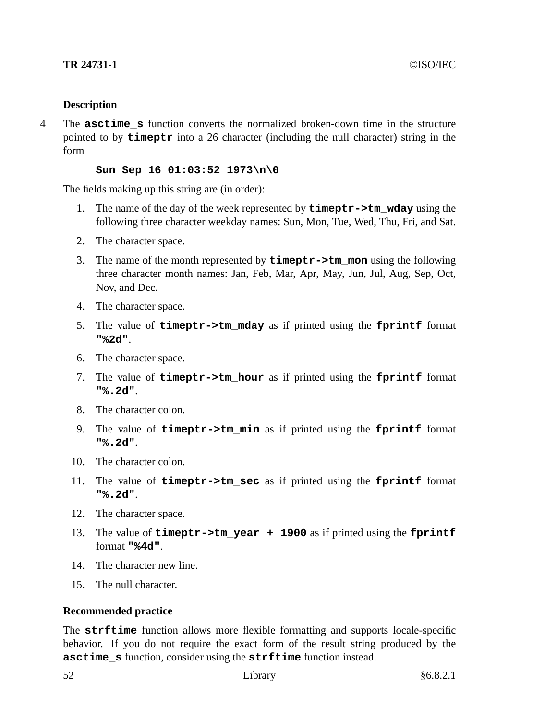# **Description**

4 The **asctime\_s** function converts the normalized broken-down time in the structure pointed to by **timeptr** into a 26 character (including the null character) string in the form

#### **Sun Sep 16 01:03:52 1973\n\0**

The fields making up this string are (in order):

- 1. The name of the day of the week represented by **timeptr->tm\_wday** using the following three character weekday names: Sun, Mon, Tue, Wed, Thu, Fri, and Sat.
- 2. The character space.
- 3. The name of the month represented by **timeptr->tm\_mon** using the following three character month names: Jan, Feb, Mar, Apr, May, Jun, Jul, Aug, Sep, Oct, Nov, and Dec.
- 4. The character space.
- 5. The value of **timeptr->tm\_mday** as if printed using the **fprintf** format **"%2d"**.
- 6. The character space.
- 7. The value of **timeptr->tm\_hour** as if printed using the **fprintf** format **"%.2d"**.
- 8. The character colon.
- 9. The value of **timeptr->tm\_min** as if printed using the **fprintf** format **"%.2d"**.
- 10. The character colon.
- 11. The value of **timeptr->tm\_sec** as if printed using the **fprintf** format **"%.2d"**.
- 12. The character space.
- 13. The value of **timeptr->tm\_year + 1900** as if printed using the **fprintf** format **"%4d"**.
- 14. The character new line.
- 15. The null character.

# **Recommended practice**

The **strftime** function allows more flexible formatting and supports locale-specific behavior. If you do not require the exact form of the result string produced by the **asctime\_s** function, consider using the **strftime** function instead.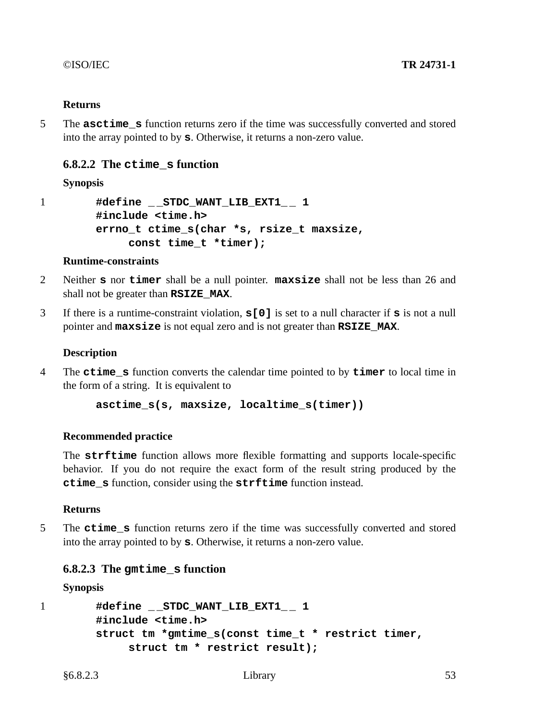©ISO/IEC **TR 24731-1**

#### **Returns**

5 The **asctime\_s** function returns zero if the time was successfully converted and stored into the array pointed to by **s**. Otherwise, it returns a non-zero value.

#### **6.8.2.2 The ctime\_s function**

#### **Synopsis**

```
1 #define _ _STDC_WANT_LIB_EXT1_ _ 1
        #include <time.h>
        errno_t ctime_s(char *s, rsize_t maxsize,
             const time_t *timer);
```
#### **Runtime-constraints**

- 2 Neither **s** nor **timer** shall be a null pointer. **maxsize** shall not be less than 26 and shall not be greater than **RSIZE\_MAX**.
- 3 If there is a runtime-constraint violation, **s[0]** is set to a null character if **s** is not a null pointer and **maxsize** is not equal zero and is not greater than **RSIZE\_MAX**.

#### **Description**

4 The **ctime\_s** function converts the calendar time pointed to by **timer** to local time in the form of a string. It is equivalent to

```
asctime_s(s, maxsize, localtime_s(timer))
```
#### **Recommended practice**

The **strftime** function allows more flexible formatting and supports locale-specific behavior. If you do not require the exact form of the result string produced by the **ctime\_s** function, consider using the **strftime** function instead.

#### **Returns**

5 The **ctime\_s** function returns zero if the time was successfully converted and stored into the array pointed to by **s**. Otherwise, it returns a non-zero value.

#### **6.8.2.3 The gmtime\_s function**

#### **Synopsis**

```
1 #define _ _STDC_WANT_LIB_EXT1_ _ 1
        #include <time.h>
        struct tm *gmtime_s(const time_t * restrict timer,
             struct tm * restrict result);
```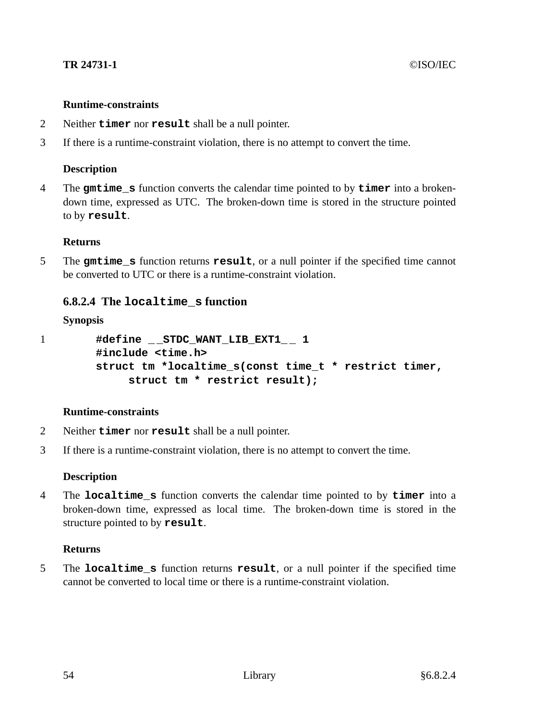# **Runtime-constraints**

- 2 Neither **timer** nor **result** shall be a null pointer.
- 3 If there is a runtime-constraint violation, there is no attempt to convert the time.

# **Description**

4 The **gmtime\_s** function converts the calendar time pointed to by **timer** into a brokendown time, expressed as UTC. The broken-down time is stored in the structure pointed to by **result**.

# **Returns**

5 The **gmtime\_s** function returns **result**, oranull pointer if the specified time cannot be converted to UTC or there is a runtime-constraint violation.

# **6.8.2.4 The localtime\_s function**

# **Synopsis**

```
1 #define _ _STDC_WANT_LIB_EXT1_ _ 1
        #include <time.h>
        struct tm *localtime_s(const time_t * restrict timer,
             struct tm * restrict result);
```
# **Runtime-constraints**

- 2 Neither **timer** nor **result** shall be a null pointer.
- 3 If there is a runtime-constraint violation, there is no attempt to convert the time.

# **Description**

4 The **localtime\_s** function converts the calendar time pointed to by **timer** into a broken-down time, expressed as local time. The broken-down time is stored in the structure pointed to by **result**.

# **Returns**

5 The **localtime\_s** function returns **result**, oranull pointer if the specified time cannot be converted to local time or there is a runtime-constraint violation.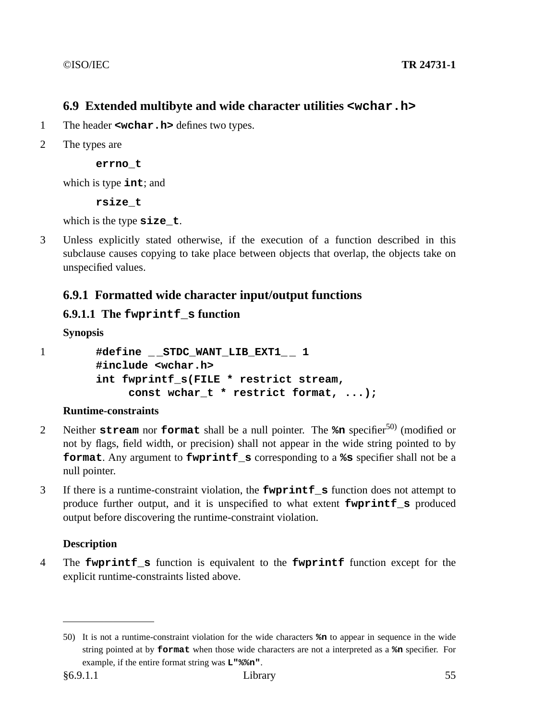# **6.9 Extended multibyte and wide character utilities <wchar.h>**

- 1 The header **<wchar.h>** defines two types.
- 2 The types are

**errno\_t**

which is type **int**; and

**rsize\_t**

which is the type **size\_t**.

3 Unless explicitly stated otherwise, if the execution of a function described in this subclause causes copying to take place between objects that overlap, the objects take on unspecified values.

# **6.9.1 Formatted wide character input/output functions**

# **6.9.1.1 The fwprintf\_s function**

**Synopsis**

1 **#define \_ \_STDC\_WANT\_LIB\_EXT1\_ \_ 1 #include <wchar.h> int fwprintf\_s(FILE \* restrict stream, const wchar\_t \* restrict format, ...);**

# **Runtime-constraints**

- 2 Neither **stream** nor **format** shall be a null pointer. The  $*$ n specifier<sup>50)</sup> (modified or not by flags, field width, or precision) shall not appear in the wide string pointed to by **format**. Any argument to **fwprintf** s corresponding to a  $\frac{1}{8}$  s specifier shall not be a null pointer.
- 3 If there is a runtime-constraint violation, the **fwprintf\_s** function does not attempt to produce further output, and it is unspecified to what extent **fwprintf\_s** produced output before discovering the runtime-constraint violation.

# **Description**

4 The **fwprintf\_s** function is equivalent to the **fwprintf** function except for the explicit runtime-constraints listed above.

<sup>50)</sup> It is not a runtime-constraint violation for the wide characters **%n** to appear in sequence in the wide string pointed at by **format** when those wide characters are not a interpreted as a **%n** specifier. For example, if the entire format string was **L"%%n"**.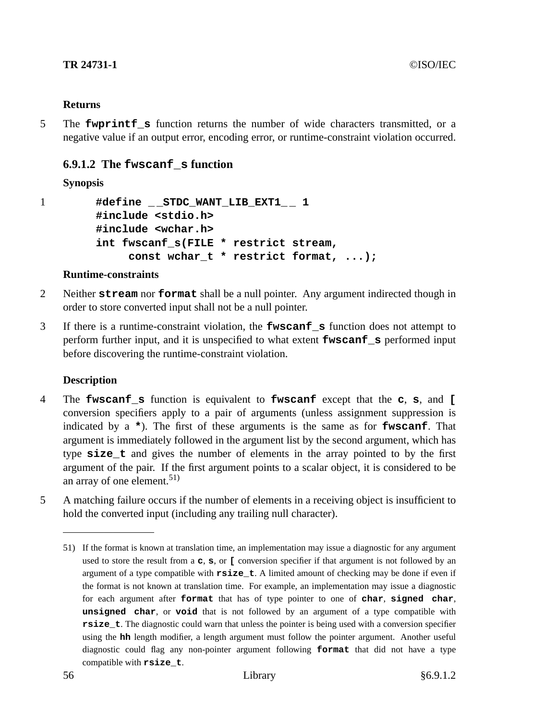5 The **fwprintf\_s** function returns the number of wide characters transmitted, or a negative value if an output error, encoding error, or runtime-constraint violation occurred.

# **6.9.1.2 The fwscanf\_s function**

# **Synopsis**

```
1 #define _ _STDC_WANT_LIB_EXT1_ _ 1
        #include <stdio.h>
        #include <wchar.h>
        int fwscanf_s(FILE * restrict stream,
             const wchar_t * restrict format, ...);
```
#### **Runtime-constraints**

- 2 Neither **stream** nor **format** shall be a null pointer. Any argument indirected though in order to store converted input shall not be a null pointer.
- 3 If there is a runtime-constraint violation, the **fwscanf\_s** function does not attempt to perform further input, and it is unspecified to what extent **fwscanf\_s** performed input before discovering the runtime-constraint violation.

#### **Description**

- 4 The **fwscanf\_s** function is equivalent to **fwscanf** except that the **c**, **s**, and **[** conversion specifiers apply to a pair of arguments (unless assignment suppression is indicated by a **\***). The first of these arguments is the same as for **fwscanf**. That argument is immediately followed in the argument list by the second argument, which has type **size\_t** and gives the number of elements in the array pointed to by the first argument of the pair. If the first argument points to a scalar object, it is considered to be an array of one element.<sup>51)</sup>
- 5 A matching failure occurs if the number of elements in a receiving object is insufficient to hold the converted input (including any trailing null character).

<sup>51)</sup> If the format is known at translation time, an implementation may issue a diagnostic for any argument used to store the result from a **c**, **s**, or **[** conversion specifier if that argument is not followed by an argument of a type compatible with **rsize\_t**.Alimited amount of checking may be done if even if the format is not known at translation time. For example, an implementation may issue a diagnostic for each argument after **format** that has of type pointer to one of **char**, **signed char**, **unsigned char**, or **void** that is not followed by an argument of a type compatible with **rsize\_t**. The diagnostic could warn that unless the pointer is being used with a conversion specifier using the **hh** length modifier, a length argument must follow the pointer argument. Another useful diagnostic could flag any non-pointer argument following **format** that did not have a type compatible with **rsize\_t**.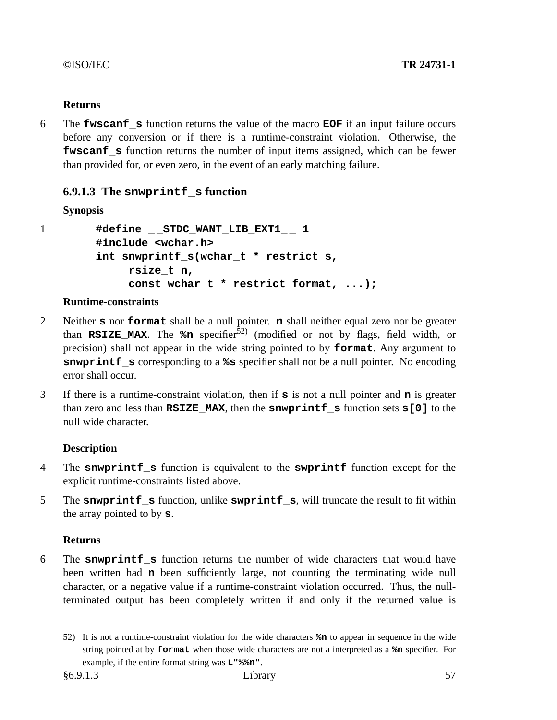6 The **fwscanf\_s** function returns the value of the macro **EOF** if an input failure occurs before any conversion or if there is a runtime-constraint violation. Otherwise, the **fwscanf** s function returns the number of input items assigned, which can be fewer than provided for, or even zero, in the event of an early matching failure.

# **6.9.1.3 The snwprintf\_s function**

## **Synopsis**

```
1 #define _ _STDC_WANT_LIB_EXT1_ _ 1
        #include <wchar.h>
        int snwprintf_s(wchar_t * restrict s,
             rsize_t n,
             const wchar_t * restrict format, ...);
```
#### **Runtime-constraints**

- 2 Neither **s** nor **format** shall be a null pointer. **n** shall neither equal zero nor be greater than **RSIZE MAX**. The  $\text{sn}$  specifier<sup>52)</sup> (modified or not by flags, field width, or precision) shall not appear in the wide string pointed to by **format**. Any argument to **snwprintf** s corresponding to a **%s** specifier shall not be a null pointer. No encoding error shall occur.
- 3 If there is a runtime-constraint violation, then if **s** is not a null pointer and **n** is greater than zero and less than **RSIZE\_MAX**, then the **snwprintf\_s** function sets **s[0]** to the null wide character.

# **Description**

- 4 The **snwprintf\_s** function is equivalent to the **swprintf** function except for the explicit runtime-constraints listed above.
- 5 The **snwprintf\_s** function, unlike **swprintf\_s**, will truncate the result to fit within the array pointed to by **s**.

# **Returns**

6 The **snwprintf\_s** function returns the number of wide characters that would have been written had **n** been sufficiently large, not counting the terminating wide null character, or a negative value if a runtime-constraint violation occurred. Thus, the nullterminated output has been completely written if and only if the returned value is

<sup>52)</sup> It is not a runtime-constraint violation for the wide characters **%n** to appear in sequence in the wide string pointed at by **format** when those wide characters are not a interpreted as a **%n** specifier. For example, if the entire format string was **L"%%n"**.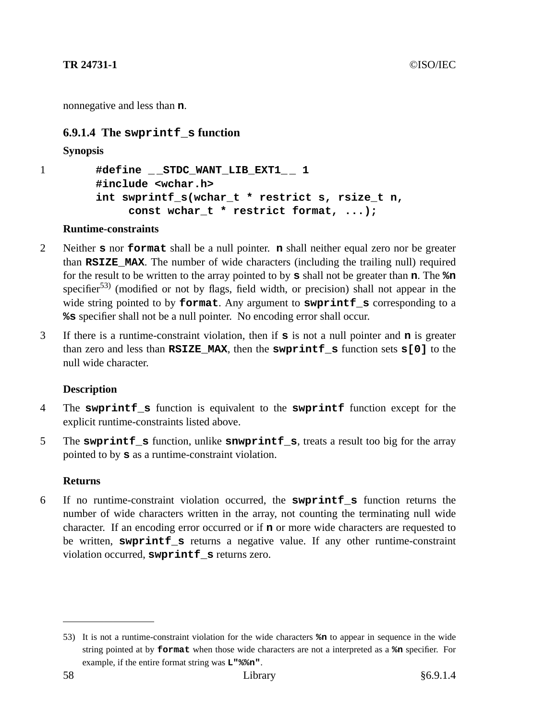nonnegative and less than **n**.

# **6.9.1.4 The swprintf\_s function**

**Synopsis**

```
1 #define _ _STDC_WANT_LIB_EXT1_ _ 1
        #include <wchar.h>
        int swprintf_s(wchar_t * restrict s, rsize_t n,
             const wchar_t * restrict format, ...);
```
#### **Runtime-constraints**

- 2 Neither **s** nor **format** shall be a null pointer. **n** shall neither equal zero nor be greater than **RSIZE** MAX. The number of wide characters (including the trailing null) required for the result to be written to the array pointed to by **s** shall not be greater than **n**. The **%n** specifier<sup>53)</sup> (modified or not by flags, field width, or precision) shall not appear in the wide string pointed to by **format**. Any argument to **swprintf** s corresponding to a **%s** specifier shall not be a null pointer. No encoding error shall occur.
- 3 If there is a runtime-constraint violation, then if **s** is not a null pointer and **n** is greater than zero and less than **RSIZE\_MAX**, then the **swprintf\_s** function sets **s[0]** to the null wide character.

#### **Description**

- 4 The **swprintf\_s** function is equivalent to the **swprintf** function except for the explicit runtime-constraints listed above.
- 5 The **swprintf\_s** function, unlike **snwprintf\_s**, treats a result too big for the array pointed to by **s** as a runtime-constraint violation.

#### **Returns**

6 If no runtime-constraint violation occurred, the **swprintf\_s** function returns the number of wide characters written in the array, not counting the terminating null wide character. If an encoding error occurred or if **n** or more wide characters are requested to be written, **swprintf\_s** returns a negative value. If any other runtime-constraint violation occurred, **swprintf\_s** returns zero.

<sup>53)</sup> It is not a runtime-constraint violation for the wide characters **%n** to appear in sequence in the wide string pointed at by **format** when those wide characters are not a interpreted as a **%n** specifier. For example, if the entire format string was **L"%%n"**.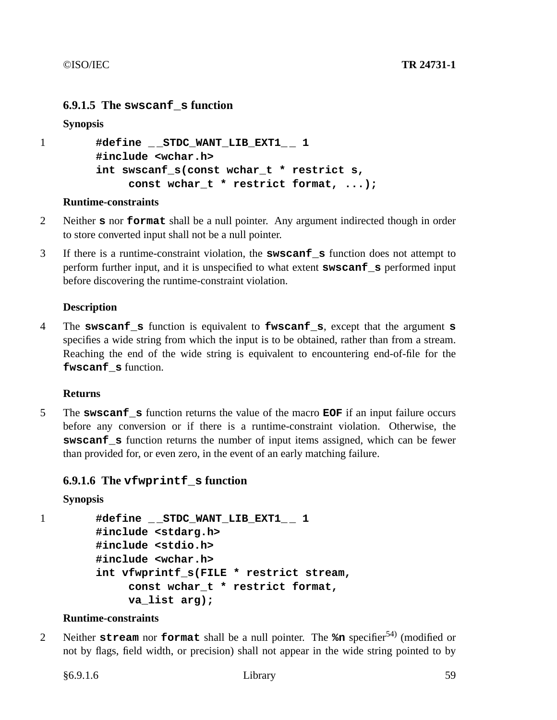# **6.9.1.5 The swscanf\_s function**

## **Synopsis**

```
1 #define _ _STDC_WANT_LIB_EXT1_ _ 1
        #include <wchar.h>
        int swscanf_s(const wchar_t * restrict s,
             const wchar_t * restrict format, ...);
```
### **Runtime-constraints**

- 2 Neither **s** nor **format** shall be a null pointer. Any argument indirected though in order to store converted input shall not be a null pointer.
- 3 If there is a runtime-constraint violation, the **swscanf\_s** function does not attempt to perform further input, and it is unspecified to what extent **swscanf\_s** performed input before discovering the runtime-constraint violation.

## **Description**

4 The **swscanf\_s** function is equivalent to **fwscanf\_s**, except that the argument **s** specifies a wide string from which the input is to be obtained, rather than from a stream. Reaching the end of the wide string is equivalent to encountering end-of-file for the **fwscanf\_s** function.

#### **Returns**

5 The **swscanf\_s** function returns the value of the macro **EOF** if an input failure occurs before any conversion or if there is a runtime-constraint violation. Otherwise, the **swscanf\_s** function returns the number of input items assigned, which can be fewer than provided for, or even zero, in the event of an early matching failure.

# **6.9.1.6 The vfwprintf\_s function**

# **Synopsis**

```
1 #define _ _STDC_WANT_LIB_EXT1_ _ 1
        #include <stdarg.h>
        #include <stdio.h>
        #include <wchar.h>
        int vfwprintf_s(FILE * restrict stream,
             const wchar_t * restrict format,
             va_list arg);
```
#### **Runtime-constraints**

2 Neither **stream** nor **format** shall be a null pointer. The  $\text{sn}$  specifier<sup>54)</sup> (modified or not by flags, field width, or precision) shall not appear in the wide string pointed to by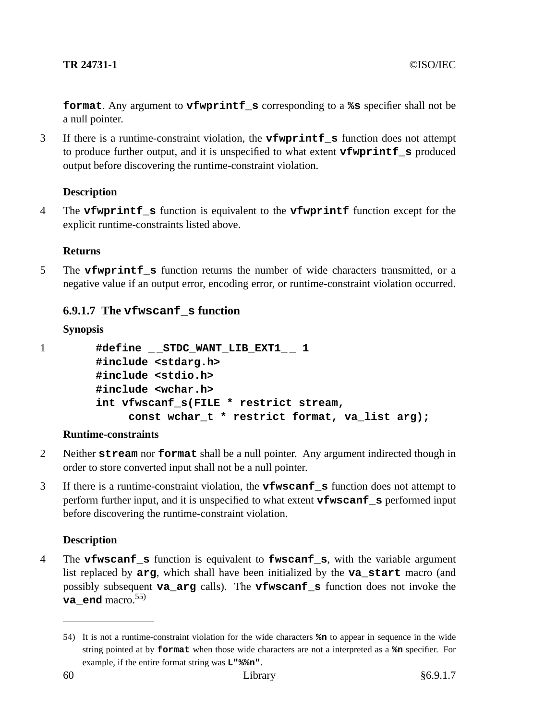**format**. Any argument to **vfwprintf\_s** corresponding to a **%s** specifier shall not be a null pointer.

3 If there is a runtime-constraint violation, the **vfwprintf\_s** function does not attempt to produce further output, and it is unspecified to what extent **vfwprintf\_s** produced output before discovering the runtime-constraint violation.

# **Description**

4 The **vfwprintf\_s** function is equivalent to the **vfwprintf** function except for the explicit runtime-constraints listed above.

## **Returns**

5 The **vfwprintf\_s** function returns the number of wide characters transmitted, or a negative value if an output error, encoding error, or runtime-constraint violation occurred.

# **6.9.1.7 The vfwscanf\_s function**

## **Synopsis**

```
1 #define _ _STDC_WANT_LIB_EXT1_ _ 1
        #include <stdarg.h>
        #include <stdio.h>
        #include <wchar.h>
        int vfwscanf_s(FILE * restrict stream,
             const wchar_t * restrict format, va_list arg);
```
#### **Runtime-constraints**

- 2 Neither **stream** nor **format** shall be a null pointer. Any argument indirected though in order to store converted input shall not be a null pointer.
- 3 If there is a runtime-constraint violation, the **vfwscanf\_s** function does not attempt to perform further input, and it is unspecified to what extent **vfwscanf\_s** performed input before discovering the runtime-constraint violation.

# **Description**

4 The **vfwscanf\_s** function is equivalent to **fwscanf\_s**, with the variable argument list replaced by **arg**, which shall have been initialized by the **va\_start** macro (and possibly subsequent **va\_arg** calls). The **vfwscanf\_s** function does not invoke the **va** end macro.<sup>55)</sup>

<sup>54)</sup> It is not a runtime-constraint violation for the wide characters **%n** to appear in sequence in the wide string pointed at by **format** when those wide characters are not a interpreted as a **%n** specifier. For example, if the entire format string was **L"%%n"**.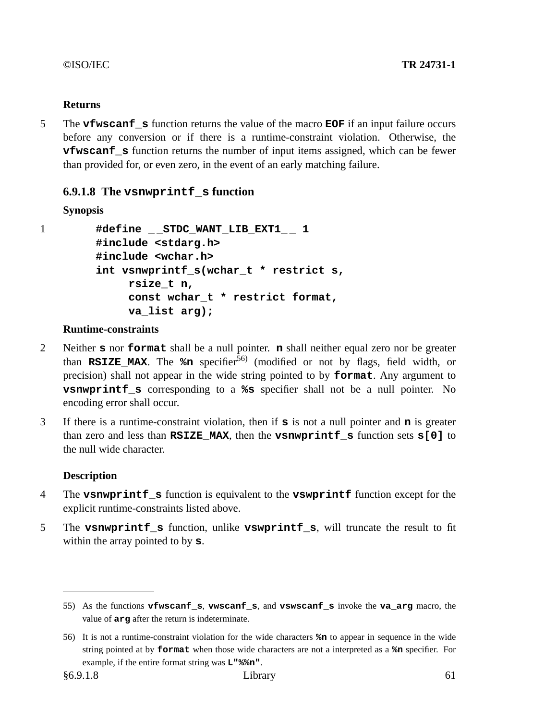5 The **vfwscanf\_s** function returns the value of the macro **EOF** if an input failure occurs before any conversion or if there is a runtime-constraint violation. Otherwise, the **vfwscanf\_s** function returns the number of input items assigned, which can be fewer than provided for, or even zero, in the event of an early matching failure.

# **6.9.1.8 The vsnwprintf\_s function**

## **Synopsis**

```
1 #define _ _STDC_WANT_LIB_EXT1_ _ 1
        #include <stdarg.h>
        #include <wchar.h>
        int vsnwprintf_s(wchar_t * restrict s,
             rsize_t n,
             const wchar_t * restrict format,
             va_list arg);
```
#### **Runtime-constraints**

- 2 Neither **s** nor **format** shall be a null pointer. **n** shall neither equal zero nor be greater than **RSIZE MAX**. The  $\text{sn}$  specifier<sup>56)</sup> (modified or not by flags, field width, or precision) shall not appear in the wide string pointed to by **format**. Any argument to **vsnwprintf\_s** corresponding to a **%s** specifier shall not be a null pointer. No encoding error shall occur.
- 3 If there is a runtime-constraint violation, then if **s** is not a null pointer and **n** is greater than zero and less than **RSIZE\_MAX**, then the **vsnwprintf\_s** function sets **s[0]** to the null wide character.

# **Description**

- 4 The **vsnwprintf\_s** function is equivalent to the **vswprintf** function except for the explicit runtime-constraints listed above.
- 5 The **vsnwprintf\_s** function, unlike **vswprintf\_s**, will truncate the result to fit within the array pointed to by **s**.

<sup>55)</sup> As the functions **vfwscanf\_s**, **vwscanf\_s**, and **vswscanf\_s** invoke the **va\_arg** macro, the value of **arg** after the return is indeterminate.

<sup>56)</sup> It is not a runtime-constraint violation for the wide characters **%n** to appear in sequence in the wide string pointed at by **format** when those wide characters are not a interpreted as a **%n** specifier. For example, if the entire format string was **L"%%n"**.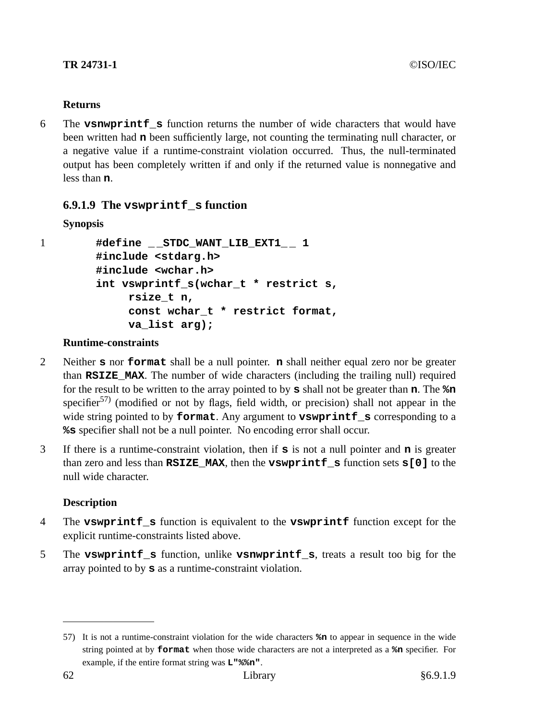6 The **vsnwprintf\_s** function returns the number of wide characters that would have been written had **n** been sufficiently large, not counting the terminating null character, or a negative value if a runtime-constraint violation occurred. Thus, the null-terminated output has been completely written if and only if the returned value is nonnegative and less than **n**.

# **6.9.1.9 The vswprintf\_s function**

**Synopsis**

```
1 #define _ _STDC_WANT_LIB_EXT1_ _ 1
        #include <stdarg.h>
        #include <wchar.h>
        int vswprintf_s(wchar_t * restrict s,
             rsize_t n,
             const wchar_t * restrict format,
             va_list arg);
```
## **Runtime-constraints**

- 2 Neither **s** nor **format** shall be a null pointer. **n** shall neither equal zero nor be greater than **RSIZE** MAX. The number of wide characters (including the trailing null) required for the result to be written to the array pointed to by **s** shall not be greater than **n**. The **%n** specifier<sup>57)</sup> (modified or not by flags, field width, or precision) shall not appear in the wide string pointed to by **format**. Any argument to **vswprintf** s corresponding to a **%s** specifier shall not be a null pointer. No encoding error shall occur.
- 3 If there is a runtime-constraint violation, then if **s** is not a null pointer and **n** is greater than zero and less than **RSIZE\_MAX**, then the **vswprintf\_s** function sets **s[0]** to the null wide character.

# **Description**

- 4 The **vswprintf\_s** function is equivalent to the **vswprintf** function except for the explicit runtime-constraints listed above.
- 5 The **vswprintf\_s** function, unlike **vsnwprintf\_s**, treats a result too big for the array pointed to by **s** as a runtime-constraint violation.

<sup>57)</sup> It is not a runtime-constraint violation for the wide characters **%n** to appear in sequence in the wide string pointed at by **format** when those wide characters are not a interpreted as a **%n** specifier. For example, if the entire format string was **L"%%n"**.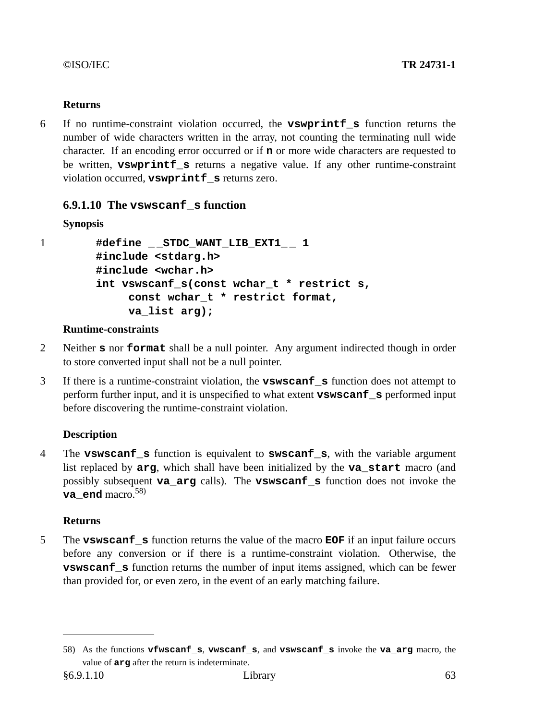6 If no runtime-constraint violation occurred, the **vswprintf\_s** function returns the number of wide characters written in the array, not counting the terminating null wide character. If an encoding error occurred or if **n** or more wide characters are requested to be written, **vswprintf\_s** returns a negative value. If any other runtime-constraint violation occurred, **vswprintf\_s** returns zero.

# **6.9.1.10 The vswscanf\_s function**

**Synopsis**

```
1 #define _ _STDC_WANT_LIB_EXT1_ _ 1
        #include <stdarg.h>
        #include <wchar.h>
        int vswscanf_s(const wchar_t * restrict s,
             const wchar_t * restrict format,
             va_list arg);
```
## **Runtime-constraints**

- 2 Neither **s** nor **format** shall be a null pointer. Any argument indirected though in order to store converted input shall not be a null pointer.
- 3 If there is a runtime-constraint violation, the **vswscanf\_s** function does not attempt to perform further input, and it is unspecified to what extent **vswscanf\_s** performed input before discovering the runtime-constraint violation.

# **Description**

4 The **vswscanf\_s** function is equivalent to **swscanf\_s**, with the variable argument list replaced by **arg**, which shall have been initialized by the **va\_start** macro (and possibly subsequent **va\_arg** calls). The **vswscanf\_s** function does not invoke the **va** end macro.<sup>58)</sup>

# **Returns**

5 The **vswscanf\_s** function returns the value of the macro **EOF** if an input failure occurs before any conversion or if there is a runtime-constraint violation. Otherwise, the **vswscanf** s function returns the number of input items assigned, which can be fewer than provided for, or even zero, in the event of an early matching failure.

<sup>58)</sup> As the functions **vfwscanf\_s**, **vwscanf\_s**, and **vswscanf\_s** invoke the **va\_arg** macro, the value of **arg** after the return is indeterminate.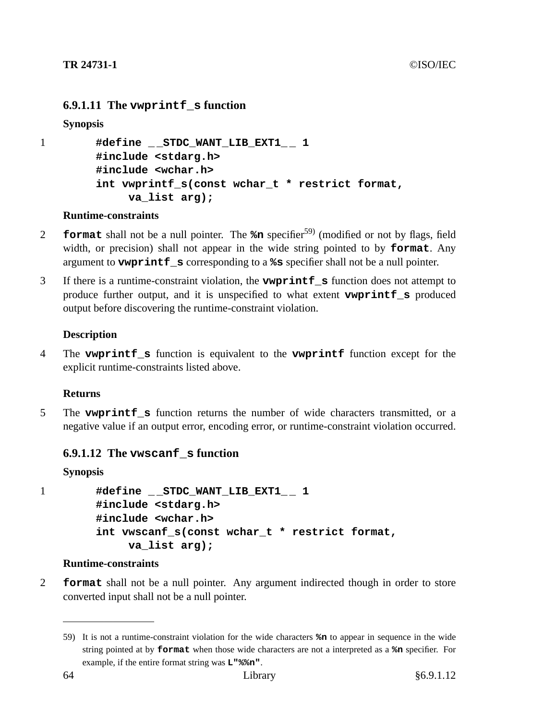# **6.9.1.11 The vwprintf\_s function**

**Synopsis**

```
1 #define _ _STDC_WANT_LIB_EXT1_ _ 1
        #include <stdarg.h>
        #include <wchar.h>
        int vwprintf_s(const wchar_t * restrict format,
             va_list arg);
```
# **Runtime-constraints**

- **format** shall not be a null pointer. The  $\text{Rn}$  specifier<sup>59)</sup> (modified or not by flags, field width, or precision) shall not appear in the wide string pointed to by **format**. Any argument to **vwprintf\_s** corresponding to a **%s** specifier shall not be a null pointer.
- 3 If there is a runtime-constraint violation, the **vwprintf\_s** function does not attempt to produce further output, and it is unspecified to what extent **vwprintf\_s** produced output before discovering the runtime-constraint violation.

# **Description**

4 The **vwprintf\_s** function is equivalent to the **vwprintf** function except for the explicit runtime-constraints listed above.

# **Returns**

5 The **vwprintf\_s** function returns the number of wide characters transmitted, or a negative value if an output error, encoding error, or runtime-constraint violation occurred.

# **6.9.1.12 The vwscanf\_s function**

**Synopsis**

```
1 #define _ _STDC_WANT_LIB_EXT1_ _ 1
        #include <stdarg.h>
        #include <wchar.h>
        int vwscanf_s(const wchar_t * restrict format,
             va_list arg);
```
# **Runtime-constraints**

2 **format** shall not be a null pointer. Any argument indirected though in order to store converted input shall not be a null pointer.

<sup>59)</sup> It is not a runtime-constraint violation for the wide characters **%n** to appear in sequence in the wide string pointed at by **format** when those wide characters are not a interpreted as a **%n** specifier. For example, if the entire format string was **L"%%n"**.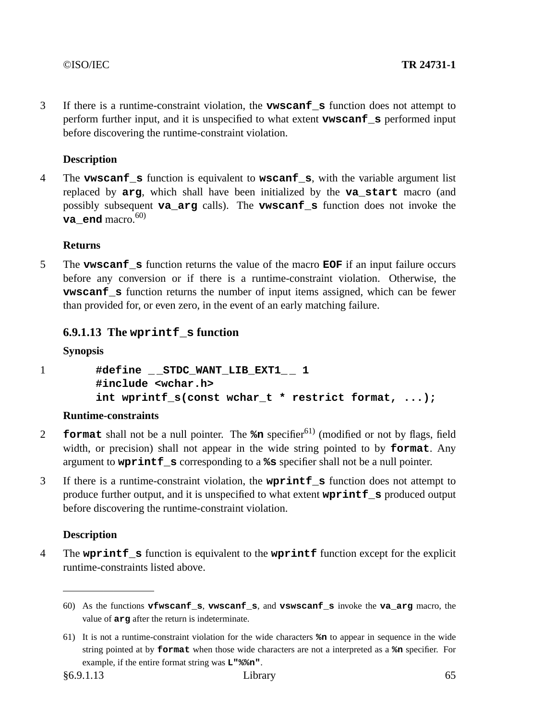3 If there is a runtime-constraint violation, the **vwscanf\_s** function does not attempt to perform further input, and it is unspecified to what extent **vwscanf\_s** performed input before discovering the runtime-constraint violation.

#### **Description**

4 The **vwscanf\_s** function is equivalent to **wscanf\_s**, with the variable argument list replaced by **arg**, which shall have been initialized by the **va\_start** macro (and possibly subsequent **va\_arg** calls). The **vwscanf\_s** function does not invoke the  **end macro.<sup>60)</sup>** 

#### **Returns**

5 The **vwscanf\_s** function returns the value of the macro **EOF** if an input failure occurs before any conversion or if there is a runtime-constraint violation. Otherwise, the **vwscanf** s function returns the number of input items assigned, which can be fewer than provided for, or even zero, in the event of an early matching failure.

# **6.9.1.13 The wprintf\_s function**

## **Synopsis**

1 **#define \_ \_STDC\_WANT\_LIB\_EXT1\_ \_ 1 #include <wchar.h> int wprintf\_s(const wchar\_t \* restrict format, ...);**

#### **Runtime-constraints**

- 2 **format** shall not be a null pointer. The **%n** specifier61) (modified or not by flags, field width, or precision) shall not appear in the wide string pointed to by **format**. Any argument to **wprintf\_s** corresponding to a **%s** specifier shall not be a null pointer.
- 3 If there is a runtime-constraint violation, the **wprintf\_s** function does not attempt to produce further output, and it is unspecified to what extent **wprintf\_s** produced output before discovering the runtime-constraint violation.

# **Description**

4 The **wprintf\_s** function is equivalent to the **wprintf** function except for the explicit runtime-constraints listed above.

<sup>60)</sup> As the functions **vfwscanf\_s**, **vwscanf\_s**, and **vswscanf\_s** invoke the **va\_arg** macro, the value of **arg** after the return is indeterminate.

<sup>61)</sup> It is not a runtime-constraint violation for the wide characters **%n** to appear in sequence in the wide string pointed at by **format** when those wide characters are not a interpreted as a **%n** specifier. For example, if the entire format string was **L"%%n"**.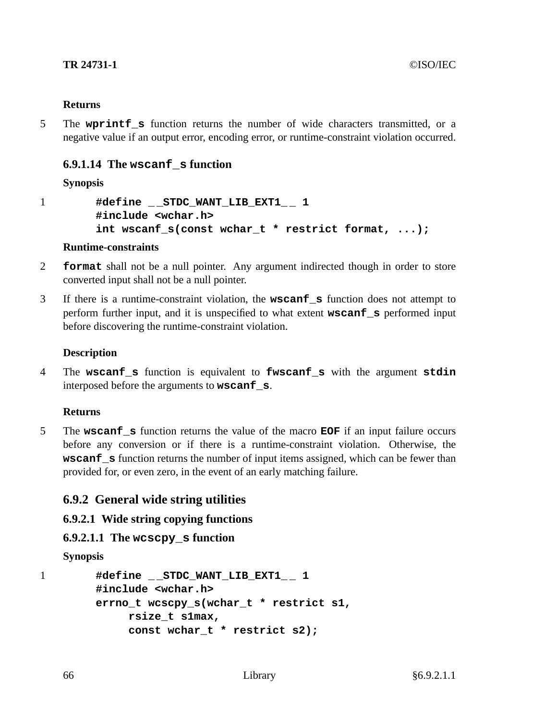5 The **wprintf\_s** function returns the number of wide characters transmitted, or a negative value if an output error, encoding error, or runtime-constraint violation occurred.

# **6.9.1.14 The wscanf\_s function**

## **Synopsis**

```
1 #define _ _STDC_WANT_LIB_EXT1_ _ 1
        #include <wchar.h>
        int wscanf_s(const wchar_t * restrict format, ...);
```
## **Runtime-constraints**

- 2 **format** shall not be a null pointer. Any argument indirected though in order to store converted input shall not be a null pointer.
- 3 If there is a runtime-constraint violation, the **wscanf\_s** function does not attempt to perform further input, and it is unspecified to what extent **wscanf\_s** performed input before discovering the runtime-constraint violation.

## **Description**

4 The **wscanf\_s** function is equivalent to **fwscanf\_s** with the argument **stdin** interposed before the arguments to **wscanf\_s**.

#### **Returns**

5 The **wscanf\_s** function returns the value of the macro **EOF** if an input failure occurs before any conversion or if there is a runtime-constraint violation. Otherwise, the **wscanf** s function returns the number of input items assigned, which can be fewer than provided for, or even zero, in the event of an early matching failure.

# **6.9.2 General wide string utilities**

# **6.9.2.1 Wide string copying functions**

**6.9.2.1.1 The wcscpy\_s function**

**Synopsis**

```
1 #define _ _STDC_WANT_LIB_EXT1_ _ 1
        #include <wchar.h>
        errno_t wcscpy_s(wchar_t * restrict s1,
             rsize_t s1max,
             const wchar_t * restrict s2);
```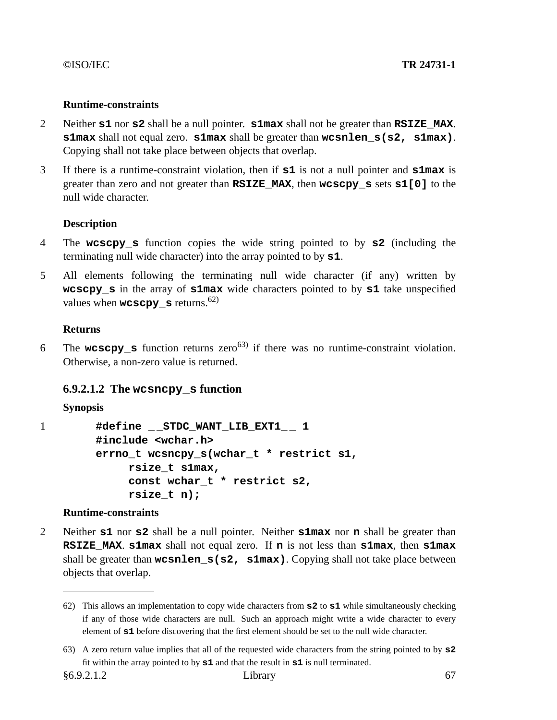## **Runtime-constraints**

- 2 Neither **s1** nor **s2** shall be a null pointer. **s1max** shall not be greater than **RSIZE\_MAX**. **s1max** shall not equal zero. **s1max** shall be greater than **wcsnlen\_s(s2, s1max)**. Copying shall not take place between objects that overlap.
- 3 If there is a runtime-constraint violation, then if **s1** is not a null pointer and **s1max** is greater than zero and not greater than **RSIZE\_MAX**, then **wcscpy\_s** sets **s1[0]** to the null wide character.

## **Description**

- 4 The **wcscpy\_s** function copies the wide string pointed to by **s2** (including the terminating null wide character) into the array pointed to by **s1**.
- 5 All elements following the terminating null wide character (if any) written by **wcscpy\_s** in the array of **s1max** wide characters pointed to by **s1** take unspecified values when **wcscpy** s returns.<sup>62)</sup>

### **Returns**

6 The **wcscpy\_s** function returns zero<sup>63)</sup> if there was no runtime-constraint violation. Otherwise, a non-zero value is returned.

## **6.9.2.1.2 The wcsncpy\_s function**

### **Synopsis**

1 **#define \_ \_STDC\_WANT\_LIB\_EXT1\_ \_ 1 #include <wchar.h> errno\_t wcsncpy\_s(wchar\_t \* restrict s1, rsize\_t s1max, const wchar\_t \* restrict s2, rsize\_t n);**

## **Runtime-constraints**

2 Neither **s1** nor **s2** shall be a null pointer. Neither **s1max** nor **n** shall be greater than **RSIZE\_MAX**. **s1max** shall not equal zero. If **n** is not less than **s1max**, then **s1max** shall be greater than **wcsnlen\_s(s2, s1max)**. Copying shall not take place between objects that overlap.

<sup>62)</sup> This allows an implementation to copy wide characters from **s2** to **s1** while simultaneously checking if any of those wide characters are null. Such an approach might write a wide character to every element of **s1** before discovering that the first element should be set to the null wide character.

<sup>63)</sup> A zero return value implies that all of the requested wide characters from the string pointed to by **s2** fit within the array pointed to by **s1** and that the result in **s1** is null terminated.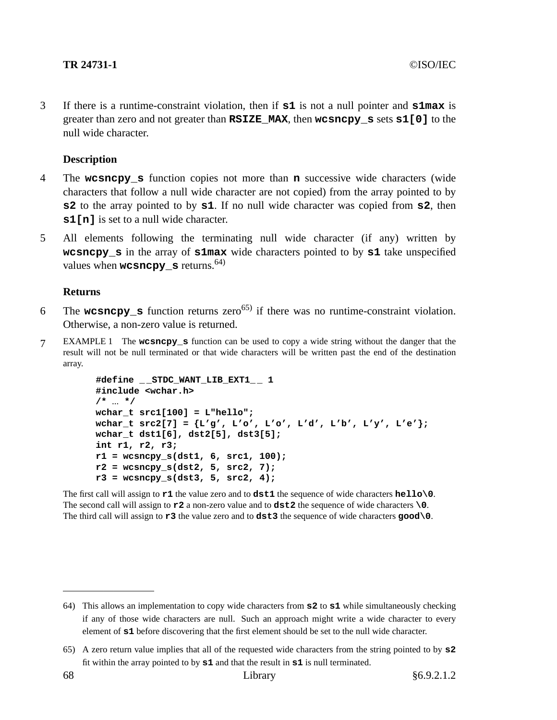3 If there is a runtime-constraint violation, then if **s1** is not a null pointer and **s1max** is greater than zero and not greater than **RSIZE\_MAX**, then **wcsncpy\_s** sets **s1[0]** to the null wide character.

### **Description**

- 4 The **wcsncpy\_s** function copies not more than **n** successive wide characters (wide characters that follow a null wide character are not copied) from the array pointed to by **s2** to the array pointed to by **s1**. If no null wide character was copied from **s2**, then **s1[n]** is set to a null wide character.
- 5 All elements following the terminating null wide character (if any) written by **wcsncpy\_s** in the array of **s1max** wide characters pointed to by **s1** take unspecified values when **wcsncpy\_s** returns.<sup>64)</sup>

#### **Returns**

- 6 The **wcsncpy\_s** function returns zero<sup>65)</sup> if there was no runtime-constraint violation. Otherwise, a non-zero value is returned.
- 7 EXAMPLE 1 The **wcsncpy\_s** function can be used to copyawide string without the danger that the result will not be null terminated or that wide characters will be written past the end of the destination array.

```
#define _ _STDC_WANT_LIB_EXT1_ _ 1
#include <wchar.h>
/* ... */
wchar_t src1[100] = L"hello";
wchar_t src2[7] = {L'g', L'o', L'o', L'd', L'b', L'y', L'e'};
wchar_t dst1[6], dst2[5], dst3[5];
int r1, r2, r3;
r1 = wcsncpy_s(dst1, 6, src1, 100);
r2 = wcsncpy_s(dst2, 5, src2, 7);
r3 = wcsncpy_s(dst3, 5, src2, 4);
```
The first call will assign to **r1** the value zero and to **dst1** the sequence of wide characters **hello\0**. The second call will assign to **r2** a non-zero value and to **dst2** the sequence of wide characters **\0**. The third call will assign to **r3** the value zero and to **dst3** the sequence of wide characters **good\0**.

<sup>64)</sup> This allows an implementation to copy wide characters from **s2** to **s1** while simultaneously checking if any of those wide characters are null. Such an approach might write a wide character to every element of **s1** before discovering that the first element should be set to the null wide character.

<sup>65)</sup> A zero return value implies that all of the requested wide characters from the string pointed to by **s2** fit within the array pointed to by **s1** and that the result in **s1** is null terminated.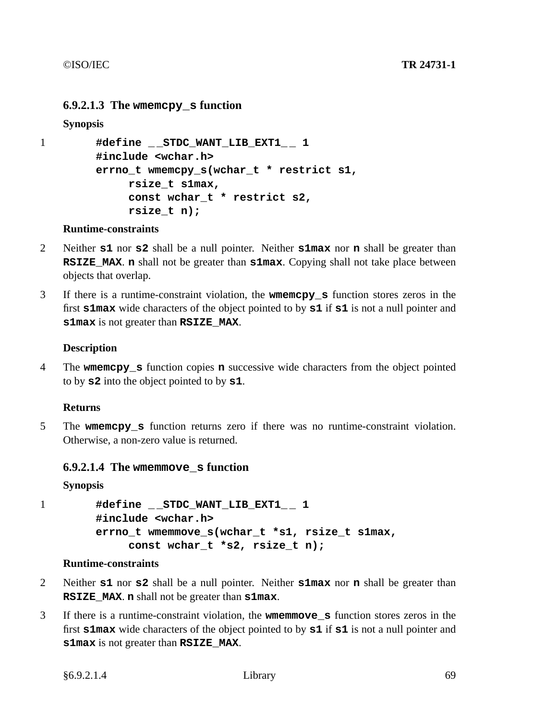## **6.9.2.1.3 The wmemcpy\_s function**

**Synopsis**

```
1 #define _ _STDC_WANT_LIB_EXT1_ _ 1
        #include <wchar.h>
        errno_t wmemcpy_s(wchar_t * restrict s1,
             rsize_t s1max,
             const wchar_t * restrict s2,
             rsize_t n);
```
### **Runtime-constraints**

- 2 Neither **s1** nor **s2** shall be a null pointer. Neither **s1max** nor **n** shall be greater than **RSIZE MAX. <b>n** shall not be greater than **s1max**. Copying shall not take place between objects that overlap.
- 3 If there is a runtime-constraint violation, the **wmemcpy\_s** function stores zeros in the first **s1max** wide characters of the object pointed to by **s1** if **s1** is not a null pointer and **s1max** is not greater than **RSIZE\_MAX**.

## **Description**

4 The **wmemcpy\_s** function copies **n** successive wide characters from the object pointed to by **s2** into the object pointed to by **s1**.

## **Returns**

5 The **wmemcpy\_s** function returns zero if there was no runtime-constraint violation. Otherwise, a non-zero value is returned.

## **6.9.2.1.4 The wmemmove\_s function**

**Synopsis**

1 **#define \_ \_STDC\_WANT\_LIB\_EXT1\_ \_ 1 #include <wchar.h> errno\_t wmemmove\_s(wchar\_t \*s1, rsize\_t s1max,** const wchar t \*s2, rsize t n);

## **Runtime-constraints**

- 2 Neither **s1** nor **s2** shall be a null pointer. Neither **s1max** nor **n** shall be greater than **RSIZE\_MAX**. **n** shall not be greater than **s1max**.
- 3 If there is a runtime-constraint violation, the **wmemmove\_s** function stores zeros in the first **s1max** wide characters of the object pointed to by **s1** if **s1** is not a null pointer and **s1max** is not greater than **RSIZE\_MAX**.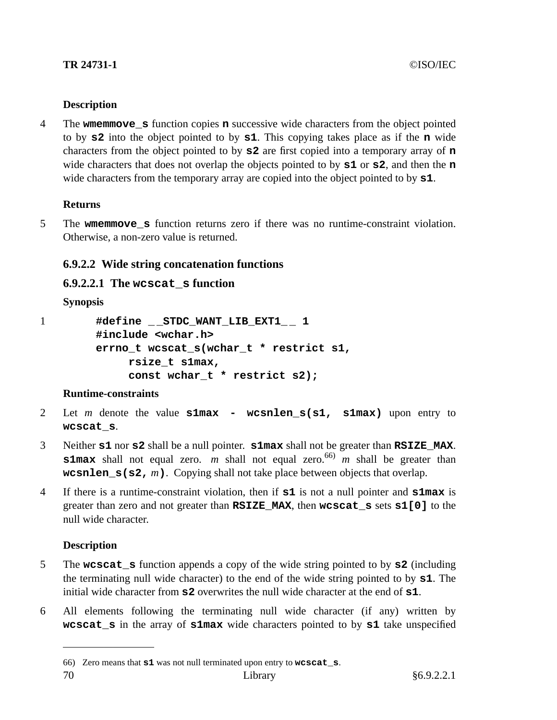## **Description**

4 The **wmemmove\_s** function copies **n** successive wide characters from the object pointed to by **s2** into the object pointed to by **s1**. This copying takes place as if the **n** wide characters from the object pointed to by **s2** are first copied into a temporary array of **n** wide characters that does not overlap the objects pointed to by **s1** or **s2**, and then the **n** wide characters from the temporary array are copied into the object pointed to by **s1**.

## **Returns**

5 The **wmemmove\_s** function returns zero if there was no runtime-constraint violation. Otherwise, a non-zero value is returned.

# **6.9.2.2 Wide string concatenation functions**

## **6.9.2.2.1 The wcscat\_s function**

## **Synopsis**

```
1 #define _ _STDC_WANT_LIB_EXT1_ _ 1
        #include <wchar.h>
        errno_t wcscat_s(wchar_t * restrict s1,
             rsize_t s1max,
             const wchar t * restrict s2);
```
## **Runtime-constraints**

- 2 Let *m* denote the value **s1max wcsnlen\_s(s1, s1max)** upon entry to **wcscat\_s**.
- 3 Neither **s1** nor **s2** shall be a null pointer. **s1max** shall not be greater than **RSIZE\_MAX**. **s1max** shall not equal zero. *m* shall not equal zero.<sup>66)</sup> *m* shall be greater than **wcsnlen\_s(s2,** *m***)**. Copying shall not take place between objects that overlap.
- 4 If there is a runtime-constraint violation, then if **s1** is not a null pointer and **s1max** is greater than zero and not greater than **RSIZE\_MAX**, then **wcscat\_s** sets **s1[0]** to the null wide character.

# **Description**

- 5 The **wcscat\_s** function appends a copy of the wide string pointed to by **s2** (including the terminating null wide character) to the end of the wide string pointed to by **s1**. The initial wide character from **s2** overwrites the null wide character at the end of **s1**.
- 6 All elements following the terminating null wide character (if any) written by **wcscat\_s** in the array of **s1max** wide characters pointed to by **s1** take unspecified

<sup>66)</sup> Zero means that **s1** was not null terminated upon entry to **wcscat\_s**.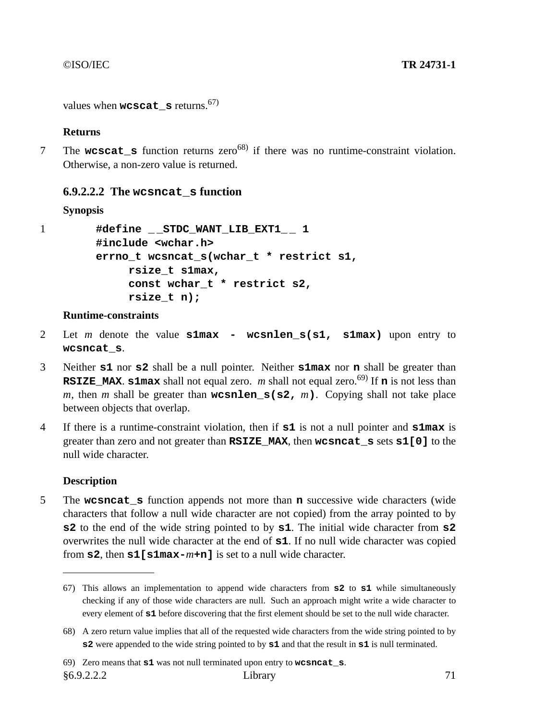values when **wcscat** s returns.<sup>67)</sup>

## **Returns**

7 The **wcscat s** function returns zero<sup>68)</sup> if there was no runtime-constraint violation. Otherwise, a non-zero value is returned.

## **6.9.2.2.2 The wcsncat\_s function**

**Synopsis**

1 **#define \_ \_STDC\_WANT\_LIB\_EXT1\_ \_ 1 #include <wchar.h> errno\_t wcsncat\_s(wchar\_t \* restrict s1, rsize\_t s1max, const wchar\_t \* restrict s2, rsize\_t n);**

## **Runtime-constraints**

- 2 Let *m* denote the value **s1max wcsnlen\_s(s1, s1max)** upon entry to **wcsncat\_s**.
- 3 Neither **s1** nor **s2** shall be a null pointer. Neither **s1max** nor **n** shall be greater than **RSIZE** MAX. **s1max** shall not equal zero. *m* shall not equal zero.<sup>69)</sup> If **n** is not less than *m*, then *m* shall be greater than **wcsnlen\_s(s2,** *m*). Copying shall not take place between objects that overlap.
- 4 If there is a runtime-constraint violation, then if **s1** is not a null pointer and **s1max** is greater than zero and not greater than **RSIZE\_MAX**, then **wcsncat\_s** sets **s1[0]** to the null wide character.

## **Description**

5 The **wcsncat\_s** function appends not more than **n** successive wide characters (wide characters that follow a null wide character are not copied) from the array pointed to by **s2** to the end of the wide string pointed to by **s1**. The initial wide character from **s2** overwrites the null wide character at the end of **s1**. If no null wide character was copied from **s2**, then **s1[s1max-***m***+n]** is set to a null wide character.

<sup>67)</sup> This allows an implementation to append wide characters from **s2** to **s1** while simultaneously checking if any of those wide characters are null. Such an approach might write a wide character to every element of  $s1$  before discovering that the first element should be set to the null wide character.

<sup>68)</sup> A zero return value implies that all of the requested wide characters from the wide string pointed to by **s2** were appended to the wide string pointed to by **s1** and that the result in **s1** is null terminated.

<sup>69)</sup> Zero means that **s1** was not null terminated upon entry to **wcsncat\_s**.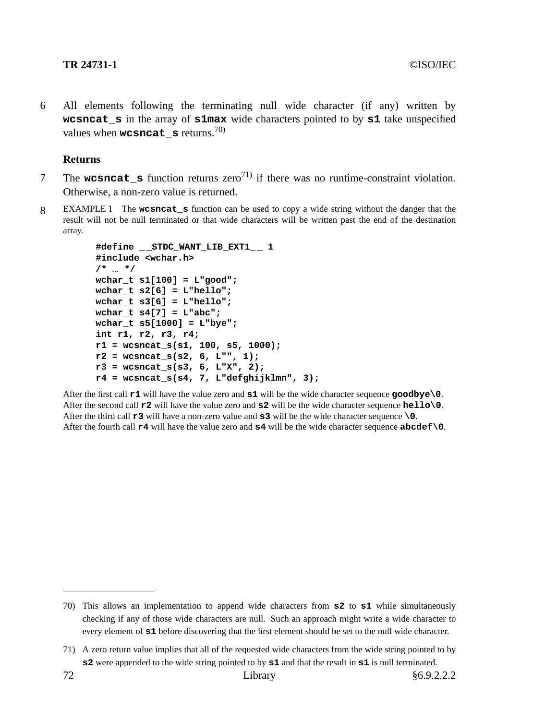6 All elements following the terminating null wide character (if any) written by **wcsncat\_s** in the array of **s1max** wide characters pointed to by **s1** take unspecified values when **wcsncat**  $\boldsymbol{s}$  returns.<sup>70)</sup>

#### **Returns**

- 7 The **wcsncat\_s** function returns zero<sup>71)</sup> if there was no runtime-constraint violation. Otherwise, a non-zero value is returned.
- 8 EXAMPLE 1 The **wcsncat\_s** function can be used to copyawide string without the danger that the result will not be null terminated or that wide characters will be written past the end of the destination array.

```
#define _ _STDC_WANT_LIB_EXT1_ _ 1
#include <wchar.h>
/* ... */
wchar_t s1[100] = L"good";
wchar_t s2[6] = L"hello";
wchar_t s3[6] = L"hello";
wchar_t s4[7] = L"abc";
wchar_t s5[1000] = L"bye";
int r1, r2, r3, r4;
r1 = wcsncat_s(s1, 100, s5, 1000);
r2 = wcsncat_s(s2, 6, L"", 1);
r3 = wcsncat_s(s3, 6, L"X", 2);
r4 = wcsncat_s(s4, 7, L"defghijklmn", 3);
```
After the first call **r1** will have the value zero and **s1** will be the wide character sequence **goodbye\0**. After the second call **r2** will have the value zero and **s2** will be the wide character sequence **hello\0**. After the third call **r3** will have a non-zero value and **s3** will be the wide character sequence **\0**. After the fourth call **r4** will have the value zero and **s4** will be the wide character sequence **abcdef\0**.

<sup>70)</sup> This allows an implementation to append wide characters from **s2** to **s1** while simultaneously checking if any of those wide characters are null. Such an approach might write a wide character to every element of **s1** before discovering that the first element should be set to the null wide character.

<sup>71)</sup> A zero return value implies that all of the requested wide characters from the wide string pointed to by **s2** were appended to the wide string pointed to by **s1** and that the result in **s1** is null terminated.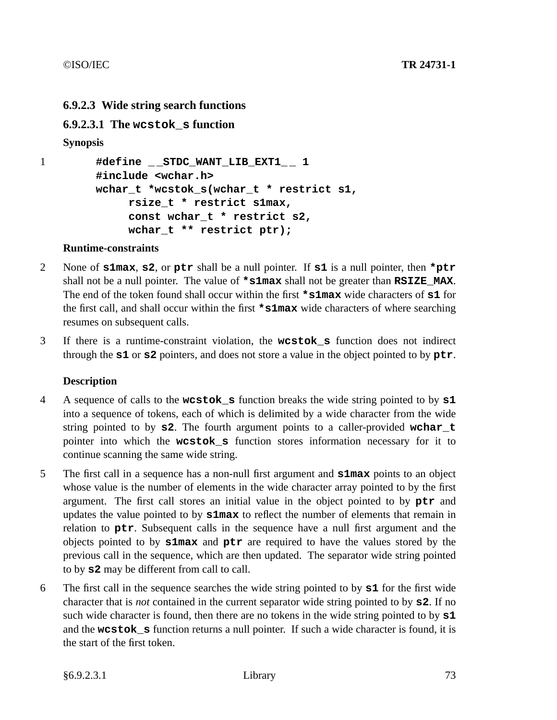## **6.9.2.3 Wide string search functions**

## **6.9.2.3.1 The wcstok\_s function**

**Synopsis**

1 **#define \_ \_STDC\_WANT\_LIB\_EXT1\_ \_ 1 #include <wchar.h> wchar\_t \*wcstok\_s(wchar\_t \* restrict s1, rsize\_t \* restrict s1max, const wchar\_t \* restrict s2, wchar\_t \*\* restrict ptr);**

### **Runtime-constraints**

- 2 None of **s1max**, **s2**, or **ptr** shall be a null pointer. If **s1** is a null pointer, then **\*ptr** shall not be a null pointer. The value of **\*s1max** shall not be greater than **RSIZE** MAX. The end of the token found shall occur within the first **\*s1max** wide characters of **s1** for the first call, and shall occur within the first **\*s1max** wide characters of where searching resumes on subsequent calls.
- 3 If there is a runtime-constraint violation, the **wcstok\_s** function does not indirect through the **s1** or **s2** pointers, and does not store a value in the object pointed to by **ptr**.

### **Description**

- 4 A sequence of calls to the **wcstok\_s** function breaks the wide string pointed to by **s1** into a sequence of tokens, each of which is delimited by a wide character from the wide string pointed to by **s2**. The fourth argument points to a caller-provided **wchar\_t** pointer into which the **wcstok** s function stores information necessary for it to continue scanning the same wide string.
- 5 The first call in a sequence has a non-null first argument and **s1max** points to an object whose value is the number of elements in the wide character array pointed to by the first argument. The first call stores an initial value in the object pointed to by **ptr** and updates the value pointed to by **s1max** to reflect the number of elements that remain in relation to **ptr**. Subsequent calls in the sequence have a null first argument and the objects pointed to by **s1max** and **ptr** are required to have the values stored by the previous call in the sequence, which are then updated. The separator wide string pointed to by **s2** may be different from call to call.
- 6 The first call in the sequence searches the wide string pointed to by **s1** for the first wide character that is *not* contained in the current separator wide string pointed to by **s2**. If no such wide character is found, then there are no tokens in the wide string pointed to by **s1** and the **wcstok\_s** function returns a null pointer. If such a wide character is found, it is the start of the first token.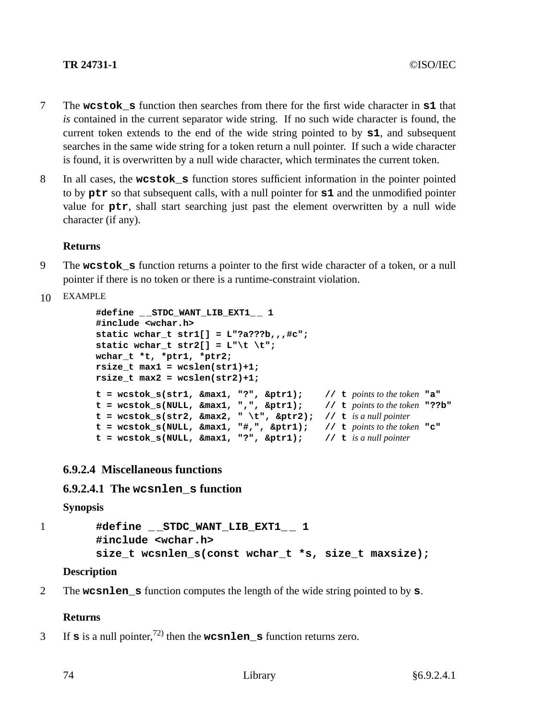- 7 The **wcstok\_s** function then searches from there for the first wide character in **s1** that *is* contained in the current separator wide string. If no such wide character is found, the current token extends to the end of the wide string pointed to by **s1**, and subsequent searches in the same wide string for a token return a null pointer. If such a wide character is found, it is overwritten by a null wide character, which terminates the current token.
- 8 In all cases, the **wcstok\_s** function stores sufficient information in the pointer pointed to by **ptr** so that subsequent calls, with a null pointer for **s1** and the unmodified pointer value for **ptr**, shall start searching just past the element overwritten by a null wide character (if any).

### **Returns**

9 The **wcstok\_s** function returns a pointer to the first wide character of a token, or a null pointer if there is no token or there is a runtime-constraint violation.

```
10 EXAMPLE
```

```
#define _ _STDC_WANT_LIB_EXT1_ _ 1
#include <wchar.h>
static wchar_t str1[] = L"?a???b,,,#c";
static wchar_t str2[] = L"\t \t";
wchar_t *t, *ptr1, *ptr2;
rsize_t max1 = wcslen(str1)+1;
rsize_t max2 = wcslen(str2)+1;
t=wcstok_s(str1, &max1, "?", &ptr1); // t points to the token "a"
t=wcstok_s(NULL, &max1, ",", &ptr1); // t points to the token "??b"
t=wcstok_s(str2, &max2, " \t", &ptr2); // t is a null pointer
t=wcstok_s(NULL, &max1, "#,", &ptr1); // t points to the token "c"
t=wcstok_s(NULL, &max1, "?", &ptr1); // t is a null pointer
```
**6.9.2.4 Miscellaneous functions**

## **6.9.2.4.1 The wcsnlen\_s function**

**Synopsis**

```
1 #define _ _STDC_WANT_LIB_EXT1_ _ 1
        #include <wchar.h>
        size_t wcsnlen_s(const wchar_t *s, size_t maxsize);
```
## **Description**

2 The **wcsnlen\_s** function computes the length of the wide string pointed to by **s**.

## **Returns**

3 If **s** is a null pointer, 72) then the **wcsnlen\_s** function returns zero.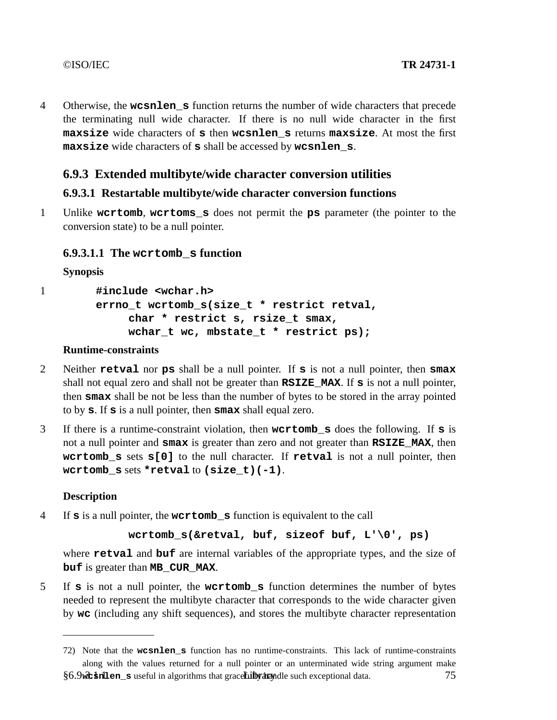4 Otherwise, the **wcsnlen\_s** function returns the number of wide characters that precede the terminating null wide character. If there is no null wide character in the first **maxsize** wide characters of **s** then **wcsnlen\_s** returns **maxsize**. At most the first **maxsize** wide characters of **s** shall be accessed by **wcsnlen\_s**.

# **6.9.3 Extended multibyte/wide character conversion utilities**

## **6.9.3.1 Restartable multibyte/wide character conversion functions**

1 Unlike **wcrtomb**, **wcrtoms\_s** does not permit the **ps** parameter (the pointer to the conversion state) to be a null pointer.

## **6.9.3.1.1 The wcrtomb\_s function**

## **Synopsis**

```
1 #include <wchar.h>
```

```
errno_t wcrtomb_s(size_t * restrict retval,
     char * restrict s, rsize_t smax,
     wchar_t wc, mbstate_t * restrict ps);
```
## **Runtime-constraints**

- 2 Neither **retval** nor **ps** shall be a null pointer. If **s** is not a null pointer, then **smax** shall not equal zero and shall not be greater than **RSIZE\_MAX**. If **s** is not a null pointer, then **smax** shall be not be less than the number of bytes to be stored in the array pointed to by **s**. If **s** is a null pointer, then **smax** shall equal zero.
- 3 If there is a runtime-constraint violation, then **wcrtomb\_s** does the following. If **s** is not a null pointer and **smax** is greater than zero and not greater than **RSIZE** MAX, then **wcrtomb\_s** sets **s[0]** to the null character. If **retval** is not a null pointer, then **wcrtomb\_s** sets **\*retval** to **(size\_t)(-1)**.

### **Description**

4 If **s** is a null pointer, the **wcrtomb\_s** function is equivalent to the call

```
wcrtomb_s(&retval, buf, sizeof buf, L'\0', ps)
```
where **retval** and **buf** are internal variables of the appropriate types, and the size of **buf** is greater than **MB\_CUR\_MAX**.

5 If **s** is not a null pointer, the **wcrtomb\_s** function determines the number of bytes needed to represent the multibyte character that corresponds to the wide character given by **wc** (including any shift sequences), and stores the multibyte character representation

<sup>72)</sup> Note that the **wcsnlen\_s** function has no runtime-constraints. This lack of runtime-constraints along with the values returned for a null pointer or an unterminated wide string argument make §6.9 **wc. s** is useful in algorithms that grace**fully arguments** such exceptional data. 75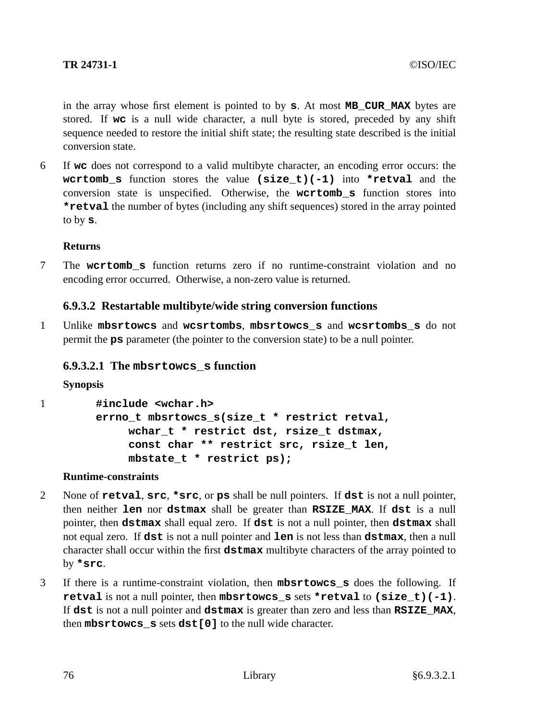in the array whose first element is pointed to by **s**. At most **MB\_CUR\_MAX** bytes are stored. If **wc** is a null wide character, a null byte is stored, preceded by any shift sequence needed to restore the initial shift state; the resulting state described is the initial conversion state.

6 If **wc** does not correspond to a valid multibyte character, an encoding error occurs: the **wcrtomb\_s** function stores the value **(size\_t)(-1)** into **\*retval** and the conversion state is unspecified. Otherwise, the **wcrtomb\_s** function stores into **\*retval** the number of bytes (including any shift sequences) stored in the array pointed to by **s**.

#### **Returns**

7 The **wcrtomb\_s** function returns zero if no runtime-constraint violation and no encoding error occurred. Otherwise, a non-zero value is returned.

## **6.9.3.2 Restartable multibyte/wide string conversion functions**

1 Unlike **mbsrtowcs** and **wcsrtombs**, **mbsrtowcs\_s** and **wcsrtombs\_s** do not permit the **ps** parameter (the pointer to the conversion state) to be a null pointer.

### **6.9.3.2.1 The mbsrtowcs\_s function**

#### **Synopsis**

```
1 #include <wchar.h>
        errno_t mbsrtowcs_s(size_t * restrict retval,
             wchar_t * restrict dst, rsize_t dstmax,
             const char ** restrict src, rsize_t len,
             mbstate_t * restrict ps);
```
### **Runtime-constraints**

- 2 None of **retval**, **src**, **\*src**, or **ps** shall be null pointers. If **dst** is not a null pointer, then neither **len** nor **dstmax** shall be greater than **RSIZE\_MAX**. If **dst** is a null pointer, then **dstmax** shall equal zero. If **dst** is not a null pointer, then **dstmax** shall not equal zero. If **dst** is not a null pointer and **len** is not less than **dstmax**, then a null character shall occur within the first **dstmax** multibyte characters of the array pointed to by **\*src**.
- 3 If there is a runtime-constraint violation, then **mbsrtowcs\_s** does the following. If **retval** is not a null pointer, then **mbsrtowcs\_s** sets **\*retval** to **(size\_t)(-1)**. If **dst** is not a null pointer and **dstmax** is greater than zero and less than **RSIZE\_MAX**, then **mbsrtowcs\_s** sets **dst[0]** to the null wide character.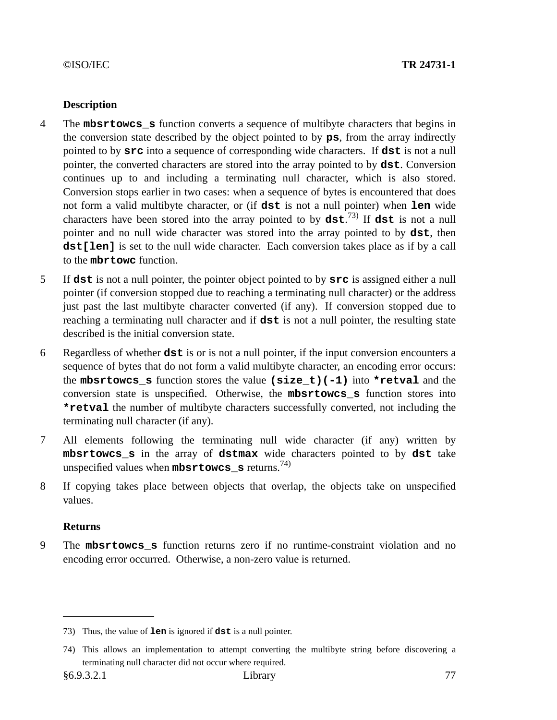## **Description**

- 4 The **mbsrtowcs\_s** function converts a sequence of multibyte characters that begins in the conversion state described by the object pointed to by **ps**, from the array indirectly pointed to by **src** into a sequence of corresponding wide characters. If **dst** is not a null pointer, the converted characters are stored into the array pointed to by **dst**. Conversion continues up to and including a terminating null character, which is also stored. Conversion stops earlier in two cases: when a sequence of bytes is encountered that does not form a valid multibyte character, or (if **dst** is not a null pointer) when **len** wide characters have been stored into the array pointed to by **dst**. 73) If **dst** is not a null pointer and no null wide character was stored into the array pointed to by **dst**, then **dst[len]** is set to the null wide character. Each conversion takes place as if by a call to the **mbrtowc** function.
- 5 If **dst** is not a null pointer, the pointer object pointed to by **src** is assigned either a null pointer (if conversion stopped due to reaching a terminating null character) or the address just past the last multibyte character converted (if any). If conversion stopped due to reaching a terminating null character and if **dst** is not a null pointer, the resulting state described is the initial conversion state.
- 6 Regardless of whether **dst** is or is not a null pointer, if the input conversion encounters a sequence of bytes that do not form a valid multibyte character, an encoding error occurs: the **mbsrtowcs\_s** function stores the value **(size\_t)(-1)** into **\*retval** and the conversion state is unspecified. Otherwise, the **mbsrtowcs\_s** function stores into **\*retval** the number of multibyte characters successfully converted, not including the terminating null character (if any).
- 7 All elements following the terminating null wide character (if any) written by **mbsrtowcs\_s** in the array of **dstmax** wide characters pointed to by **dst** take unspecified values when **mbsrtowcs\_s** returns.74)
- 8 If copying takes place between objects that overlap, the objects take on unspecified values.

#### **Returns**

9 The **mbsrtowcs\_s** function returns zero if no runtime-constraint violation and no encoding error occurred. Otherwise, a non-zero value is returned.

<sup>73)</sup> Thus, the value of **len** is ignored if **dst** is a null pointer.

<sup>74)</sup> This allows an implementation to attempt converting the multibyte string before discovering a terminating null character did not occur where required.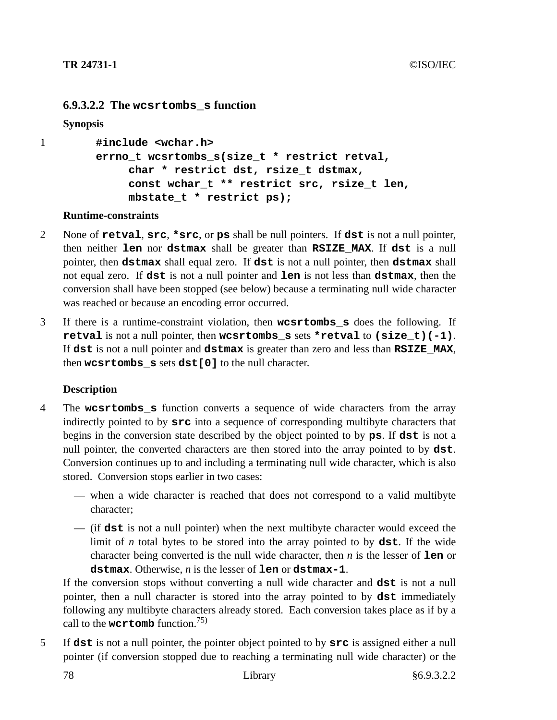## **6.9.3.2.2 The wcsrtombs\_s function**

**Synopsis**

```
1 #include <wchar.h>
        errno_t wcsrtombs_s(size_t * restrict retval,
             char * restrict dst, rsize_t dstmax,
             const wchar_t ** restrict src, rsize_t len,
             mbstate_t * restrict ps);
```
### **Runtime-constraints**

- 2 None of **retval**, **src**, **\*src**, or **ps** shall be null pointers. If **dst** is not a null pointer, then neither **len** nor **dstmax** shall be greater than **RSIZE\_MAX**. If **dst** is a null pointer, then **dstmax** shall equal zero. If **dst** is not a null pointer, then **dstmax** shall not equal zero. If **dst** is not a null pointer and **len** is not less than **dstmax**, then the conversion shall have been stopped (see below) because a terminating null wide character was reached or because an encoding error occurred.
- 3 If there is a runtime-constraint violation, then **wcsrtombs\_s** does the following. If **retval** is not a null pointer, then **wcsrtombs\_s** sets **\*retval** to **(size\_t)(-1)**. If **dst** is not a null pointer and **dstmax** is greater than zero and less than **RSIZE\_MAX**, then **wcsrtombs\_s** sets **dst[0]** to the null character.

## **Description**

- 4 The **wcsrtombs\_s** function converts a sequence of wide characters from the array indirectly pointed to by **src** into a sequence of corresponding multibyte characters that begins in the conversion state described by the object pointed to by **ps**. If **dst** is not a null pointer, the converted characters are then stored into the array pointed to by **dst**. Conversion continues up to and including a terminating null wide character, which is also stored. Conversion stops earlier in two cases:
	- when a wide character is reached that does not correspond to a valid multibyte character;
	- (if **dst** is not a null pointer) when the next multibyte character would exceed the limit of *n* total bytes to be stored into the array pointed to by **dst**. If the wide character being converted is the null wide character, then *n* is the lesser of **len** or **dstmax**. Otherwise, *n* is the lesser of **len** or **dstmax-1**.

If the conversion stops without converting a null wide character and **dst** is not a null pointer, then a null character is stored into the array pointed to by **dst** immediately following any multibyte characters already stored. Each conversion takes place as if by a call to the **wcrtomb** function.<sup>75)</sup>

5 If **dst** is not a null pointer, the pointer object pointed to by **src** is assigned either a null pointer (if conversion stopped due to reaching a terminating null wide character) or the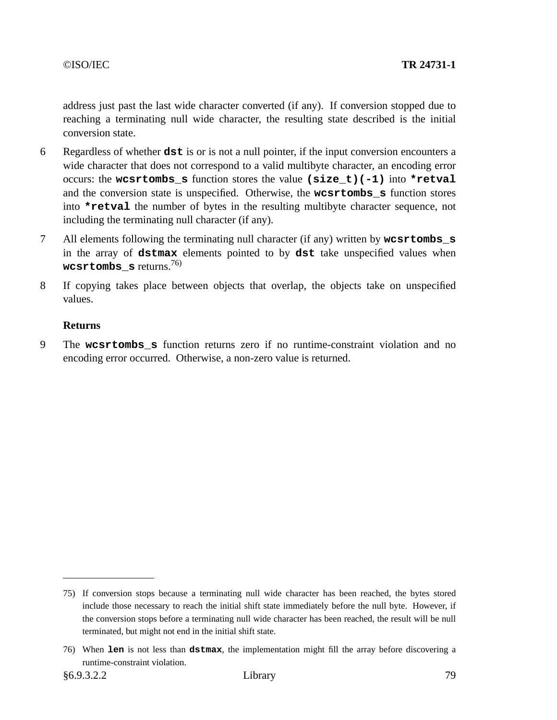address just past the last wide character converted (if any). If conversion stopped due to reaching a terminating null wide character, the resulting state described is the initial conversion state.

- 6 Regardless of whether **dst** is or is not a null pointer, if the input conversion encounters a wide character that does not correspond to a valid multibyte character, an encoding error occurs: the **wcsrtombs\_s** function stores the value **(size\_t)(-1)** into **\*retval** and the conversion state is unspecified. Otherwise, the **wcsrtombs\_s** function stores into **\*retval** the number of bytes in the resulting multibyte character sequence, not including the terminating null character (if any).
- 7 All elements following the terminating null character (if any) written by **wcsrtombs\_s** in the array of **dstmax** elements pointed to by **dst** take unspecified values when **wcsrtombs\_s** returns.76)
- 8 If copying takes place between objects that overlap, the objects take on unspecified values.

#### **Returns**

9 The **wcsrtombs\_s** function returns zero if no runtime-constraint violation and no encoding error occurred. Otherwise, a non-zero value is returned.

<sup>75)</sup> If conversion stops because a terminating null wide character has been reached, the bytes stored include those necessary to reach the initial shift state immediately before the null byte. However, if the conversion stops before a terminating null wide character has been reached, the result will be null terminated, but might not end in the initial shift state.

<sup>76)</sup> When **len** is not less than **dstmax**, the implementation might fill the array before discovering a runtime-constraint violation.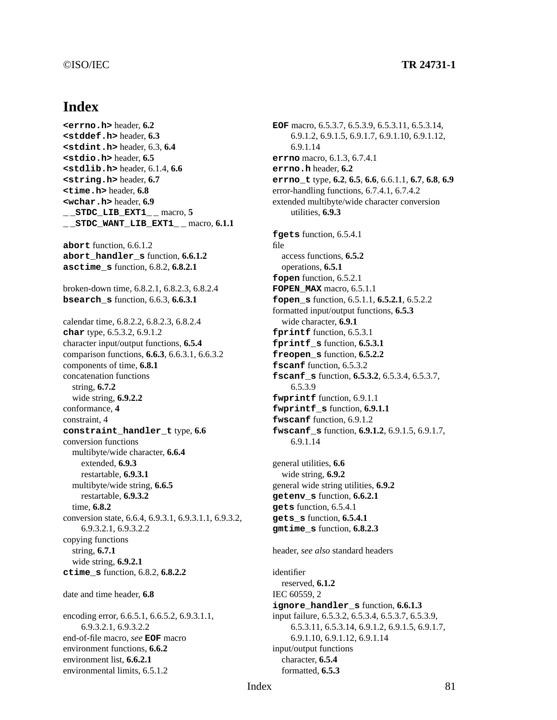#### ©ISO/IEC **TR 24731-1**

# **Index**

**<errno.h>** header, **6.2 <stddef.h>** header, **6.3 <stdint.h>** header, 6.3, **6.4 <stdio.h>** header, **6.5 <stdlib.h>** header, 6.1.4, **6.6 <string.h>** header, **6.7 <time.h>** header, **6.8 <wchar.h>** header, **6.9 \_ \_STDC\_LIB\_EXT1\_ \_** macro, **5 \_ \_STDC\_WANT\_LIB\_EXT1\_ \_** macro, **6.1.1 abort** function, 6.6.1.2 **abort\_handler\_s** function, **6.6.1.2 asctime\_s** function, 6.8.2, **6.8.2.1** broken-down time, 6.8.2.1, 6.8.2.3, 6.8.2.4 **bsearch\_s** function, 6.6.3, **6.6.3.1** calendar time, 6.8.2.2, 6.8.2.3, 6.8.2.4 **char** type, 6.5.3.2, 6.9.1.2 character input/output functions, **6.5.4** comparison functions, **6.6.3**, 6.6.3.1, 6.6.3.2 components of time, **6.8.1** concatenation functions string, **6.7.2** wide string, **6.9.2.2** conformance, **4** constraint, 4 **constraint\_handler\_t** type, **6.6** conversion functions multibyte/wide character, **6.6.4** extended, **6.9.3** restartable, **6.9.3.1** multibyte/wide string, **6.6.5** restartable, **6.9.3.2** time, **6.8.2** conversion state, 6.6.4, 6.9.3.1, 6.9.3.1.1, 6.9.3.2, 6.9.3.2.1, 6.9.3.2.2 copying functions string, **6.7.1** wide string, **6.9.2.1 ctime\_s** function, 6.8.2, **6.8.2.2** date and time header, **6.8**

encoding error, 6.6.5.1, 6.6.5.2, 6.9.3.1.1, 6.9.3.2.1, 6.9.3.2.2 end-of-file macro, *see* **EOF** macro environment functions, **6.6.2** environment list, **6.6.2.1** environmental limits, 6.5.1.2

**EOF** macro, 6.5.3.7, 6.5.3.9, 6.5.3.11, 6.5.3.14, 6.9.1.2, 6.9.1.5, 6.9.1.7, 6.9.1.10, 6.9.1.12, 6.9.1.14 **errno** macro, 6.1.3, 6.7.4.1 **errno.h** header, **6.2 errno\_t** type, **6.2**, **6.5**, **6.6**, 6.6.1.1, **6.7**, **6.8**, **6.9** error-handling functions, 6.7.4.1, 6.7.4.2 extended multibyte/wide character conversion utilities, **6.9.3 fgets** function, 6.5.4.1 file access functions, **6.5.2** operations, **6.5.1 fopen** function, 6.5.2.1 **FOPEN\_MAX** macro, 6.5.1.1 **fopen\_s** function, 6.5.1.1, **6.5.2.1**, 6.5.2.2 formatted input/output functions, **6.5.3** wide character, **6.9.1 fprintf** function, 6.5.3.1 **fprintf\_s** function, **6.5.3.1 freopen\_s** function, **6.5.2.2 fscanf** function, 6.5.3.2 **fscanf\_s** function, **6.5.3.2**, 6.5.3.4, 6.5.3.7, 6.5.3.9 **fwprintf** function, 6.9.1.1 **fwprintf\_s** function, **6.9.1.1 fwscanf** function, 6.9.1.2 **fwscanf\_s** function, **6.9.1.2**, 6.9.1.5, 6.9.1.7, 6.9.1.14 general utilities, **6.6**

wide string, **6.9.2** general wide string utilities, **6.9.2 getenv\_s** function, **6.6.2.1 gets** function, 6.5.4.1 **gets\_s** function, **6.5.4.1 gmtime\_s** function, **6.8.2.3**

header, *see also* standard headers

identifier reserved, **6.1.2** IEC 60559, 2 **ignore\_handler\_s** function, **6.6.1.3** input failure, 6.5.3.2, 6.5.3.4, 6.5.3.7, 6.5.3.9, 6.5.3.11, 6.5.3.14, 6.9.1.2, 6.9.1.5, 6.9.1.7, 6.9.1.10, 6.9.1.12, 6.9.1.14 input/output functions character, **6.5.4** formatted, **6.5.3**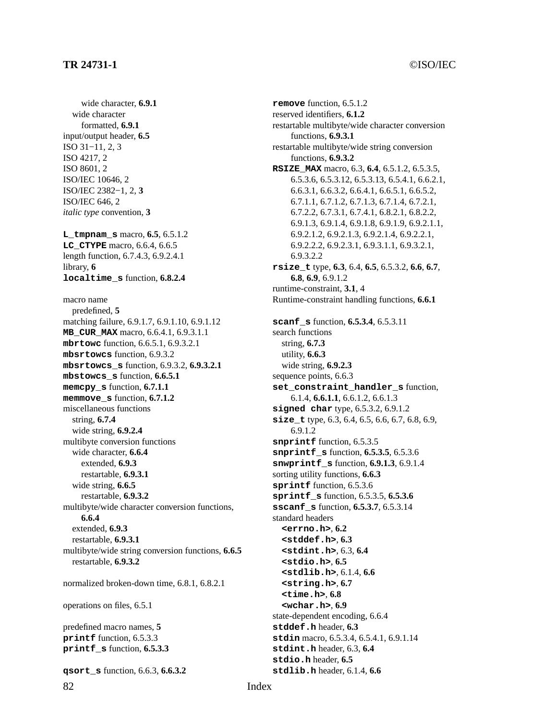wide character, **6.9.1** wide character formatted, **6.9.1** input/output header, **6.5** ISO 31−11, 2, 3 ISO 4217, 2 ISO 8601, 2 ISO/IEC 10646, 2 ISO/IEC 2382−1, 2, **3** ISO/IEC 646, 2 *italic type* convention, **3 L\_tmpnam\_s** macro, **6.5**, 6.5.1.2 **LC\_CTYPE** macro, 6.6.4, 6.6.5 length function, 6.7.4.3, 6.9.2.4.1 library, **6 localtime\_s** function, **6.8.2.4** macro name predefined, **5** matching failure, 6.9.1.7, 6.9.1.10, 6.9.1.12 **MB** CUR **MAX** macro, 6.6.4.1, 6.9.3.1.1 **mbrtowc** function, 6.6.5.1, 6.9.3.2.1 **mbsrtowcs** function, 6.9.3.2 **mbsrtowcs\_s** function, 6.9.3.2, **6.9.3.2.1 mbstowcs\_s** function, **6.6.5.1 memcpy\_s** function, **6.7.1.1 memmove\_s** function, **6.7.1.2** miscellaneous functions string, **6.7.4** wide string, **6.9.2.4** multibyte conversion functions wide character, **6.6.4** extended, **6.9.3** restartable, **6.9.3.1** wide string, **6.6.5** restartable, **6.9.3.2** multibyte/wide character conversion functions, **6.6.4** extended, **6.9.3** restartable, **6.9.3.1** multibyte/wide string conversion functions, **6.6.5** restartable, **6.9.3.2** normalized broken-down time, 6.8.1, 6.8.2.1 operations on files, 6.5.1 predefined macro names, **5 printf** function, 6.5.3.3 **printf\_s** function, **6.5.3.3 qsort\_s** function, 6.6.3, **6.6.3.2**

**remove** function, 6.5.1.2 reserved identifiers, **6.1.2** restartable multibyte/wide character conversion functions, **6.9.3.1** restartable multibyte/wide string conversion functions, **6.9.3.2 RSIZE\_MAX** macro, 6.3, **6.4**, 6.5.1.2, 6.5.3.5, 6.5.3.6, 6.5.3.12, 6.5.3.13, 6.5.4.1, 6.6.2.1, 6.6.3.1, 6.6.3.2, 6.6.4.1, 6.6.5.1, 6.6.5.2, 6.7.1.1, 6.7.1.2, 6.7.1.3, 6.7.1.4, 6.7.2.1, 6.7.2.2, 6.7.3.1, 6.7.4.1, 6.8.2.1, 6.8.2.2, 6.9.1.3, 6.9.1.4, 6.9.1.8, 6.9.1.9, 6.9.2.1.1, 6.9.2.1.2, 6.9.2.1.3, 6.9.2.1.4, 6.9.2.2.1, 6.9.2.2.2, 6.9.2.3.1, 6.9.3.1.1, 6.9.3.2.1, 6.9.3.2.2 **rsize\_t** type, **6.3**, 6.4, **6.5**, 6.5.3.2, **6.6**, **6.7**, **6.8**, **6.9**, 6.9.1.2 runtime-constraint, **3.1**, 4 Runtime-constraint handling functions, **6.6.1 scanf\_s** function, **6.5.3.4**, 6.5.3.11 search functions string, **6.7.3** utility, **6.6.3** wide string, **6.9.2.3** sequence points, 6.6.3 **set\_constraint\_handler\_s** function, 6.1.4, **6.6.1.1**, 6.6.1.2, 6.6.1.3 **signed char** type, 6.5.3.2, 6.9.1.2 **size\_t** type, 6.3, 6.4, 6.5, 6.6, 6.7, 6.8, 6.9, 6.9.1.2 **snprintf** function, 6.5.3.5 **snprintf\_s** function, **6.5.3.5**, 6.5.3.6 **snwprintf\_s** function, **6.9.1.3**, 6.9.1.4 sorting utility functions, **6.6.3 sprintf** function, 6.5.3.6 **sprintf\_s** function, 6.5.3.5, **6.5.3.6 sscanf\_s** function, **6.5.3.7**, 6.5.3.14 standard headers **<errno.h>**, **6.2 <stddef.h>**, **6.3 <stdint.h>**, 6.3, **6.4 <stdio.h>**, **6.5 <stdlib.h>**, 6.1.4, **6.6 <string.h>**, **6.7 <time.h>**, **6.8 <wchar.h>**, **6.9** state-dependent encoding, 6.6.4 **stddef.h** header, **6.3 stdin** macro, 6.5.3.4, 6.5.4.1, 6.9.1.14 **stdint.h** header, 6.3, **6.4 stdio.h** header, **6.5 stdlib.h** header, 6.1.4, **6.6**